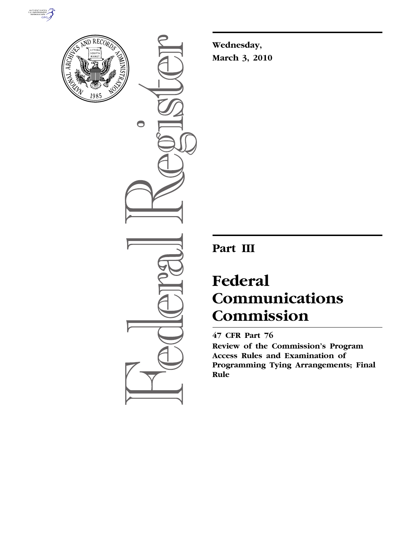



 $\bullet$ 

**Wednesday, March 3, 2010** 

# **Part III**

# **Federal Communications Commission**

**47 CFR Part 76** 

**Review of the Commission's Program Access Rules and Examination of Programming Tying Arrangements; Final Rule**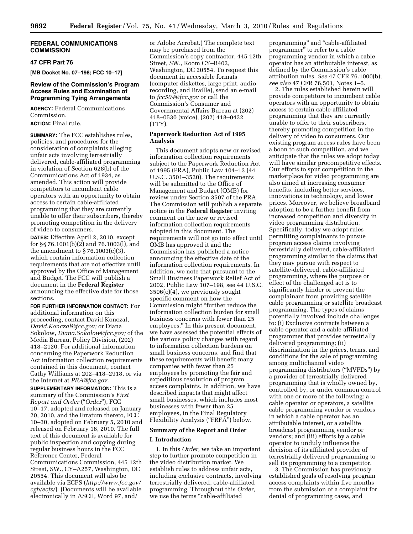#### **FEDERAL COMMUNICATIONS COMMISSION**

# **47 CFR Part 76**

**[MB Docket No. 07–198; FCC 10–17]** 

# **Review of the Commission's Program Access Rules and Examination of Programming Tying Arrangements**

**AGENCY:** Federal Communications Commission.

# **ACTION:** Final rule.

**SUMMARY:** The FCC establishes rules, policies, and procedures for the consideration of complaints alleging unfair acts involving terrestrially delivered, cable-affiliated programming in violation of Section 628(b) of the Communications Act of 1934, as amended. This action will provide competitors to incumbent cable operators with an opportunity to obtain access to certain cable-affiliated programming that they are currently unable to offer their subscribers, thereby promoting competition in the delivery of video to consumers.

**DATES:** Effective April 2, 2010, except for §§ 76.1001(b)(2) and 76.1003(l), and the amendment to § 76.1003(c)(3), which contain information collection requirements that are not effective until approved by the Office of Management and Budget. The FCC will publish a document in the **Federal Register**  announcing the effective date for those sections.

**FOR FURTHER INFORMATION CONTACT:** For additional information on this proceeding, contact David Konczal, *David.Konczal@fcc.gov;* or Diana Sokolow, *Diana.Sokolow@fcc.gov;* of the Media Bureau, Policy Division, (202) 418–2120. For additional information concerning the Paperwork Reduction Act information collection requirements contained in this document, contact Cathy Williams at 202–418–2918, or via the Internet at *PRA@fcc.gov.* 

**SUPPLEMENTARY INFORMATION:** This is a summary of the Commission's *First Report and Order* (''*Order*''), FCC 10–17, adopted and released on January 20, 2010, and the Erratum thereto, FCC 10–30, adopted on February 5, 2010 and released on February 16, 2010. The full text of this document is available for public inspection and copying during regular business hours in the FCC Reference Center, Federal Communications Commission, 445 12th Street, SW., CY–A257, Washington, DC 20554. This document will also be available via ECFS (*http://www.fcc.gov/ cgb/ecfs/*). (Documents will be available electronically in ASCII, Word 97, and/

or Adobe Acrobat.) The complete text may be purchased from the Commission's copy contractor, 445 12th Street, SW., Room CY–B402, Washington, DC 20554. To request this document in accessible formats (computer diskettes, large print, audio recording, and Braille), send an e-mail to *fcc504@fcc.gov* or call the Commission's Consumer and Governmental Affairs Bureau at (202) 418–0530 (voice), (202) 418–0432 (TTY).

# **Paperwork Reduction Act of 1995 Analysis**

This document adopts new or revised information collection requirements subject to the Paperwork Reduction Act of 1995 (PRA), Public Law 104–13 (44 U.S.C. 3501–3520). The requirements will be submitted to the Office of Management and Budget (OMB) for review under Section 3507 of the PRA. The Commission will publish a separate notice in the **Federal Register** inviting comment on the new or revised information collection requirements adopted in this document. The requirements will not go into effect until OMB has approved it and the Commission has published a notice announcing the effective date of the information collection requirements. In addition, we note that pursuant to the Small Business Paperwork Relief Act of 2002, Public Law 107–198, see 44 U.S.C. 3506(c)(4), we previously sought specific comment on how the Commission might ''further reduce the information collection burden for small business concerns with fewer than 25 employees.'' In this present document, we have assessed the potential effects of the various policy changes with regard to information collection burdens on small business concerns, and find that these requirements will benefit many companies with fewer than 25 employees by promoting the fair and expeditious resolution of program access complaints. In addition, we have described impacts that might affect small businesses, which includes most businesses with fewer than 25 employees, in the Final Regulatory Flexibility Analysis ("FRFA") below.

#### **Summary of the Report and Order**

#### **I. Introduction**

1. In this *Order,* we take an important step to further promote competition in the video distribution market. We establish rules to address unfair acts, including exclusive contracts, involving terrestrially delivered, cable-affiliated programming. Throughout this *Order,*  we use the terms ''cable-affiliated

programming'' and ''cable-affiliated programmer'' to refer to a cable programming vendor in which a cable operator has an attributable interest, as defined by the Commission's cable attribution rules. *See* 47 CFR 76.1000(b); *see also* 47 CFR 76.501, Notes 1–5.

2. The rules established herein will provide competitors to incumbent cable operators with an opportunity to obtain access to certain cable-affiliated programming that they are currently unable to offer to their subscribers, thereby promoting competition in the delivery of video to consumers. Our existing program access rules have been a boon to such competition, and we anticipate that the rules we adopt today will have similar procompetitive effects. Our efforts to spur competition in the marketplace for video programming are also aimed at increasing consumer benefits, including better services, innovations in technology, and lower prices. Moreover, we believe broadband adoption to be a further benefit from increased competition and diversity in video programming distribution. Specifically, today we adopt rules permitting complainants to pursue program access claims involving terrestrially delivered, cable-affiliated programming similar to the claims that they may pursue with respect to satellite-delivered, cable-affiliated programming, where the purpose or effect of the challenged act is to significantly hinder or prevent the complainant from providing satellite cable programming or satellite broadcast programming. The types of claims potentially involved include challenges to: (i) Exclusive contracts between a cable operator and a cable-affiliated programmer that provides terrestrially delivered programming; (ii) discrimination in the prices, terms, and conditions for the sale of programming among multichannel video programming distributors (''MVPDs'') by a provider of terrestrially delivered programming that is wholly owned by, controlled by, or under common control with one or more of the following: a cable operator or operators, a satellite cable programming vendor or vendors in which a cable operator has an attributable interest, or a satellite broadcast programming vendor or vendors; and (iii) efforts by a cable operator to unduly influence the decision of its affiliated provider of terrestrially delivered programming to sell its programming to a competitor.

3. The Commission has previously established goals of resolving program access complaints within five months from the submission of a complaint for denial of programming cases, and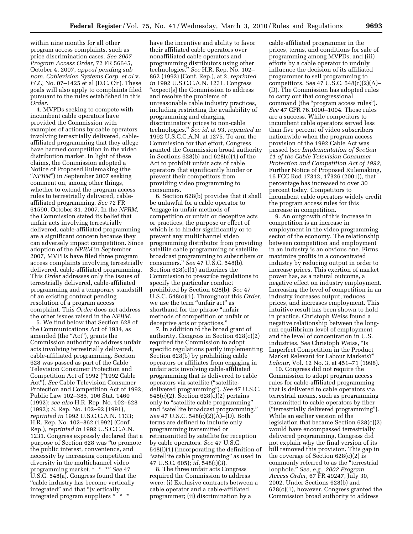within nine months for all other program access complaints, such as price discrimination cases. *See 2007 Program Access Order,* 72 FR 56645, October 4, 2007, *appeal pending sub nom. Cablevision Systems Corp. et al* v. *FCC,* No. 07–1425 et al (D.C. Cir). These goals will also apply to complaints filed pursuant to the rules established in this *Order.* 

4. MVPDs seeking to compete with incumbent cable operators have provided the Commission with examples of actions by cable operators involving terrestrially delivered, cableaffiliated programming that they allege have harmed competition in the video distribution market. In light of these claims, the Commission adopted a Notice of Proposed Rulemaking (the ''*NPRM*'') in September 2007 seeking comment on, among other things, whether to extend the program access rules to terrestrially delivered, cableaffiliated programming. *See* 72 FR 61590, October 31, 2007. In the *NPRM,*  the Commission stated its belief that unfair acts involving terrestrially delivered, cable-affiliated programming are a significant concern because they can adversely impact competition. Since adoption of the *NPRM* in September 2007, MVPDs have filed three program access complaints involving terrestrially delivered, cable-affiliated programming. This *Order* addresses only the issues of terrestrially delivered, cable-affiliated programming and a temporary standstill of an existing contract pending resolution of a program access complaint. This *Order* does not address the other issues raised in the *NPRM.* 

5. We find below that Section 628 of the Communications Act of 1934, as amended (the "Act"), grants the Commission authority to address unfair acts involving terrestrially delivered, cable-affiliated programming. Section 628 was passed as part of the Cable Television Consumer Protection and Competition Act of 1992 (''1992 Cable Act''). *See* Cable Television Consumer Protection and Competition Act of 1992, Public Law 102–385, 106 Stat. 1460 (1992); *see also* H.R. Rep. No. 102–628 (1992); S. Rep. No. 102–92 (1991), *reprinted in* 1992 U.S.C.C.A.N. 1133; H.R. Rep. No. 102–862 (1992) (Conf. Rep.), *reprinted in* 1992 U.S.C.C.A.N. 1231. Congress expressly declared that a purpose of Section 628 was ''to promote the public interest, convenience, and necessity by increasing competition and diversity in the multichannel video programming market. \* \* \*'' *See* 47 U.S.C. 548(a). Congress found that the ''cable industry has become vertically integrated'' and that ''[v]ertically integrated program suppliers \* \* \*

have the incentive and ability to favor their affiliated cable operators over nonaffiliated cable operators and programming distributors using other technologies.'' *See* H.R. Rep. No. 102– 862 (1992) (Conf. Rep.), at 2, *reprinted in* 1992 U.S.C.C.A.N. 1231. Congress ''expect[s] the Commission to address and resolve the problems of unreasonable cable industry practices, including restricting the availability of programming and charging discriminatory prices to non-cable technologies.'' *See id.* at 93, *reprinted in*  1992 U.S.C.C.A.N. at 1275. To arm the Commission for that effort, Congress granted the Commission broad authority in Sections 628(b) and 628(c)(1) of the Act to prohibit unfair acts of cable operators that significantly hinder or prevent their competitors from providing video programming to consumers.

6. Section 628(b) provides that it shall be unlawful for a cable operator to ''engage in unfair methods of competition or unfair or deceptive acts or practices, the purpose or effect of which is to hinder significantly or to prevent any multichannel video programming distributor from providing satellite cable programming or satellite broadcast programming to subscribers or consumers.'' *See* 47 U.S.C. 548(b). Section 628(c)(1) authorizes the Commission to prescribe regulations to specify the particular conduct prohibited by Section 628(b). *See* 47 U.S.C. 548(c)(1). Throughout this *Order,*  we use the term "unfair act" as shorthand for the phrase ''unfair methods of competition or unfair or deceptive acts or practices.''

7. In addition to the broad grant of authority, Congress in Section 628(c)(2) required the Commission to adopt specific regulations partly implementing Section 628(b) by prohibiting cable operators or affiliates from engaging in unfair acts involving cable-affiliated programming that is delivered to cable operators via satellite (''satellitedelivered programming''). *See* 47 U.S.C. 548(c)(2). Section 628(c)(2) pertains only to "satellite cable programming" and ''satellite broadcast programming.'' *See* 47 U.S.C. 548(c)(2)(A)–(D). Both terms are defined to include only programming transmitted or retransmitted by satellite for reception by cable operators. *See* 47 U.S.C. 548(i)(1) (incorporating the definition of "satellite cable programming" as used in 47 U.S.C. 605); *id.* 548(i)(3).

8. The three unfair acts Congress required the Commission to address were: (i) Exclusive contracts between a cable operator and a cable-affiliated programmer; (ii) discrimination by a

cable-affiliated programmer in the prices, terms, and conditions for sale of programming among MVPDs; and (iii) efforts by a cable operator to unduly influence the decision of its affiliated programmer to sell programming to competitors. *See* 47 U.S.C. 548(c)(2)(A)– (D). The Commission has adopted rules to carry out that congressional command (the "program access rules"). *See* 47 CFR 76.1000–1004. Those rules are a success. While competitors to incumbent cable operators served less than five percent of video subscribers nationwide when the program access provision of the 1992 Cable Act was passed (*see Implementation of Section 11 of the Cable Television Consumer Protection and Competition Act of 1992,*  Further Notice of Proposed Rulemaking, 16 FCC Rcd 17312, 17326 (2001)), that percentage has increased to over 30 percent today. Competitors to incumbent cable operators widely credit the program access rules for this increase in competition.

9. An outgrowth of this increase in competition is an increase in employment in the video programming sector of the economy. The relationship between competition and employment in an industry is an obvious one. Firms maximize profits in a concentrated industry by reducing output in order to increase prices. This exertion of market power has, as a natural outcome, a negative effect on industry employment. Increasing the level of competition in an industry increases output, reduces prices, and increases employment. This intuitive result has been shown to hold in practice. Christoph Weiss found a negative relationship between the longrun equilibrium level of employment and the level of concentration in U.S. industries. *See* Christoph Weiss, ''Is Imperfect Competition in the Product Market Relevant for Labour Markets?'' *Labour,* Vol. 12 No. 3, at 451–71 (1998).

10. Congress did not require the Commission to adopt program access rules for cable-affiliated programming that is delivered to cable operators via terrestrial means, such as programming transmitted to cable operators by fiber (''terrestrially delivered programming''). While an earlier version of the legislation that became Section 628(c)(2) would have encompassed terrestrially delivered programming, Congress did not explain why the final version of its bill removed this provision. This gap in the coverage of Section 628(c)(2) is commonly referred to as the ''terrestrial loophole.'' *See, e.g., 2002 Program Access Order,* 67 FR 49247, July 30, 2002. Under Sections 628(b) and 628(c)(1), however, Congress granted the Commission broad authority to address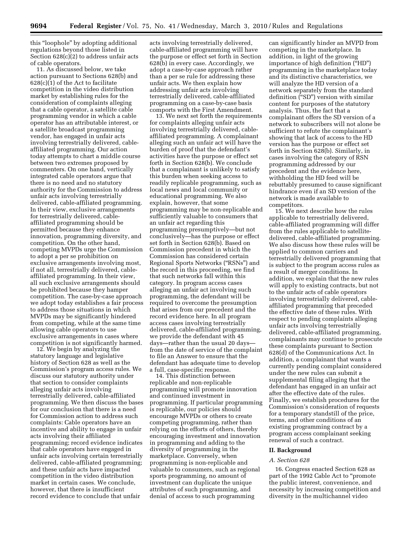this ''loophole'' by adopting additional regulations beyond those listed in Section 628(c)(2) to address unfair acts of cable operators.

11. As discussed below, we take action pursuant to Sections 628(b) and 628(c)(1) of the Act to facilitate competition in the video distribution market by establishing rules for the consideration of complaints alleging that a cable operator, a satellite cable programming vendor in which a cable operator has an attributable interest, or a satellite broadcast programming vendor, has engaged in unfair acts involving terrestrially delivered, cableaffiliated programming. Our action today attempts to chart a middle course between two extremes proposed by commenters. On one hand, vertically integrated cable operators argue that there is no need and no statutory authority for the Commission to address unfair acts involving terrestrially delivered, cable-affiliated programming. In their view, exclusive arrangements for terrestrially delivered, cableaffiliated programming should be permitted because they enhance innovation, programming diversity, and competition. On the other hand, competing MVPDs urge the Commission to adopt a per se prohibition on exclusive arrangements involving most, if not all, terrestrially delivered, cableaffiliated programming. In their view, all such exclusive arrangements should be prohibited because they hamper competition. The case-by-case approach we adopt today establishes a fair process to address those situations in which MVPDs may be significantly hindered from competing, while at the same time allowing cable operators to use exclusive arrangements in cases where competition is not significantly harmed.

12. We begin by analyzing the statutory language and legislative history of Section 628 as well as the Commission's program access rules. We discuss our statutory authority under that section to consider complaints alleging unfair acts involving terrestrially delivered, cable-affiliated programming. We then discuss the bases for our conclusion that there is a need for Commission action to address such complaints: Cable operators have an incentive and ability to engage in unfair acts involving their affiliated programming; record evidence indicates that cable operators have engaged in unfair acts involving certain terrestrially delivered, cable-affiliated programming; and these unfair acts have impacted competition in the video distribution market in certain cases. We conclude, however, that there is insufficient record evidence to conclude that unfair

acts involving terrestrially delivered, cable-affiliated programming will have the purpose or effect set forth in Section 628(b) in every case. Accordingly, we adopt a case-by-case approach rather than a per se rule for addressing these unfair acts. We then explain how addressing unfair acts involving terrestrially delivered, cable-affiliated programming on a case-by-case basis comports with the First Amendment.

13. We next set forth the requirements for complaints alleging unfair acts involving terrestrially delivered, cableaffiliated programming. A complainant alleging such an unfair act will have the burden of proof that the defendant's activities have the purpose or effect set forth in Section 628(b). We conclude that a complainant is unlikely to satisfy this burden when seeking access to readily replicable programming, such as local news and local community or educational programming. We also explain, however, that some programming may be non-replicable and sufficiently valuable to consumers that an unfair act regarding this programming presumptively—but not conclusively—has the purpose or effect set forth in Section 628(b). Based on Commission precedent in which the Commission has considered certain Regional Sports Networks (''RSNs'') and the record in this proceeding, we find that such networks fall within this category. In program access cases alleging an unfair act involving such programming, the defendant will be required to overcome the presumption that arises from our precedent and the record evidence here. In all program access cases involving terrestrially delivered, cable-affiliated programming, we provide the defendant with 45 days—rather than the usual 20 days from the date of service of the complaint to file an Answer to ensure that the defendant has adequate time to develop a full, case-specific response.

14. This distinction between replicable and non-replicable programming will promote innovation and continued investment in programming. If particular programming is replicable, our policies should encourage MVPDs or others to create competing programming, rather than relying on the efforts of others, thereby encouraging investment and innovation in programming and adding to the diversity of programming in the marketplace. Conversely, when programming is non-replicable and valuable to consumers, such as regional sports programming, no amount of investment can duplicate the unique attributes of such programming, and denial of access to such programming

can significantly hinder an MVPD from competing in the marketplace. In addition, in light of the growing importance of high definition (''HD'') programming in the marketplace today and its distinctive characteristics, we will analyze the HD version of a network separately from the standard definition (''SD'') version with similar content for purposes of the statutory analysis. Thus, the fact that a complainant offers the SD version of a network to subscribers will not alone be sufficient to refute the complainant's showing that lack of access to the HD version has the purpose or effect set forth in Section 628(b). Similarly, in cases involving the category of RSN programming addressed by our precedent and the evidence here, withholding the HD feed will be rebuttably presumed to cause significant hindrance even if an SD version of the network is made available to competitors.

15. We next describe how the rules applicable to terrestrially delivered, cable-affiliated programming will differ from the rules applicable to satellitedelivered, cable-affiliated programming. We also discuss how these rules will be applied to common carriers and terrestrially delivered programming that is subject to the program access rules as a result of merger conditions. In addition, we explain that the new rules will apply to existing contracts, but not to the unfair acts of cable operators involving terrestrially delivered, cableaffiliated programming that preceded the effective date of these rules. With respect to pending complaints alleging unfair acts involving terrestrially delivered, cable-affiliated programming, complainants may continue to prosecute these complaints pursuant to Section 628(d) of the Communications Act. In addition, a complainant that wants a currently pending complaint considered under the new rules can submit a supplemental filing alleging that the defendant has engaged in an unfair act after the effective date of the rules. Finally, we establish procedures for the Commission's consideration of requests for a temporary standstill of the price, terms, and other conditions of an existing programming contract by a program access complainant seeking renewal of such a contract.

#### **II. Background**

#### *A. Section 628*

16. Congress enacted Section 628 as part of the 1992 Cable Act to ''promote the public interest, convenience, and necessity by increasing competition and diversity in the multichannel video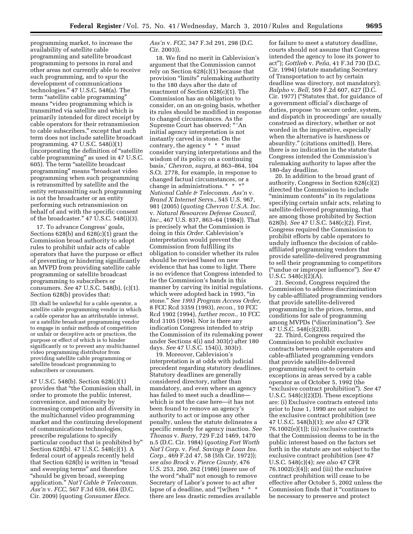programming market, to increase the availability of satellite cable programming and satellite broadcast programming to persons in rural and other areas not currently able to receive such programming, and to spur the development of communications technologies.'' 47 U.S.C. 548(a). The term ''satellite cable programming'' means ''video programming which is transmitted via satellite and which is primarily intended for direct receipt by cable operators for their retransmission to cable subscribers,'' except that such term does not include satellite broadcast programming. 47 U.S.C. 548(i)(1) (incorporating the definition of ''satellite cable programming'' as used in 47 U.S.C. 605). The term ''satellite broadcast programming'' means ''broadcast video programming when such programming is retransmitted by satellite and the entity retransmitting such programming is not the broadcaster or an entity performing such retransmission on behalf of and with the specific consent of the broadcaster.'' 47 U.S.C. 548(i)(3).

17. To advance Congress' goals, Sections 628(b) and 628(c)(1) grant the Commission broad authority to adopt rules to prohibit unfair acts of cable operators that have the purpose or effect of preventing or hindering significantly an MVPD from providing satellite cable programming or satellite broadcast programming to subscribers or consumers. *See* 47 U.S.C. 548(b), (c)(1). Section 628(b) provides that:

[I]t shall be unlawful for a cable operator, a satellite cable programming vendor in which a cable operator has an attributable interest, or a satellite broadcast programming vendor to engage in unfair methods of competition or unfair or deceptive acts or practices, the purpose or effect of which is to hinder significantly or to prevent any multichannel video programming distributor from providing satellite cable programming or satellite broadcast programming to subscribers or consumers.

47 U.S.C. 548(b). Section 628(c)(1) provides that ''the Commission shall, in order to promote the public interest, convenience, and necessity by increasing competition and diversity in the multichannel video programming market and the continuing development of communications technologies, prescribe regulations to specify particular conduct that is prohibited by'' Section 628(b). 47 U.S.C. 548(c)(1). A federal court of appeals recently held that Section 628(b) is written in ''broad and sweeping terms'' and therefore ''should be given broad, sweeping application.'' *Nat'l Cable & Telecomm. Ass'n* v. *FCC,* 567 F.3d 659, 664 (D.C. Cir. 2009) (quoting *Consumer Elecs.* 

# *Ass'n* v. *FCC,* 347 F.3d 291, 298 (D.C. Cir. 2003)).

18. We find no merit in Cablevision's argument that the Commission cannot rely on Section 628(c)(1) because that provision ''limits'' rulemaking authority to the 180 days after the date of enactment of Section 628(c)(1). The Commission has an obligation to consider, on an on-going basis, whether its rules should be modified in response to changed circumstances. As the Supreme Court has observed: '' 'An initial agency interpretation is not instantly carved in stone. On the contrary, the agency \* \* \* must consider varying interpretations and the wisdom of its policy on a continuing basis,' *Chevron, supra,* at 863–864, 104 S.Ct. 2778, for example, in response to changed factual circumstances, or a change in administrations. \* \* \*'' *National Cable & Telecomm. Ass'n* v. *Brand X Internet Servs.,* 545 U.S. 967, 981 (2005) (*quoting Chevron U.S.A. Inc.*  v. *Natural Resources Defense Council, Inc.,* 467 U.S. 837, 863–64 (1984)). That is precisely what the Commission is doing in this *Order.* Cablevision's interpretation would prevent the Commission from fulfilling its obligation to consider whether its rules should be revised based on new evidence that has come to light. There is no evidence that Congress intended to tie the Commission's hands in this manner by carving its initial regulations, which were adopted back in 1993, ''in stone.'' *See 1993 Program Access Order,*  8 FCC Rcd 3359 (1993), *recon.,* 10 FCC Rcd 1902 (1994), *further recon.,* 10 FCC Rcd 3105 (1994). Nor is there any indication Congress intended to strip the Commission of its rulemaking power under Sections 4(i) and 303(r) after 180 days. *See* 47 U.S.C. 154(i), 303(r).

19. Moreover, Cablevision's interpretation is at odds with judicial precedent regarding statutory deadlines. Statutory deadlines are generally considered directory, rather than mandatory, and even where an agency has failed to meet such a deadline which is not the case here—it has not been found to remove an agency's authority to act or impose any other penalty, unless the statute delineates a specific remedy for agency inaction. *See Thomas* v. *Barry,* 729 F.2d 1469, 1470 n.5 (D.C. Cir. 1984) (*quoting Fort Worth Nat'l Corp.* v. *Fed. Savings & Loan Ins. Corp.,* 469 F.2d 47, 58 (5th Cir. 1972)); *see also Brock* v. *Pierce County,* 476 U.S. 253, 260, 262 (1986) (mere use of the word ''shall'' not enough to remove Secretary of Labor's power to act after lapse of a deadline, and "[w]hen \* \* there are less drastic remedies available

for failure to meet a statutory deadline, courts should not assume that Congress intended the agency to lose its power to act''); *Gottlieb* v. *Pen˜ a,* 41 F.3d 730 (D.C. Cir. 1994) (statute mandating Secretary of Transportation to act by certain deadline was directory, not mandatory); *Ralpho* v. *Bell,* 569 F.2d 607, 627 (D.C. Cir. 1977) (''Statutes that, for guidance of a government official's discharge of duties, propose 'to secure order, system, and dispatch in proceedings' are usually construed as directory, whether or not worded in the imperative, especially when the alternative is harshness or absurdity.'' (citations omitted)). Here, there is no indication in the statute that Congress intended the Commission's rulemaking authority to lapse after the 180-day deadline.

20. In addition to the broad grant of authority, Congress in Section 628(c)(2) directed the Commission to include "minimum contents" in its regulations specifying certain unfair acts, relating to satellite-delivered programming, that are among those prohibited by Section 628(b). *See* 47 U.S.C. 548(c)(2). First, Congress required the Commission to prohibit efforts by cable operators to unduly influence the decision of cableaffiliated programming vendors that provide satellite-delivered programming to sell their programming to competitors (''undue or improper influence''). *See* 47 U.S.C. 548(c)(2)(A).

21. Second, Congress required the Commission to address discrimination by cable-affiliated programming vendors that provide satellite-delivered programming in the prices, terms, and conditions for sale of programming among MVPDs (''discrimination''). *See*  47 U.S.C. 548(c)(2)(B).

22. Third, Congress required the Commission to prohibit exclusive contracts between cable operators and cable-affiliated programming vendors that provide satellite-delivered programming subject to certain exceptions in areas served by a cable operator as of October 5, 1992 (the ''exclusive contract prohibition''). *See* 47 U.S.C. 548(c)(2)(D). These exceptions are: (i) Exclusive contracts entered into prior to June 1, 1990 are not subject to the exclusive contract prohibition (*see*  47 U.S.C. 548(h)(1); *see also* 47 CFR  $76.1002(e)(1)$ ; (ii) exclusive contracts that the Commission deems to be in the public interest based on the factors set forth in the statute are not subject to the exclusive contract prohibition (*see* 47 U.S.C. 548(c)(4); *see also* 47 CFR  $76.1002(c)(4)$ ; and (iii) the exclusive contract prohibition will cease to be effective after October 5, 2002 unless the Commission finds that it ''continues to be necessary to preserve and protect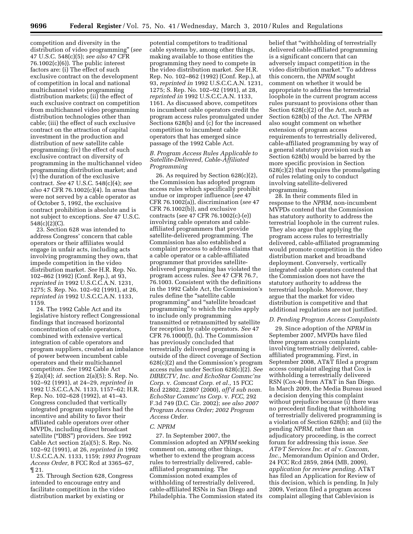competition and diversity in the distribution of video programming'' (*see*  47 U.S.C. 548(c)(5); *see also* 47 CFR  $76.1002(c)(6)$ . The public interest factors are: (i) The effect of such exclusive contract on the development of competition in local and national multichannel video programming distribution markets; (ii) the effect of such exclusive contract on competition from multichannel video programming distribution technologies other than cable; (iii) the effect of such exclusive contract on the attraction of capital investment in the production and distribution of new satellite cable programming; (iv) the effect of such exclusive contract on diversity of programming in the multichannel video programming distribution market; and (v) the duration of the exclusive contract. *See* 47 U.S.C. 548(c)(4); *see also* 47 CFR 76.1002(c)(4). In areas that were not served by a cable operator as of October 5, 1992, the exclusive contract prohibition is absolute and is not subject to exceptions. *See* 47 U.S.C. 548(c)(2)(C).

23. Section 628 was intended to address Congress' concern that cable operators or their affiliates would engage in unfair acts, including acts involving programming they own, that impede competition in the video distribution market. *See* H.R. Rep. No. 102–862 (1992) (Conf. Rep.), at 93, *reprinted in* 1992 U.S.C.C.A.N. 1231, 1275; S. Rep. No. 102–92 (1991), at 26, *reprinted in* 1992 U.S.C.C.A.N. 1133, 1159.

24. The 1992 Cable Act and its legislative history reflect Congressional findings that increased horizontal concentration of cable operators, combined with extensive vertical integration of cable operators and program suppliers, created an imbalance of power between incumbent cable operators and their multichannel competitors. *See* 1992 Cable Act § 2(a)(4); *id.* section 2(a)(5); S. Rep. No. 102–92 (1991), at 24–29, *reprinted in*  1992 U.S.C.C.A.N. 1133, 1157–62; H.R. Rep. No. 102–628 (1992), at 41–43. Congress concluded that vertically integrated program suppliers had the incentive and ability to favor their affiliated cable operators over other MVPDs, including direct broadcast satellite (''DBS'') providers. *See* 1992 Cable Act section 2(a)(5); S. Rep. No. 102–92 (1991), at 26, *reprinted in* 1992 U.S.C.C.A.N. 1133, 1159; *1993 Program Access Order,* 8 FCC Rcd at 3365–67, ¶ 21.

25. Through Section 628, Congress intended to encourage entry and facilitate competition in the video distribution market by existing or

potential competitors to traditional cable systems by, among other things, making available to those entities the programming they need to compete in the video distribution market. *See* H.R. Rep. No. 102–862 (1992) (Conf. Rep.), at 93, *reprinted in* 1992 U.S.C.C.A.N. 1231, 1275; S. Rep. No. 102–92 (1991), at 28, *reprinted in* 1992 U.S.C.C.A.N. 1133, 1161. As discussed above, competitors to incumbent cable operators credit the program access rules promulgated under Sections 628(b) and (c) for the increased competition to incumbent cable operators that has emerged since passage of the 1992 Cable Act.

#### *B. Program Access Rules Applicable to Satellite-Delivered, Cable-Affiliated Programming*

26. As required by Section 628(c)(2), the Commission has adopted program access rules which specifically prohibit undue or improper influence (*see* 47 CFR 76.1002(a)), discrimination (*see* 47 CFR 76.1002(b)), and exclusive contracts (*see* 47 CFR 76.1002(c)-(e)) involving cable operators and cableaffiliated programmers that provide satellite-delivered programming. The Commission has also established a complaint process to address claims that a cable operator or a cable-affiliated programmer that provides satellitedelivered programming has violated the program access rules. *See* 47 CFR 76.7, 76.1003. Consistent with the definitions in the 1992 Cable Act, the Commission's rules define the ''satellite cable programming'' and ''satellite broadcast programming'' to which the rules apply to include only programming transmitted or retransmitted by satellite for reception by cable operators. *See* 47 CFR 76.1000(f), (h). The Commission has previously concluded that terrestrially delivered programming is outside of the direct coverage of Section 628(c)(2) and the Commission's program access rules under Section 628(c)(2). *See DIRECTV, Inc. and EchoStar Commc'ns Corp.* v. *Comcast Corp. et al.,* 15 FCC Rcd 22802, 22807 (2000), *aff'd sub nom. EchoStar Commc'ns Corp.* v. *FCC,* 292 F.3d 749 (D.C. Cir. 2002); *see also 2007 Program Access Order; 2002 Program Access Order.* 

#### *C. NPRM*

27. In September 2007, the Commission adopted an *NPRM* seeking comment on, among other things, whether to extend the program access rules to terrestrially delivered, cableaffiliated programming. The Commission noted examples of withholding of terrestrially delivered, cable-affiliated RSNs in San Diego and Philadelphia. The Commission stated its

belief that ''withholding of terrestrially delivered cable-affiliated programming is a significant concern that can adversely impact competition in the video distribution market.'' To address this concern, the *NPRM* sought comment on whether it would be appropriate to address the terrestrial loophole in the current program access rules pursuant to provisions other than Section 628(c)(2) of the Act, such as Section 628(b) of the Act. The *NPRM*  also sought comment on whether extension of program access requirements to terrestrially delivered, cable-affiliated programming by way of a general statutory provision such as Section 628(b) would be barred by the more specific provision in Section 628(c)(2) that requires the promulgating of rules relating only to conduct involving satellite-delivered programming.

28. In their comments filed in response to the *NPRM,* non-incumbent MVPDs contend that the Commission has statutory authority to address the terrestrial loophole in the current rules. They also argue that applying the program access rules to terrestrially delivered, cable-affiliated programming would promote competition in the video distribution market and broadband deployment. Conversely, vertically integrated cable operators contend that the Commission does not have the statutory authority to address the terrestrial loophole. Moreover, they argue that the market for video distribution is competitive and that additional regulations are not justified.

#### *D. Pending Program Access Complaints*

29. Since adoption of the *NPRM* in September 2007, MVPDs have filed three program access complaints involving terrestrially delivered, cableaffiliated programming. First, in September 2008, AT&T filed a program access complaint alleging that Cox is withholding a terrestrially delivered RSN (Cox-4) from AT&T in San Diego. In March 2009, the Media Bureau issued a decision denying this complaint without prejudice because (i) there was no precedent finding that withholding of terrestrially delivered programming is a violation of Section 628(b); and (ii) the pending *NPRM,* rather than an adjudicatory proceeding, is the correct forum for addressing this issue. *See AT&T Services Inc. et al* v. *Coxcom, Inc.,* Memorandum Opinion and Order, 24 FCC Rcd 2859, 2864 (MB, 2009), *application for review pending.* AT&T has filed an Application for Review of this decision, which is pending. In July 2009, Verizon filed a program access complaint alleging that Cablevision is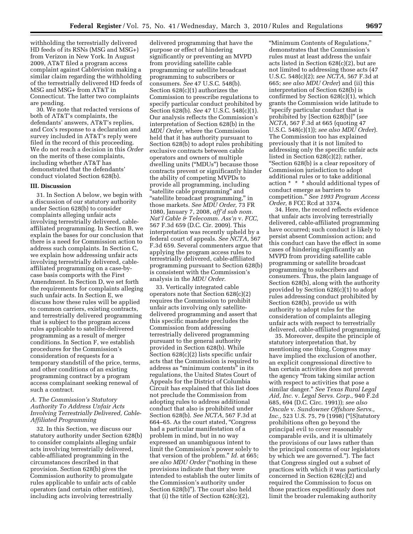withholding the terrestrially delivered HD feeds of its RSNs (MSG and MSG+) from Verizon in New York. In August 2009, AT&T filed a program access complaint against Cablevision making a similar claim regarding the withholding of the terrestrially delivered HD feeds of MSG and MSG+ from AT&T in Connecticut. The latter two complaints are pending.

30. We note that redacted versions of both of AT&T's complaints, the defendants' answers, AT&T's replies, and Cox's response to a declaration and survey included in AT&T's reply were filed in the record of this proceeding. We do not reach a decision in this *Order*  on the merits of these complaints, including whether AT&T has demonstrated that the defendants' conduct violated Section 628(b).

#### **III. Discussion**

31. In Section A below, we begin with a discussion of our statutory authority under Section 628(b) to consider complaints alleging unfair acts involving terrestrially delivered, cableaffiliated programming. In Section B, we explain the bases for our conclusion that there is a need for Commission action to address such complaints. In Section C, we explain how addressing unfair acts involving terrestrially delivered, cableaffiliated programming on a case-bycase basis comports with the First Amendment. In Section D, we set forth the requirements for complaints alleging such unfair acts. In Section E, we discuss how these rules will be applied to common carriers, existing contracts, and terrestrially delivered programming that is subject to the program access rules applicable to satellite-delivered programming as a result of merger conditions. In Section F, we establish procedures for the Commission's consideration of requests for a temporary standstill of the price, terms, and other conditions of an existing programming contract by a program access complainant seeking renewal of such a contract.

# *A. The Commission's Statutory Authority To Address Unfair Acts Involving Terrestrially Delivered, Cable-Affiliated Programming*

32. In this Section, we discuss our statutory authority under Section 628(b) to consider complaints alleging unfair acts involving terrestrially delivered, cable-affiliated programming in the circumstances described in that provision. Section 628(b) gives the Commission authority to promulgate rules applicable to unfair acts of cable operators (and certain other entities), including acts involving terrestrially

delivered programming that have the purpose or effect of hindering significantly or preventing an MVPD from providing satellite cable programming or satellite broadcast programming to subscribers or consumers. *See* 47 U.S.C. 548(b). Section 628(c)(1) authorizes the Commission to prescribe regulations to specify particular conduct prohibited by Section 628(b). *See* 47 U.S.C. 548(c)(1). Our analysis reflects the Commission's interpretation of Section 628(b) in the *MDU Order,* where the Commission held that it has authority pursuant to Section 628(b) to adopt rules prohibiting exclusive contracts between cable operators and owners of multiple dwelling units (''MDUs'') because those contracts prevent or significantly hinder the ability of competing MVPDs to provide all programming, including ''satellite cable programming'' and ''satellite broadcast programming,'' in those markets. *See MDU Order,* 73 FR 1080, January 7, 2008, *aff'd sub nom. Nat'l Cable & Telecomm. Ass'n* v. *FCC,*  567 F.3d 659 (D.C. Cir. 2009). This interpretation was recently upheld by a federal court of appeals. *See NCTA,* 567 F.3d 659. Several commenters argue that applying the program access rules to terrestrially delivered, cable-affiliated programming pursuant to Section 628(b) is consistent with the Commission's analysis in the *MDU Order.* 

33. Vertically integrated cable operators note that Section 628(c)(2) requires the Commission to prohibit unfair acts involving only satellitedelivered programming and assert that this specific mandate precludes the Commission from addressing terrestrially delivered programming pursuant to the general authority provided in Section 628(b). While Section 628(c)(2) lists specific unfair acts that the Commission is required to address as ''minimum contents'' in its regulations, the United States Court of Appeals for the District of Columbia Circuit has explained that this list does not preclude the Commission from adopting rules to address additional conduct that also is prohibited under Section 628(b). *See NCTA,* 567 F.3d at 664–65. As the court stated, ''Congress had a particular manifestation of a problem in mind, but in no way expressed an unambiguous intent to limit the Commission's power solely to that version of the problem.'' *Id.* at 665; *see also MDU Order* (''nothing in these provisions indicate that they were intended to establish the outer limits of the Commission's authority under Section 628(b)''). The court also held that (i) the title of Section 628(c)(2),

''Minimum Contents of Regulations,'' demonstrates that the Commission's rules must at least address the unfair acts listed in Section 628(c)(2), but are not limited to addressing those acts (47 U.S.C. 548(c)(2); *see NCTA,* 567 F.3d at 665; *see also MDU Order*) and (ii) this interpretation of Section 628(b) is confirmed by Section 628(c)(1), which grants the Commission wide latitude to ''specify particular conduct that is prohibited by [Section 628(b)]'' (*see NCTA,* 567 F.3d at 665 (quoting 47 U.S.C. 548(c)(1)); *see also MDU Order*). The Commission too has explained previously that it is not limited to addressing only the specific unfair acts listed in Section 628(c)(2); rather, ''Section 628(b) is a clear repository of Commission jurisdiction to adopt additional rules or to take additional action \* \* \* should additional types of conduct emerge as barriers to competition.'' *See 1993 Program Access Order,* 8 FCC Rcd at 3374.

34. Here, the record reflects evidence that unfair acts involving terrestrially delivered, cable-affiliated programming have occurred; such conduct is likely to persist absent Commission action; and this conduct can have the effect in some cases of hindering significantly an MVPD from providing satellite cable programming or satellite broadcast programming to subscribers and consumers. Thus, the plain language of Section 628(b), along with the authority provided by Section 628(c)(1) to adopt rules addressing conduct prohibited by Section 628(b), provide us with authority to adopt rules for the consideration of complaints alleging unfair acts with respect to terrestrially delivered, cable-affiliated programming.

35. Moreover, despite the principle of statutory interpretation that, by mentioning one thing, Congress may have implied the exclusion of another, an explicit congressional directive to ban certain activities does not prevent the agency ''from taking similar action with respect to activities that pose a similar danger.'' *See Texas Rural Legal Aid, Inc.* v. *Legal Servs. Corp.,* 940 F.2d 685, 694 (D.C. Circ. 1991)); *see also Oncale* v. *Sundowner Offshore Servs., Inc.,* 523 U.S. 75, 79 (1998) ("[S]tatutory prohibitions often go beyond the principal evil to cover reasonably comparable evils, and it is ultimately the provisions of our laws rather than the principal concerns of our legislators by which we are governed.''). The fact that Congress singled out a subset of practices with which it was particularly concerned in Section 628(c)(2) and required the Commission to focus on those practices expeditiously does not limit the broader rulemaking authority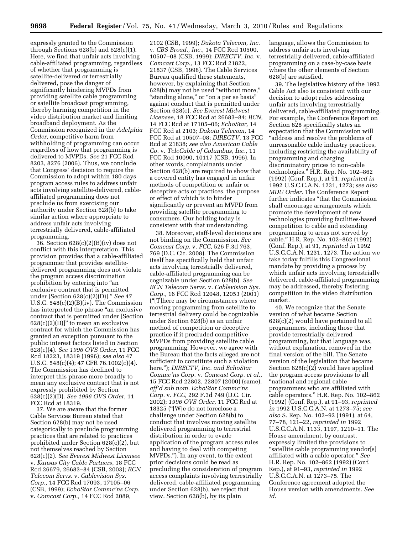expressly granted to the Commission through Sections 628(b) and 628(c)(1). Here, we find that unfair acts involving cable-affiliated programming, regardless of whether that programming is satellite-delivered or terrestrially delivered, pose the danger of significantly hindering MVPDs from providing satellite cable programming or satellite broadcast programming, thereby harming competition in the video distribution market and limiting broadband deployment. As the Commission recognized in the *Adelphia Order,* competitive harm from withholding of programming can occur regardless of how that programming is delivered to MVPDs. *See* 21 FCC Rcd 8203, 8276 (2006). Thus, we conclude that Congress' decision to require the Commission to adopt within 180 days program access rules to address unfair acts involving satellite-delivered, cableaffiliated programming does not preclude us from exercising our authority under Section 628(b) to take similar action where appropriate to address unfair acts involving terrestrially delivered, cable-affiliated programming.

 $36.$  Section  $628(c)(2)(B)(iv)$  does not conflict with this interpretation. This provision provides that a cable-affiliated programmer that provides satellitedelivered programming does not violate the program access discrimination prohibition by entering into ''an exclusive contract that is permitted under [Section 628(c)(2)(D)].'' *See* 47 U.S.C. 548(c)(2)(B)(iv). The Commission has interpreted the phrase "an exclusive" contract that is permitted under [Section  $628(c)(2)(D)]$ " to mean an exclusive contract for which the Commission has granted an exception pursuant to the public interest factors listed in Section 628(c)(4). *See 1996 OVS Order,* 11 FCC Rcd 18223, 18319 (1996); *see also* 47 U.S.C. 548(c)(4); 47 CFR 76.1002(c)(4). The Commission has declined to interpret this phrase more broadly to mean any exclusive contract that is not expressly prohibited by Section 628(c)(2)(D). *See 1996 OVS Order,* 11 FCC Rcd at 18319.

37. We are aware that the former Cable Services Bureau stated that Section 628(b) may not be used categorically to preclude programming practices that are related to practices prohibited under Section 628(c)(2), but not themselves reached by Section 628(c)(2). *See Everest Midwest Licensee*  v. *Kansas City Cable Partners,* 18 FCC Rcd 26679, 26683–84 (CSB, 2003); *RCN Telecom Servs.* v. *Cablevision Sys. Corp.,* 14 FCC Rcd 17093, 17105–06 (CSB, 1999); *EchoStar Commc'ns Corp.*  v. *Comcast Corp.,* 14 FCC Rcd 2089,

2102 (CSB, 1999); *Dakota Telecom, Inc.*  v. *CBS Broad., Inc.,* 14 FCC Rcd 10500, 10507–08 (CSB, 1999); *DIRECTV, Inc.* v. *Comcast Corp.,* 13 FCC Rcd 21822, 21837 (CSB, 1998). The Cable Services Bureau qualified these statements, however, by explaining that Section 628(b) may not be used ''without more,'' ''standing alone,'' or ''on a per se basis'' against conduct that is permitted under Section 628(c). *See Everest Midwest Licensee,* 18 FCC Rcd at 26683–84; *RCN,*  14 FCC Rcd at 17105–06; *EchoStar,* 14 FCC Rcd at 2103; *Dakota Telecom,* 14 FCC Rcd at 10507–08; *DIRECTV,* 13 FCC Rcd at 21838; *see also American Cable Co.* v. *TeleCable of Columbus, Inc.,* 11 FCC Rcd 10090, 10117 (CSB, 1996). In other words, complainants under Section 628(b) are required to show that a covered entity has engaged in unfair methods of competition or unfair or deceptive acts or practices, the purpose or effect of which is to hinder significantly or prevent an MVPD from providing satellite programming to consumers. Our holding today is consistent with that understanding.

38. Moreover, staff-level decisions are not binding on the Commission. *See Comcast Corp.* v. *FCC,* 526 F.3d 763, 769 (D.C. Cir. 2008). The Commission itself has specifically held that unfair acts involving terrestrially delivered, cable-affiliated programming can be cognizable under Section 628(b). *See RCN Telecom Servs.* v. *Cablevision Sys. Corp.,* 16 FCC Rcd 12048, 12053 (2001) (''[T]here may be circumstances where moving programming from satellite to terrestrial delivery could be cognizable under Section 628(b) as an unfair method of competition or deceptive practice if it precluded competitive MVPDs from providing satellite cable programming. However, we agree with the Bureau that the facts alleged are not sufficient to constitute such a violation here.''); *DIRECTV, Inc. and EchoStar Commc'ns Corp.* v. *Comcast Corp. et al.,*  15 FCC Rcd 22802, 22807 (2000) (same), *aff'd sub nom. EchoStar Commc'ns Corp.* v. *FCC,* 292 F.3d 749 (D.C. Cir. 2002); *1996 OVS Order,* 11 FCC Rcd at 18325 (''[W]e do not foreclose a challenge under Section 628(b) to conduct that involves moving satellite delivered programming to terrestrial distribution in order to evade application of the program access rules and having to deal with competing MVPDs.''). In any event, to the extent prior decisions could be read as precluding the consideration of program access complaints involving terrestrially delivered, cable-affiliated programming under Section 628(b), we reject that view. Section 628(b), by its plain

language, allows the Commission to address unfair acts involving terrestrially delivered, cable-affiliated programming on a case-by-case basis where the other elements of Section 628(b) are satisfied.

39. The legislative history of the 1992 Cable Act also is consistent with our decision to adopt rules addressing unfair acts involving terrestrially delivered, cable-affiliated programming. For example, the Conference Report on Section 628 specifically states an expectation that the Commission will ''address and resolve the problems of unreasonable cable industry practices, including restricting the availability of programming and charging discriminatory prices to non-cable technologies.'' H.R. Rep. No. 102–862 (1992) (Conf. Rep.), at 91, *reprinted in*  1992 U.S.C.C.A.N. 1231, 1273; *see also MDU Order.* The Conference Report further indicates "that the Commission shall encourage arrangements which promote the development of new technologies providing facilities-based competition to cable and extending programming to areas not served by cable.'' H.R. Rep. No. 102–862 (1992) (Conf. Rep.), at 91, *reprinted in* 1992 U.S.C.C.A.N. 1231, 1273. The action we take today fulfills this Congressional mandate by providing a process by which unfair acts involving terrestrially delivered, cable-affiliated programming may be addressed, thereby fostering competition in the video distribution market.

40. We recognize that the Senate version of what became Section 628(c)(2) would have pertained to all programmers, including those that provide terrestrially delivered programming, but that language was, without explanation, removed in the final version of the bill. The Senate version of the legislation that became Section 628(c)(2) would have applied the program access provisions to all ''national and regional cable programmers who are affiliated with cable operators.'' H.R. Rep. No. 102–862 (1992) (Conf. Rep.), at 91–93, *reprinted in* 1992 U.S.C.C.A.N. at 1273–75; *see also* S. Rep. No. 102–92 (1991), at 64, 77–78, 121–22, *reprinted in* 1992 U.S.C.C.A.N. 1133, 1197, 1210–11. The House amendment, by contrast, expressly limited the provisions to ''satellite cable programming vendor[s] affiliated with a cable operator.'' *See*  H.R. Rep. No. 102–862 (1992) (Conf. Rep.), at 91–93, *reprinted in* 1992 U.S.C.C.A.N. at 1273–75. The Conference agreement adopted the House version with amendments. *See id.*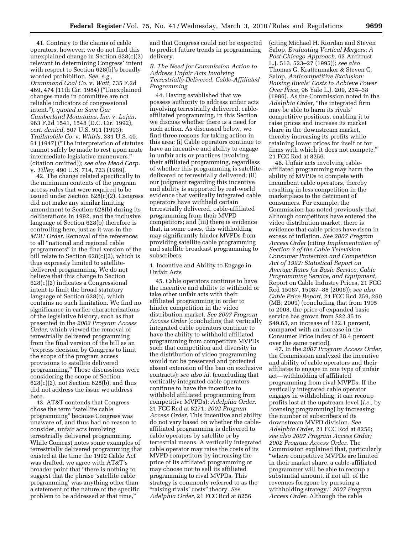41. Contrary to the claims of cable operators, however, we do not find this unexplained change in Section 628(c)(2) relevant in determining Congress' intent with respect to Section 628(b)'s broadly worded prohibition. *See, e.g., Drummond Coal Co.* v. *Watt,* 735 F.2d 469, 474 (11th Cir. 1984) (''Unexplained changes made in committee are not reliable indicators of congressional intent.''), *quoted in Save Our Cumberland Mountains, Inc.* v. *Lujan,*  963 F.2d 1541, 1548 (D.C. Cir. 1992), *cert. denied,* 507 U.S. 911 (1993); *Trailmobile Co.* v. *Whirls,* 331 U.S. 40, 61 (1947) (''The interpretation of statutes cannot safely be made to rest upon mute intermediate legislative maneuvers.'' (citation omitted)); *see also Mead Corp.*  v. *Tilley,* 490 U.S. 714, 723 (1989).

42. The change related specifically to the minimum contents of the program access rules that were required to be issued under Section 628(c)(2). Congress did not make any similar limiting amendment to Section 628(b) during its deliberations in 1992, and the inclusive language of Section 628(b) therefore is controlling here, just as it was in the *MDU Order.* Removal of the references to all ''national and regional cable programmers'' in the final version of the bill relate to Section 628(c)(2), which is thus expressly limited to satellitedelivered programming. We do not believe that this change to Section 628(c)(2) indicates a Congressional intent to limit the broad statutory language of Section 628(b), which contains no such limitation. We find no significance in earlier characterizations of the legislative history, such as that presented in the *2002 Program Access Order,* which viewed the removal of terrestrially delivered programming from the final version of the bill as an ''express decision by Congress to limit the scope of the program access provisions to satellite delivered programming.'' Those discussions were considering the scope of Section  $628(c)(2)$ , not Section  $628(b)$ , and thus did not address the issue we address here.

43. AT&T contends that Congress chose the term ''satellite cable programming'' because Congress was unaware of, and thus had no reason to consider, unfair acts involving terrestrially delivered programming. While Comcast notes some examples of terrestrially delivered programming that existed at the time the 1992 Cable Act was drafted, we agree with AT&T's broader point that ''there is nothing to suggest that the phrase 'satellite cable programming' was anything other than a statement of the nature of the specific problem to be addressed at that time,''

and that Congress could not be expected to predict future trends in programming delivery.

# *B. The Need for Commission Action to Address Unfair Acts Involving Terrestrially Delivered, Cable-Affiliated Programming*

44. Having established that we possess authority to address unfair acts involving terrestrially delivered, cableaffiliated programming, in this Section we discuss whether there is a need for such action. As discussed below, we find three reasons for taking action in this area: (i) Cable operators continue to have an incentive and ability to engage in unfair acts or practices involving their affiliated programming, regardless of whether this programming is satellitedelivered or terrestrially delivered; (ii) our judgment regarding this incentive and ability is supported by real-world evidence that vertically integrated cable operators have withheld certain terrestrially delivered, cable-affiliated programming from their MVPD competitors; and (iii) there is evidence that, in some cases, this withholding may significantly hinder MVPDs from providing satellite cable programming and satellite broadcast programming to subscribers.

1. Incentive and Ability to Engage in Unfair Acts

45. Cable operators continue to have the incentive and ability to withhold or take other unfair acts with their affiliated programming in order to hinder competition in the video distribution market. *See 2007 Program Access Order* (concluding that vertically integrated cable operators continue to have the ability to withhold affiliated programming from competitive MVPDs such that competition and diversity in the distribution of video programming would not be preserved and protected absent extension of the ban on exclusive contracts); *see also id.* (concluding that vertically integrated cable operators continue to have the incentive to withhold affiliated programming from competitive MVPDs); *Adelphia Order,*  21 FCC Rcd at 8271; *2002 Program Access Order.* This incentive and ability do not vary based on whether the cableaffiliated programming is delivered to cable operators by satellite or by terrestrial means. A vertically integrated cable operator may raise the costs of its MVPD competitors by increasing the price of its affiliated programming or may choose not to sell its affiliated programming to rival MVPDs. This strategy is commonly referred to as the ''raising rivals' costs'' theory. *See Adelphia Order,* 21 FCC Rcd at 8256

(citing Michael H. Riordan and Steven Salop, *Evaluating Vertical Mergers: A Post-Chicago Approach,* 63 Antitrust L.J. 513, 523–27 (1995)); *see also*  Thomas G. Krattenmaker & Steven C. Salop, *Anticompetitive Exclusion: Raising Rivals' Costs to Achieve Power Over Price,* 96 Yale L.J. 209, 234–38 (1986). As the Commission noted in the *Adelphia Order,* ''the integrated firm may be able to harm its rivals' competitive positions, enabling it to raise prices and increase its market share in the downstream market, thereby increasing its profits while retaining lower prices for itself or for firms with which it does not compete.'' 21 FCC Rcd at 8256.

46. Unfair acts involving cableaffiliated programming may harm the ability of MVPDs to compete with incumbent cable operators, thereby resulting in less competition in the marketplace to the detriment of consumers. For example, the Commission has noted previously that, although competitors have entered the video distribution market, there is evidence that cable prices have risen in excess of inflation. *See 2007 Program Access Order* (citing *Implementation of Section 3 of the Cable Television Consumer Protection and Competition Act of 1992: Statistical Report on Average Rates for Basic Service, Cable Programming Service, and Equipment,*  Report on Cable Industry Prices, 21 FCC Rcd 15087, 15087–88 (2006)); *see also Cable Price Report,* 24 FCC Rcd 259, 260 (MB, 2009) (concluding that from 1995 to 2008, the price of expanded basic service has grown from \$22.35 to \$49.65, an increase of 122.1 percent, compared with an increase in the Consumer Price Index of 38.4 percent over the same period).

47. In the *2007 Program Access Order,*  the Commission analyzed the incentive and ability of cable operators and their affiliates to engage in one type of unfair act—withholding of affiliated programming from rival MVPDs. If the vertically integrated cable operator engages in withholding, it can recoup profits lost at the upstream level (*i.e.,* by licensing programming) by increasing the number of subscribers of its downstream MVPD division. *See Adelphia Order,* 21 FCC Rcd at 8256; *see also 2007 Program Access Order; 2002 Program Access Order.* The Commission explained that, particularly ''where competitive MVPDs are limited in their market share, a cable-affiliated programmer will be able to recoup a substantial amount, if not all, of the revenues foregone by pursuing a withholding strategy.'' *2007 Program Access Order.* Although the cable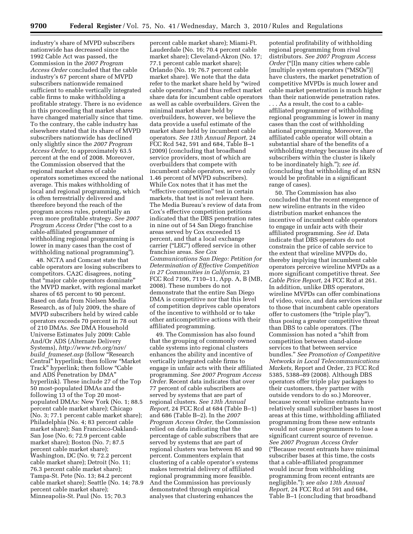industry's share of MVPD subscribers nationwide has decreased since the 1992 Cable Act was passed, the Commission in the *2007 Program Access Order* concluded that the cable industry's 67 percent share of MVPD subscribers nationwide remained sufficient to enable vertically integrated cable firms to make withholding a profitable strategy. There is no evidence in this proceeding that market shares have changed materially since that time. To the contrary, the cable industry has elsewhere stated that its share of MVPD subscribers nationwide has declined only slightly since the *2007 Program Access Order,* to approximately 63.5 percent at the end of 2008. Moreover, the Commission observed that the regional market shares of cable operators sometimes exceed the national average. This makes withholding of local and regional programming, which is often terrestrially delivered and therefore beyond the reach of the program access rules, potentially an even more profitable strategy. *See 2007 Program Access Order* (''the cost to a cable-affiliated programmer of withholding regional programming is lower in many cases than the cost of withholding national programming'').

48. NCTA and Comcast state that cable operators are losing subscribers to competitors. CA2C disagrees, noting that ''major cable operators dominate'' the MVPD market, with regional market shares of 65 percent to 90 percent. Based on data from Nielsen Media Research, as of July 2009, the share of MVPD subscribers held by wired cable operators exceeds 70 percent in 78 out of 210 DMAs. *See* DMA Household Universe Estimates July 2009: Cable And/Or ADS (Alternate Delivery Systems), *http://www.tvb.org/nav/ build*\_*frameset.asp* (follow ''Research Central'' hyperlink; then follow ''Market Track" hyperlink; then follow "Cable" and ADS Penetration by DMA'' hyperlink). These include 27 of the Top 50 most-populated DMAs and the following 13 of the Top 20 mostpopulated DMAs: New York (No. 1; 88.5 percent cable market share); Chicago (No. 3; 77.1 percent cable market share); Philadelphia (No. 4; 83 percent cable market share); San Francisco-Oakland-San Jose (No. 6; 72.9 percent cable market share); Boston (No. 7; 87.5 percent cable market share); Washington, DC (No. 9; 72.2 percent cable market share); Detroit (No. 11; 76.3 percent cable market share); Tampa-St. Pete (No. 13; 84.2 percent cable market share); Seattle (No. 14; 78.9 percent cable market share); Minneapolis-St. Paul (No. 15; 70.3

percent cable market share); Miami-Ft. Lauderdale (No. 16; 70.4 percent cable market share); Cleveland-Akron (No. 17; 77.1 percent cable market share); Orlando (No. 19; 76.7 percent cable market share). We note that the data refer to the market share held by ''wired cable operators,'' and thus reflect market share data for incumbent cable operators as well as cable overbuilders. Given the minimal market share held by overbuilders, however, we believe the data provide a useful estimate of the market share held by incumbent cable operators. *See 13th Annual Report,* 24 FCC Rcd 542, 591 and 684, Table B–1 (2009) (concluding that broadband service providers, most of which are overbuilders that compete with incumbent cable operators, serve only 1.46 percent of MVPD subscribers). While Cox notes that it has met the ''effective competition'' test in certain markets, that test is not relevant here. The Media Bureau's review of data from Cox's effective competition petitions indicated that the DBS penetration rates in nine out of 54 San Diego franchise areas served by Cox exceeded 15 percent, and that a local exchange carrier (''LEC'') offered service in other franchise areas. *See Cox Communications San Diego: Petition for Determination of Effective Competition in 27 Communities in California,* 23 FCC Rcd 7106, 7110–11, App. A, B (MB, 2008). These numbers do not demonstrate that the entire San Diego DMA is competitive nor that this level of competition deprives cable operators of the incentive to withhold or to take other anticompetitive actions with their affiliated programming.

49. The Commission has also found that the grouping of commonly owned cable systems into regional clusters enhances the ability and incentive of vertically integrated cable firms to engage in unfair acts with their affiliated programming. *See 2007 Program Access Order.* Recent data indicates that over 77 percent of cable subscribers are served by systems that are part of regional clusters. *See 13th Annual Report,* 24 FCC Rcd at 684 (Table B–1) and 686 (Table B–2). In the *2007 Program Access Order,* the Commission relied on data indicating that the percentage of cable subscribers that are served by systems that are part of regional clusters was between 85 and 90 percent. Commenters explain that clustering of a cable operator's systems makes terrestrial delivery of affiliated regional programming more feasible. And the Commission has previously demonstrated through empirical analyses that clustering enhances the

potential profitability of withholding regional programming from rival distributors. *See 2007 Program Access Order* ("[I]n many cities where cable [multiple system operators ("MSOs")] have clusters, the market penetration of competitive MVPDs is much lower and cable market penetration is much higher than their nationwide penetration rates.

. . . As a result, the cost to a cableaffiliated programmer of withholding regional programming is lower in many cases than the cost of withholding national programming. Moreover, the affiliated cable operator will obtain a substantial share of the benefits of a withholding strategy because its share of subscribers within the cluster is likely to be inordinately high.''); *see id.*  (concluding that withholding of an RSN would be profitable in a significant range of cases).

50. The Commission has also concluded that the recent emergence of new wireline entrants in the video distribution market enhances the incentive of incumbent cable operators to engage in unfair acts with their affiliated programming. *See id.* Data indicate that DBS operators do not constrain the price of cable service to the extent that wireline MVPDs do, thereby implying that incumbent cable operators perceive wireline MVPDs as a more significant competitive threat. *See Cable Price Report,* 24 FCC Rcd at 261. In addition, unlike DBS operators, wireline MVPDs can offer combinations of video, voice, and data services similar to those that incumbent cable operators offer to customers (the ''triple play''), thus posing a greater competitive threat than DBS to cable operators. (The Commission has noted a ''shift from competition between stand-alone services to that between service bundles.'' *See Promotion of Competitive Networks in Local Telecommunications Markets,* Report and Order, 23 FCC Rcd 5385, 5388–89 (2008). Although DBS operators offer triple play packages to their customers, they partner with outside vendors to do so.) Moreover, because recent wireline entrants have relatively small subscriber bases in most areas at this time, withholding affiliated programming from these new entrants would not cause programmers to lose a significant current source of revenue. *See 2007 Program Access Order*  (''Because recent entrants have minimal subscriber bases at this time, the costs that a cable-affiliated programmer would incur from withholding programming from recent entrants are negligible.''); *see also 13th Annual Report,* 24 FCC Rcd at 591 and 684, Table B–1 (concluding that broadband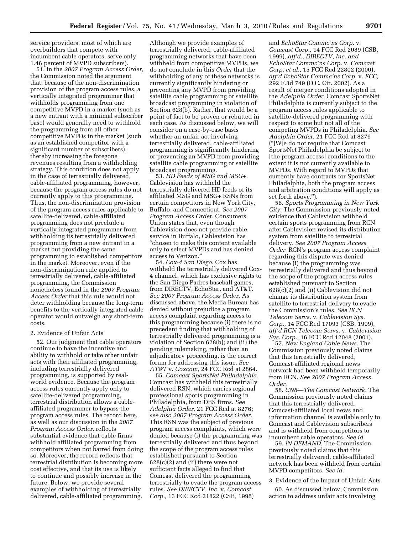service providers, most of which are overbuilders that compete with incumbent cable operators, serve only 1.46 percent of MVPD subscribers).

51. In the *2007 Program Access Order,*  the Commission noted the argument that, because of the non-discrimination provision of the program access rules, a vertically integrated programmer that withholds programming from one competitive MVPD in a market (such as a new entrant with a minimal subscriber base) would generally need to withhold the programming from all other competitive MVPDs in the market (such as an established competitor with a significant number of subscribers), thereby increasing the foregone revenues resulting from a withholding strategy. This condition does not apply in the case of terrestrially delivered, cable-affiliated programming, however, because the program access rules do not currently apply to this programming. Thus, the non-discrimination provision of the program access rules applicable to satellite-delivered, cable-affiliated programming does not preclude a vertically integrated programmer from withholding its terrestrially delivered programming from a new entrant in a market but providing the same programming to established competitors in the market. Moreover, even if the non-discrimination rule applied to terrestrially delivered, cable-affiliated programming, the Commission nonetheless found in the *2007 Program Access Order* that this rule would not deter withholding because the long-term benefits to the vertically integrated cable operator would outweigh any short-term costs.

# 2. Evidence of Unfair Acts

52. Our judgment that cable operators continue to have the incentive and ability to withhold or take other unfair acts with their affiliated programming, including terrestrially delivered programming, is supported by realworld evidence. Because the program access rules currently apply only to satellite-delivered programming, terrestrial distribution allows a cableaffiliated programmer to bypass the program access rules. The record here, as well as our discussion in the *2007 Program Access Order,* reflects substantial evidence that cable firms withhold affiliated programming from competitors when not barred from doing so. Moreover, the record reflects that terrestrial distribution is becoming more cost effective, and that its use is likely to continue and possibly increase in the future. Below, we provide several examples of withholding of terrestrially delivered, cable-affiliated programming.

Although we provide examples of terrestrially delivered, cable-affiliated programming networks that have been withheld from competitive MVPDs, we do not conclude in this *Order* that the withholding of any of these networks is currently significantly hindering or preventing any MVPD from providing satellite cable programming or satellite broadcast programming in violation of Section 628(b). Rather, that would be a point of fact to be proven or rebutted in each case. As discussed below, we will consider on a case-by-case basis whether an unfair act involving terrestrially delivered, cable-affiliated programming is significantly hindering or preventing an MVPD from providing satellite cable programming or satellite broadcast programming.

53. *HD Feeds of MSG and MSG+.*  Cablevision has withheld the terrestrially delivered HD feeds of its affiliated MSG and MSG+ RSNs from certain competitors in New York City, Buffalo, and Connecticut. *See 2007 Program Access Order.* Consumers Union states that, even though Cablevision does not provide cable service in Buffalo, Cablevision has ''chosen to make this content available only to select MVPDs and has denied access to Verizon.''

54. *Cox-4 San Diego.* Cox has withheld the terrestrially delivered Cox-4 channel, which has exclusive rights to the San Diego Padres baseball games, from DIRECTV, EchoStar, and AT&T. *See 2007 Program Access Order.* As discussed above, the Media Bureau has denied without prejudice a program access complaint regarding access to this programming because (i) there is no precedent finding that withholding of terrestrially delivered programming is a violation of Section 628(b); and (ii) the pending rulemaking, rather than an adjudicatory proceeding, is the correct forum for addressing this issue. *See AT&T* v. *Coxcom,* 24 FCC Rcd at 2864.

55. *Comcast SportsNet Philadelphia.*  Comcast has withheld this terrestrially delivered RSN, which carries regional professional sports programming in Philadelphia, from DBS firms. *See Adelphia Order,* 21 FCC Rcd at 8276; *see also 2007 Program Access Order.*  This RSN was the subject of previous program access complaints, which were denied because (i) the programming was terrestrially delivered and thus beyond the scope of the program access rules established pursuant to Section 628(c)(2) and (ii) there were not sufficient facts alleged to find that Comcast delivered the programming terrestrially to evade the program access rules. *See DIRECTV, Inc.* v. *Comcast Corp.,* 13 FCC Rcd 21822 (CSB, 1998)

and *EchoStar Commc'ns Corp.* v. *Comcast Corp.,* 14 FCC Rcd 2089 (CSB, 1999), *aff'd., DIRECTV, Inc. and EchoStar Commc'ns Corp.* v. *Comcast Corp. et al.,* 15 FCC Rcd 22802 (2000), *aff'd EchoStar Commc'ns Corp.* v. *FCC,*  292 F.3d 749 (D.C. Cir. 2002). As a result of merger conditions adopted in the *Adelphia Order,* Comcast SportsNet Philadelphia is currently subject to the program access rules applicable to satellite-delivered programming with respect to some but not all of the competing MVPDs in Philadelphia. *See Adelphia Order,* 21 FCC Rcd at 8276 (''[W]e do not require that Comcast SportsNet Philadelphia be subject to [the program access] conditions to the extent it is not currently available to MVPDs. With regard to MVPDs that currently have contracts for SportsNet Philadelphia, both the program access and arbitration conditions will apply as set forth above.'').

56. *Sports Programming in New York City.* The Commission previously noted evidence that Cablevision withheld certain sports programming from RCN after Cablevision revised its distribution system from satellite to terrestrial delivery. *See 2007 Program Access Order.* RCN's program access complaint regarding this dispute was denied because (i) the programming was terrestrially delivered and thus beyond the scope of the program access rules established pursuant to Section 628(c)(2) and (ii) Cablevision did not change its distribution system from satellite to terrestrial delivery to evade the Commission's rules. *See RCN Telecom Servs.* v. *Cablevision Sys. Corp.,* 14 FCC Rcd 17093 (CSB, 1999), *aff'd RCN Telecom Servs.* v. *Cablevision Sys. Corp.,* 16 FCC Rcd 12048 (2001).

57. *New England Cable News.* The Commission previously noted claims that this terrestrially delivered, Comcast-affiliated regional news network had been withheld temporarily from RCN. *See 2007 Program Access Order.* 

58. *CN8—The Comcast Network.* The Commission previously noted claims that this terrestrially delivered, Comcast-affiliated local news and information channel is available only to Comcast and Cablevision subscribers and is withheld from competitors to incumbent cable operators. *See id.* 

59. *iN DEMAND.* The Commission previously noted claims that this terrestrially delivered, cable-affiliated network has been withheld from certain MVPD competitors. *See id.* 

#### 3. Evidence of the Impact of Unfair Acts

60. As discussed below, Commission action to address unfair acts involving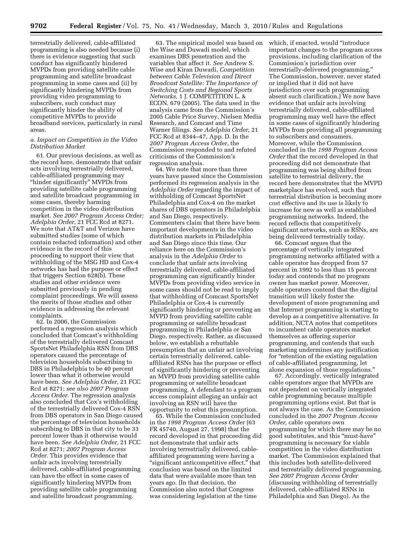terrestrially delivered, cable-affiliated programming is also needed because (i) there is evidence suggesting that such conduct has significantly hindered MVPDs from providing satellite cable programming and satellite broadcast programming in some cases and (ii) by significantly hindering MVPDs from providing video programming to subscribers, such conduct may significantly hinder the ability of competitive MVPDs to provide broadband services, particularly in rural areas.

# *a. Impact on Competition in the Video Distribution Market*

61. Our previous decisions, as well as the record here, demonstrate that unfair acts involving terrestrially delivered, cable-affiliated programming may ''hinder significantly'' MVPDs from providing satellite cable programming and satellite broadcast programming in some cases, thereby harming competition in the video distribution market. *See 2007 Program Access Order; Adelphia Order,* 21 FCC Rcd at 8271. We note that AT&T and Verizon have submitted studies (some of which contain redacted information) and other evidence in the record of this proceeding to support their view that withholding of the MSG HD and Cox-4 networks has had the purpose or effect that triggers Section 628(b). These studies and other evidence were submitted previously in pending complaint proceedings. We will assess the merits of those studies and other evidence in addressing the relevant complaints.

62. In 2006, the Commission performed a regression analysis which concluded that Comcast's withholding of the terrestrially delivered Comcast SportsNet Philadelphia RSN from DBS operators caused the percentage of television households subscribing to DBS in Philadelphia to be 40 percent lower than what it otherwise would have been. *See Adelphia Order,* 21 FCC Rcd at 8271; *see also 2007 Program Access Order.* The regression analysis also concluded that Cox's withholding of the terrestrially delivered Cox-4 RSN from DBS operators in San Diego caused the percentage of television households subscribing to DBS in that city to be 33 percent lower than it otherwise would have been. *See Adelphia Order,* 21 FCC Rcd at 8271; *2007 Program Access Order.* This provides evidence that unfair acts involving terrestrially delivered, cable-affiliated programming can have the effect in some cases of significantly hindering MVPDs from providing satellite cable programming and satellite broadcast programming.

63. The empirical model was based on the Wise and Duwadi model, which examines DBS penetration and the variables that affect it. *See* Andrew S. Wise and Kiran Duwadi, *Competition between Cable Television and Direct Broadcast Satellite: The Importance of Switching Costs and Regional Sports Networks,* 1 J. COMPETITION L. & ECON. 679 (2005). The data used in the analysis came from the Commission's 2005 Cable Price Survey, Nielsen Media Research, and Comcast and Time Warner filings. *See Adelphia Order,* 21 FCC Rcd at 8344–47, App. D. In the *2007 Program Access Order,* the Commission responded to and refuted criticisms of the Commission's regression analysis.

64. We note that more than three years have passed since the Commission performed its regression analysis in the *Adelphia Order* regarding the impact of withholding of Comcast SportsNet Philadelphia and Cox-4 on the market shares of DBS operators in Philadelphia and San Diego, respectively. Commenters claim that there have been important developments in the video distribution markets in Philadelphia and San Diego since this time. Our reliance here on the Commission's analysis in the *Adelphia Order* to conclude that unfair acts involving terrestrially delivered, cable-affiliated programming can significantly hinder MVPDs from providing video service in some cases should not be read to imply that withholding of Comcast SportsNet Philadelphia or Cox-4 is currently significantly hindering or preventing an MVPD from providing satellite cable programming or satellite broadcast programming in Philadelphia or San Diego, respectively. Rather, as discussed below, we establish a rebuttable presumption that an unfair act involving certain terrestrially delivered, cableaffiliated RSNs has the purpose or effect of significantly hindering or preventing an MVPD from providing satellite cable programming or satellite broadcast programming. A defendant to a program access complaint alleging an unfair act involving an RSN will have the opportunity to rebut this presumption.

65. While the Commission concluded in the *1998 Program Access Order* (63 FR 45740, August 27, 1998) that the record developed in that proceeding did not demonstrate that unfair acts involving terrestrially delivered, cableaffiliated programming were having a "significant anticompetitive effect," that conclusion was based on the limited data that were available more than ten years ago. (In that decision, the Commission also noted that Congress was considering legislation at the time

which, if enacted, would "introduce important changes to the program access provisions, including clarification of the Commission's jurisdiction over terrestrially-delivered programming.'' The Commission, however, never stated or implied that it did not have jurisdiction over such programming absent such clarification.) We now have evidence that unfair acts involving terrestrially delivered, cable-affiliated programming may well have the effect in some cases of significantly hindering MVPDs from providing all programming to subscribers and consumers. Moreover, while the Commission concluded in the *1998 Program Access Order* that the record developed in that proceeding did not demonstrate that programming was being shifted from satellite to terrestrial delivery, the record here demonstrates that the MVPD marketplace has evolved, such that terrestrial distribution is becoming more cost effective and its use is likely to increase for new as well as established programming networks. Indeed, the record reflects that competitively significant networks, such as RSNs, are being delivered terrestrially today.

66. Comcast argues that the percentage of vertically integrated programming networks affiliated with a cable operator has dropped from 57 percent in 1992 to less than 15 percent today and contends that no program owner has market power. Moreover, cable operators contend that the digital transition will likely foster the development of more programming and that Internet programming is starting to develop as a competitive alternative. In addition, NCTA notes that competitors to incumbent cable operators market themselves as offering superior programming, and contends that such marketing undermines any justification for "retention of the existing regulation of cable-affiliated programming, let alone expansion of those regulations.''

67. Accordingly, vertically integrated cable operators argue that MVPDs are not dependent on vertically integrated cable programming because multiple programming options exist. But that is not always the case. As the Commission concluded in the *2007 Program Access Order,* cable operators own programming for which there may be no good substitutes, and this ''must-have'' programming is necessary for viable competition in the video distribution market. The Commission explained that this includes both satellite-delivered and terrestrially delivered programming. *See 2007 Program Access Order*  (discussing withholding of terrestrially delivered, cable-affiliated RSNs in Philadelphia and San Diego). As the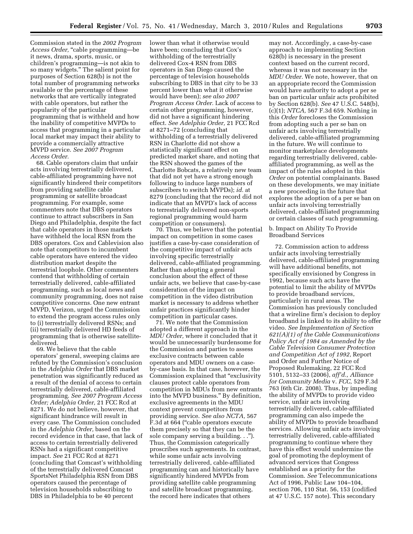Commission stated in the *2002 Program*  Access Order, "cable programming—be it news, drama, sports, music, or children's programming—is not akin to so many widgets.'' The salient point for purposes of Section 628(b) is not the total number of programming networks available or the percentage of these networks that are vertically integrated with cable operators, but rather the popularity of the particular programming that is withheld and how the inability of competitive MVPDs to access that programming in a particular local market may impact their ability to provide a commercially attractive MVPD service. *See 2007 Program Access Order.* 

68. Cable operators claim that unfair acts involving terrestrially delivered, cable-affiliated programming have not significantly hindered their competitors from providing satellite cable programming or satellite broadcast programming. For example, some commenters note that DBS operators continue to attract subscribers in San Diego and Philadelphia, despite the fact that cable operators in those markets have withheld the local RSN from the DBS operators. Cox and Cablevision also note that competitors to incumbent cable operators have entered the video distribution market despite the terrestrial loophole. Other commenters contend that withholding of certain terrestrially delivered, cable-affiliated programming, such as local news and community programming, does not raise competitive concerns. One new entrant MVPD, Verizon, urged the Commission to extend the program access rules only to (i) terrestrially delivered RSNs; and (ii) terrestrially delivered HD feeds of programming that is otherwise satellitedelivered.

69. We believe that the cable operators' general, sweeping claims are refuted by the Commission's conclusion in the *Adelphia Order* that DBS market penetration was significantly reduced as a result of the denial of access to certain terrestrially delivered, cable-affiliated programming. *See 2007 Program Access Order; Adelphia Order,* 21 FCC Rcd at 8271. We do not believe, however, that significant hindrance will result in every case. The Commission concluded in the *Adelphia Order,* based on the record evidence in that case, that lack of access to certain terrestrially delivered RSNs had a significant competitive impact. *See* 21 FCC Rcd at 8271 (concluding that Comcast's withholding of the terrestrially delivered Comcast SportsNet Philadelphia RSN from DBS operators caused the percentage of television households subscribing to DBS in Philadelphia to be 40 percent

lower than what it otherwise would have been; concluding that Cox's withholding of the terrestrially delivered Cox-4 RSN from DBS operators in San Diego caused the percentage of television households subscribing to DBS in that city to be 33 percent lower than what it otherwise would have been); *see also 2007 Program Access Order.* Lack of access to certain other programming, however, did not have a significant hindering effect. *See Adelphia Order,* 21 FCC Rcd at 8271–72 (concluding that withholding of a terrestrially delivered RSN in Charlotte did not show a statistically significant effect on predicted market share, and noting that the RSN showed the games of the Charlotte Bobcats, a relatively new team that did not yet have a strong enough following to induce large numbers of subscribers to switch MVPDs); *id.* at 8279 (concluding that the record did not indicate that an MVPD's lack of access to terrestrially delivered non-sports regional programming would harm competition or consumers).

70. Thus, we believe that the potential impact on competition in some cases justifies a case-by-case consideration of the competitive impact of unfair acts involving specific terrestrially delivered, cable-affiliated programming. Rather than adopting a general conclusion about the effect of these unfair acts, we believe that case-by-case consideration of the impact on competition in the video distribution market is necessary to address whether unfair practices significantly hinder competition in particular cases.

71. We note that the Commission adopted a different approach in the *MDU Order,* where it concluded that it would be unnecessarily burdensome for the Commission and parties to assess exclusive contracts between cable operators and MDU owners on a caseby-case basis. In that case, however, the Commission explained that ''exclusivity clauses protect cable operators from competition in MDUs from new entrants into the MVPD business.'' By definition, exclusive agreements in the MDU context prevent competitors from providing service. *See also NCTA,* 567 F.3d at 664 (''cable operators execute them precisely so that they can be the sole company serving a building. . .''). Thus, the Commission categorically proscribes such agreements. In contrast, while some unfair acts involving terrestrially delivered, cable-affiliated programming can and historically have significantly hindered MVPDs from providing satellite cable programming and satellite broadcast programming, the record here indicates that others

may not. Accordingly, a case-by-case approach to implementing Section 628(b) is necessary in the present context based on the current record, whereas it was not necessary in the *MDU Order.* We note, however, that on an appropriate record the Commission would have authority to adopt a per se ban on particular unfair acts prohibited by Section 628(b). *See* 47 U.S.C. 548(b), (c)(1); *NTCA,* 567 F.3d 659. Nothing in this *Order* forecloses the Commission from adopting such a per se ban on unfair acts involving terrestrially delivered, cable-affiliated programming in the future. We will continue to monitor marketplace developments regarding terrestrially delivered, cableaffiliated programming, as well as the impact of the rules adopted in this *Order* on potential complainants. Based on these developments, we may initiate a new proceeding in the future that explores the adoption of a per se ban on unfair acts involving terrestrially delivered, cable-affiliated programming or certain classes of such programming.

b. Impact on Ability To Provide Broadband Services

72. Commission action to address unfair acts involving terrestrially delivered, cable-affiliated programming will have additional benefits, not specifically envisioned by Congress in 1992, because such acts have the potential to limit the ability of MVPDs to provide broadband services, particularly in rural areas. The Commission has previously concluded that a wireline firm's decision to deploy broadband is linked to its ability to offer video. *See Implementation of Section 621(A)(1) of the Cable Communications Policy Act of 1984 as Amended by the Cable Television Consumer Protection and Competition Act of 1992,* Report and Order and Further Notice of Proposed Rulemaking, 22 FCC Rcd 5101, 5132–33 (2006), *aff'd., Alliance for Community Media* v. *FCC,* 529 F.3d 763 (6th Cir. 2008). Thus, by impeding the ability of MVPDs to provide video service, unfair acts involving terrestrially delivered, cable-affiliated programming can also impede the ability of MVPDs to provide broadband services. Allowing unfair acts involving terrestrially delivered, cable-affiliated programming to continue where they have this effect would undermine the goal of promoting the deployment of advanced services that Congress established as a priority for the Commission. *See* Telecommunications Act of 1996, Public Law 104–104, section 706, 110 Stat. 56, 153 (codified at 47 U.S.C. 157 note). This secondary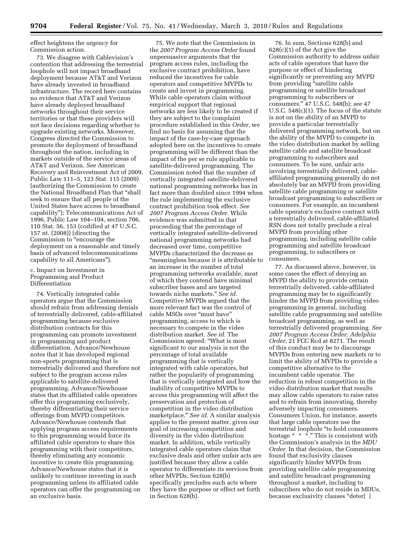effect heightens the urgency for Commission action.

73. We disagree with Cablevision's contention that addressing the terrestrial loophole will not impact broadband deployment because AT&T and Verizon have already invested in broadband infrastructure. The record here contains no evidence that AT&T and Verizon have already deployed broadband networks throughout their service territories or that these providers will not face decisions regarding whether to upgrade existing networks. Moreover, Congress directed the Commission to promote the deployment of broadband throughout the nation, including in markets outside of the service areas of AT&T and Verizon. *See* American Recovery and Reinvestment Act of 2009, Public Law 111–5, 123 Stat. 115 (2009) (authorizing the Commission to create the National Broadband Plan that ''shall seek to ensure that all people of the United States have access to broadband capability''); Telecommunications Act of 1996, Public Law 104–104, section 706, 110 Stat. 56, 153 (codified at 47 U.S.C. 157 nt. (2008)) (directing the Commission to "encourage the deployment on a reasonable and timely basis of advanced telecommunications capability to all Americans'').

# c. Impact on Investment in Programming and Product Differentiation

74. Vertically integrated cable operators argue that the Commission should refrain from addressing denials of terrestrially delivered, cable-affiliated programming because exclusive distribution contracts for this programming can promote investment in programming and product differentiation. Advance/Newhouse notes that it has developed regional non-sports programming that is terrestrially delivered and therefore not subject to the program access rules applicable to satellite-delivered programming. Advance/Newhouse states that its affiliated cable operators offer this programming exclusively, thereby differentiating their service offerings from MVPD competitors. Advance/Newhouse contends that applying program access requirements to this programming would force its affiliated cable operators to share this programming with their competitors, thereby eliminating any economic incentive to create this programming. Advance/Newhouse states that it is unlikely to continue investing in such programming unless its affiliated cable operators can offer the programming on an exclusive basis.

75. We note that the Commission in the *2007 Program Access Order* found unpersuasive arguments that the program access rules, including the exclusive contract prohibition, have reduced the incentives for cable operators and competitive MVPDs to create and invest in programming. While cable operators claim without empirical support that regional networks are less likely to be created if they are subject to the complaint procedure established in this *Order,* we find no basis for assuming that the impact of the case-by-case approach adopted here on the incentives to create programming will be different than the impact of the per se rule applicable to satellite-delivered programming. The Commission noted that the number of vertically integrated satellite-delivered national programming networks has in fact more than doubled since 1994 when the rule implementing the exclusive contract prohibition took effect. *See 2007 Program Access Order.* While evidence was submitted in that proceeding that the percentage of vertically integrated satellite-delivered national programming networks had decreased over time, competitive MVPDs characterized the decrease as ''meaningless because it is attributable to an increase in the number of total programming networks available, most of which they contend have minimal subscriber bases and are targeted towards niche markets.'' *See id.*  Competitive MVPDs argued that the more relevant fact was the control of cable MSOs over "must have" programming, access to which is necessary to compete in the video distribution market. *See id.* The Commission agreed: ''What is most significant to our analysis is not the percentage of total available programming that is vertically integrated with cable operators, but rather the popularity of programming that is vertically integrated and how the inability of competitive MVPDs to access this programming will affect the preservation and protection of competition in the video distribution marketplace.'' *See id.* A similar analysis applies to the present matter, given our goal of increasing competition and diversity in the video distribution market. In addition, while vertically integrated cable operators claim that exclusive deals and other unfair acts are justified because they allow a cable operator to differentiate its services from other MVPDs, Section 628(b) specifically precludes such acts where they have the purpose or effect set forth in Section 628(b).

76. In sum, Sections 628(b) and 628(c)(1) of the Act give the Commission authority to address unfair acts of cable operators that have the purpose or effect of hindering significantly or preventing any MVPD from providing ''satellite cable programming or satellite broadcast programming to subscribers or consumers.'' 47 U.S.C. 548(b); *see* 47 U.S.C. 548(c)(1). The focus of the statute is not on the ability of an MVPD to provide a particular terrestrially delivered programming network, but on the ability of the MVPD to compete in the video distribution market by selling satellite cable and satellite broadcast programming to subscribers and consumers. To be sure, unfair acts involving terrestrially delivered, cableaffiliated programming generally do not absolutely bar an MVPD from providing satellite cable programming or satellite broadcast programming to subscribers or consumers. For example, an incumbent cable operator's exclusive contract with a terrestrially delivered, cable-affiliated RSN does not totally preclude a rival MVPD from providing other programming, including satellite cable programming and satellite broadcast programming, to subscribers or consumers.

77. As discussed above, however, in some cases the effect of denying an MVPD the ability to provide certain terrestrially delivered, cable-affiliated programming may be to significantly hinder the MVPD from providing video programming in general, including satellite cable programming and satellite broadcast programming, as well as terrestrially delivered programming. *See 2007 Program Access Order; Adelphia Order,* 21 FCC Rcd at 8271. The result of this conduct may be to discourage MVPDs from entering new markets or to limit the ability of MVPDs to provide a competitive alternative to the incumbent cable operator. The reduction in robust competition in the video distribution market that results may allow cable operators to raise rates and to refrain from innovating, thereby adversely impacting consumers. Consumers Union, for instance, asserts that large cable operators use the terrestrial loophole ''to hold consumers hostage \* \* \*." This is consistent with the Commission's analysis in the *MDU Order.* In that decision, the Commission found that exclusivity clauses significantly hinder MVPDs from providing satellite cable programming and satellite broadcast programming throughout a market, including to subscribers who do not reside in MDUs, because exclusivity clauses "deter[ ]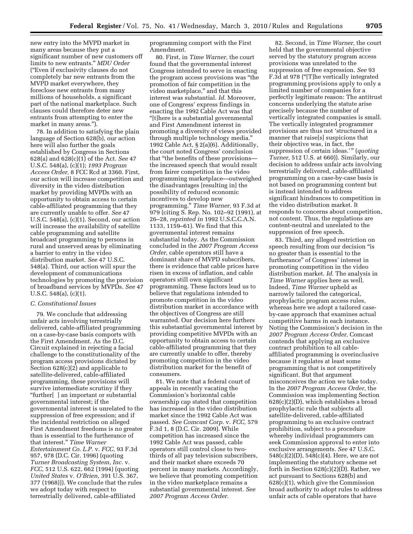new entry into the MVPD market in many areas because they put a significant number of new customers off limits to new entrants.'' *MDU Order*  (''Even if exclusivity clauses do not completely bar new entrants from the MVPD market everywhere, they foreclose new entrants from many millions of households, a significant part of the national marketplace. Such clauses could therefore deter new entrants from attempting to enter the market in many areas.").

78. In addition to satisfying the plain language of Section 628(b), our action here will also further the goals established by Congress in Sections 628(a) and 628(c)(1) of the Act. *See* 47 U.S.C. 548(a), (c)(1); *1993 Program Access Order,* 8 FCC Rcd at 3360. First, our action will increase competition and diversity in the video distribution market by providing MVPDs with an opportunity to obtain access to certain cable-affiliated programming that they are currently unable to offer. *See* 47 U.S.C. 548(a), (c)(1). Second, our action will increase the availability of satellite cable programming and satellite broadcast programming to persons in rural and unserved areas by eliminating a barrier to entry in the video distribution market. *See* 47 U.S.C. 548(a). Third, our action will spur the development of communications technologies by promoting the provision of broadband services by MVPDs. *See* 47 U.S.C. 548(a), (c)(1).

#### *C. Constitutional Issues*

79. We conclude that addressing unfair acts involving terrestrially delivered, cable-affiliated programming on a case-by-case basis comports with the First Amendment. As the D.C. Circuit explained in rejecting a facial challenge to the constitutionality of the program access provisions dictated by Section 628(c)(2) and applicable to satellite-delivered, cable-affiliated programming, these provisions will survive intermediate scrutiny if they ''further[ ] an important or substantial governmental interest; if the governmental interest is unrelated to the suppression of free expression; and if the incidental restriction on alleged First Amendment freedoms is no greater than is essential to the furtherance of that interest.'' *Time Warner Entertainment Co. L.P.* v. *FCC,* 93 F.3d 957, 978 (D.C. Cir. 1996) (quoting *Turner Broadcasting System, Inc.* v. *FCC,* 512 U.S. 622, 662 (1994) (quoting *United States* v. *O'Brien,* 391 U.S. 367, 377 (1968))). We conclude that the rules we adopt today with respect to terrestrially delivered, cable-affiliated

programming comport with the First Amendment.

80. First, in *Time Warner,* the court found that the governmental interest Congress intended to serve in enacting the program access provisions was ''the promotion of fair competition in the video marketplace,'' and that this interest was substantial. *Id.* Moreover, one of Congress' express findings in enacting the 1992 Cable Act was that ''[t]here is a substantial governmental and First Amendment interest in promoting a diversity of views provided through multiple technology media.'' 1992 Cable Act, § 2(a)(6). Additionally, the court noted Congress' conclusion that ''the benefits of these provisions the increased speech that would result from fairer competition in the video programming marketplace—outweighed the disadvantages [resulting in] the possibility of reduced economic incentives to develop new programming.'' *Time Warner,* 93 F.3d at 979 (citing S. Rep. No. 102–92 (1991), at 26–28, *reprinted in* 1992 U.S.C.C.A.N. 1133, 1159–61). We find that this governmental interest remains substantial today. As the Commission concluded in the *2007 Program Access Order,* cable operators still have a dominant share of MVPD subscribers, there is evidence that cable prices have risen in excess of inflation, and cable operators still own significant programming. These factors lead us to believe that regulations intended to promote competition in the video distribution market in accordance with the objectives of Congress are still warranted. Our decision here furthers this substantial governmental interest by providing competitive MVPDs with an opportunity to obtain access to certain cable-affiliated programming that they are currently unable to offer, thereby promoting competition in the video distribution market for the benefit of consumers.

81. We note that a federal court of appeals in recently vacating the Commission's horizontal cable ownership cap stated that competition has increased in the video distribution market since the 1992 Cable Act was passed. *See Comcast Corp.* v. *FCC,* 579 F.3d 1, 8 (D.C. Cir. 2009). While competition has increased since the 1992 Cable Act was passed, cable operators still control close to twothirds of all pay television subscribers, and their market share exceeds 70 percent in many markets. Accordingly, we believe that promoting competition in the video marketplace remains a substantial governmental interest. *See 2007 Program Access Order.* 

82. Second, in *Time Warner,* the court held that the governmental objective served by the statutory program access provisions was unrelated to the suppression of free expression. *See* 93 F.3d at 978 (''[T]he vertically integrated programming provisions apply to only a limited number of companies for a perfectly legitimate reason: The antitrust concerns underlying the statute arise precisely because the number of vertically integrated companies is small. The vertically integrated programmer provisions are thus not 'structured in a manner that raise[s] suspicions that their objective was, in fact, the suppression of certain ideas.'" (*quoting Turner,* 512 U.S. at 660)). Similarly, our decision to address unfair acts involving terrestrially delivered, cable-affiliated programming on a case-by-case basis is not based on programming content but is instead intended to address significant hindrances to competition in the video distribution market. It responds to concerns about competition, not content. Thus, the regulations are content-neutral and unrelated to the suppression of free speech.

83. Third, any alleged restriction on speech resulting from our decision ''is no greater than is essential to the furtherance'' of Congress' interest in promoting competition in the video distribution market. *Id.* The analysis in *Time Warner* applies here as well. Indeed, *Time Warner* upheld as narrowly tailored the categorical, prophylactic program access rules, whereas here we adopt a tailored caseby-case approach that examines actual competitive harms in each instance. Noting the Commission's decision in the *2007 Program Access Order,* Comcast contends that applying an exclusive contract prohibition to all cableaffiliated programming is overinclusive because it regulates at least some programming that is not competitively significant. But that argument misconceives the action we take today. In the *2007 Program Access Order,* the Commission was implementing Section 628(c)(2)(D), which establishes a broad prophylactic rule that subjects all satellite-delivered, cable-affiliated programming to an exclusive contract prohibition, subject to a procedure whereby individual programmers can seek Commission approval to enter into exclusive arrangements. *See* 47 U.S.C. 548(c)(2)(D), 548(c)(4). Here, we are not implementing the statutory scheme set forth in Section 628(c)(2)(D). Rather, we act pursuant to Sections 628(b) and 628(c)(1), which give the Commission broad authority to adopt rules to address unfair acts of cable operators that have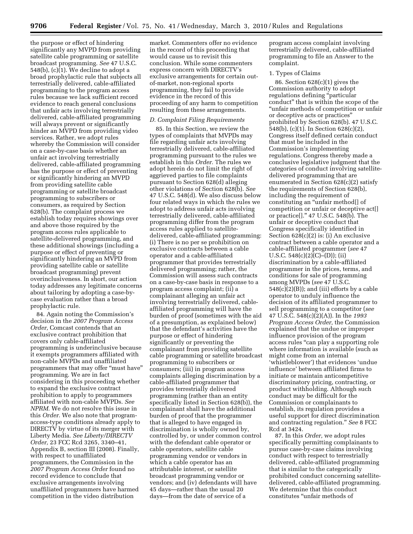the purpose or effect of hindering significantly any MVPD from providing satellite cable programming or satellite broadcast programming. *See* 47 U.S.C. 548(b), (c)(1). We decline to adopt a broad prophylactic rule that subjects all terrestrially delivered, cable-affiliated programming to the program access rules because we lack sufficient record evidence to reach general conclusions that unfair acts involving terrestrially delivered, cable-affiliated programming will always prevent or significantly hinder an MVPD from providing video services. Rather, we adopt rules whereby the Commission will consider on a case-by-case basis whether an unfair act involving terrestrially delivered, cable-affiliated programming has the purpose or effect of preventing or significantly hindering an MVPD from providing satellite cable programming or satellite broadcast programming to subscribers or consumers, as required by Section 628(b). The complaint process we establish today requires showings over and above those required by the program access rules applicable to satellite-delivered programming, and these additional showings (including a purpose or effect of preventing or significantly hindering an MVPD from providing satellite cable or satellite broadcast programming) prevent overinclusiveness. In short, our action today addresses any legitimate concerns about tailoring by adopting a case-bycase evaluation rather than a broad prophylactic rule.

84. Again noting the Commission's decision in the *2007 Program Access Order,* Comcast contends that an exclusive contract prohibition that covers only cable-affiliated programming is underinclusive because it exempts programmers affiliated with non-cable MVPDs and unaffiliated programmers that may offer "must have" programming. We are in fact considering in this proceeding whether to expand the exclusive contract prohibition to apply to programmers affiliated with non-cable MVPDs. *See NPRM.* We do not resolve this issue in this *Order.* We also note that programaccess-type conditions already apply to DIRECTV by virtue of its merger with Liberty Media. *See Liberty/DIRECTV Order,* 23 FCC Rcd 3265, 3340–41, Appendix B, section III (2008). Finally, with respect to unaffiliated programmers, the Commission in the *2007 Program Access Order* found no record evidence to conclude that exclusive arrangements involving unaffiliated programmers have harmed competition in the video distribution

market. Commenters offer no evidence in the record of this proceeding that would cause us to revisit this conclusion. While some commenters express concern with DIRECTV's exclusive arrangements for certain outof-market, non-regional sports programming, they fail to provide evidence in the record of this proceeding of any harm to competition resulting from these arrangements.

#### *D. Complaint Filing Requirements*

85. In this Section, we review the types of complaints that MVPDs may file regarding unfair acts involving terrestrially delivered, cable-affiliated programming pursuant to the rules we establish in this *Order.* The rules we adopt herein do not limit the right of aggrieved parties to file complaints pursuant to Section 628(d) alleging other violations of Section 628(b). *See*  47 U.S.C. 548(d). We also discuss below four related ways in which the rules we adopt to address unfair acts involving terrestrially delivered, cable-affiliated programming differ from the program access rules applied to satellitedelivered, cable-affiliated programming: (i) There is no per se prohibition on exclusive contracts between a cable operator and a cable-affiliated programmer that provides terrestrially delivered programming; rather, the Commission will assess such contracts on a case-by-case basis in response to a program access complaint; (ii) a complainant alleging an unfair act involving terrestrially delivered, cableaffiliated programming will have the burden of proof (sometimes with the aid of a presumption, as explained below) that the defendant's activities have the purpose or effect of hindering significantly or preventing the complainant from providing satellite cable programming or satellite broadcast programming to subscribers or consumers; (iii) in program access complaints alleging discrimination by a cable-affiliated programmer that provides terrestrially delivered programming (rather than an entity specifically listed in Section 628(b)), the complainant shall have the additional burden of proof that the programmer that is alleged to have engaged in discrimination is wholly owned by, controlled by, or under common control with the defendant cable operator or cable operators, satellite cable programming vendor or vendors in which a cable operator has an attributable interest, or satellite broadcast programming vendor or vendors; and (iv) defendants will have 45 days—rather than the usual 20 days—from the date of service of a

program access complaint involving terrestrially delivered, cable-affiliated programming to file an Answer to the complaint.

#### 1. Types of Claims

86. Section 628(c)(1) gives the Commission authority to adopt regulations defining ''particular conduct'' that is within the scope of the ''unfair methods of competition or unfair or deceptive acts or practices'' prohibited by Section 628(b). 47 U.S.C. 548(b), (c)(1). In Section 628(c)(2), Congress itself defined certain conduct that must be included in the Commission's implementing regulations. Congress thereby made a conclusive legislative judgment that the categories of conduct involving satellitedelivered programming that are enumerated in Section 628(c)(2) satisfy the requirements of Section 628(b), including the requirement of constituting an "unfair method[] of competition or unfair or deceptive act[] or practice[].'' 47 U.S.C. 548(b). The unfair or deceptive conduct that Congress specifically identified in Section 628(c)(2) is: (i) An exclusive contract between a cable operator and a cable-affiliated programmer (*see* 47 U.S.C.  $548(c)(2)(C)$ –(D)); (ii) discrimination by a cable-affiliated programmer in the prices, terms, and conditions for sale of programming among MVPDs (*see* 47 U.S.C.  $548(c)(2)(B)$ ; and (iii) efforts by a cable operator to unduly influence the decision of its affiliated programmer to sell programming to a competitor (*see*  47 U.S.C. 548(c)(2)(A)). In the *1993 Program Access Order,* the Commission explained that the undue or improper influence provision of the program access rules ''can play a supporting role where information is available (such as might come from an internal 'whistleblower') that evidences 'undue influence' between affiliated firms to initiate or maintain anticompetitive discriminatory pricing, contracting, or product withholding. Although such conduct may be difficult for the Commission or complainants to establish, its regulation provides a useful support for direct discrimination and contracting regulation.'' *See* 8 FCC Rcd at 3424.

87. In this *Order,* we adopt rules specifically permitting complainants to pursue case-by-case claims involving conduct with respect to terrestrially delivered, cable-affiliated programming that is similar to the categorically prohibited conduct concerning satellitedelivered, cable-affiliated programming. We determine that this conduct constitutes ''unfair methods of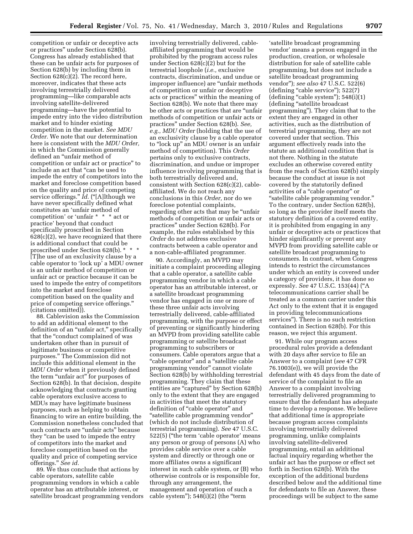competition or unfair or deceptive acts or practices'' under Section 628(b). Congress has already established that these can be unfair acts for purposes of Section 628(b) by including them in Section 628(c)(2). The record here, moreover, indicates that these acts involving terrestrially delivered programming—like comparable acts involving satellite-delivered programming—have the potential to impede entry into the video distribution market and to hinder existing competition in the market. *See MDU Order.* We note that our determination here is consistent with the *MDU Order,*  in which the Commission generally defined an ''unfair method of competition or unfair act or practice'' to include an act that ''can be used to impede the entry of competitors into the market and foreclose competition based on the quality and price of competing service offerings." *Id.* ("[A]lthough we have never specifically defined what constitutes an 'unfair method of competition' or 'unfair \* \* \* act or practice' beyond that conduct specifically proscribed in Section  $628(c)(2)$ , we have recognized that there is additional conduct that could be proscribed under Section 628(b). \* \* \* [T]he use of an exclusivity clause by a cable operator to 'lock up' a MDU owner is an unfair method of competition or unfair act or practice because it can be used to impede the entry of competitors into the market and foreclose competition based on the quality and price of competing service offerings.'' (citations omitted)).

88. Cablevision asks the Commission to add an additional element to the definition of an "unfair act," specifically that the "conduct complained of was undertaken other than in pursuit of legitimate business or competitive purposes.'' The Commission did not include this additional element in the *MDU Order* when it previously defined the term "unfair act" for purposes of Section 628(b). In that decision, despite acknowledging that contracts granting cable operators exclusive access to MDUs may have legitimate business purposes, such as helping to obtain financing to wire an entire building, the Commission nonetheless concluded that such contracts are "unfair acts" because they ''can be used to impede the entry of competitors into the market and foreclose competition based on the quality and price of competing service offerings.'' *See id.* 

89. We thus conclude that actions by cable operators, satellite cable programming vendors in which a cable operator has an attributable interest, or satellite broadcast programming vendors

involving terrestrially delivered, cableaffiliated programming that would be prohibited by the program access rules under Section 628(c)(2) but for the terrestrial loophole (*i.e.,* exclusive contracts, discrimination, and undue or improper influence) are ''unfair methods of competition or unfair or deceptive acts or practices'' within the meaning of Section 628(b). We note that there may be other acts or practices that are ''unfair methods of competition or unfair acts or practices'' under Section 628(b). *See, e.g., MDU Order* (holding that the use of an exclusivity clause by a cable operator to "lock up" an MDU owner is an unfair method of competition). This *Order*  pertains only to exclusive contracts, discrimination, and undue or improper influence involving programming that is both terrestrially delivered and, consistent with Section 628(c)(2), cableaffiliated. We do not reach any conclusions in this *Order,* nor do we foreclose potential complaints, regarding other acts that may be ''unfair methods of competition or unfair acts or practices'' under Section 628(b). For example, the rules established by this *Order* do not address exclusive contracts between a cable operator and a non-cable-affiliated programmer.

90. Accordingly, an MVPD may initiate a complaint proceeding alleging that a cable operator, a satellite cable programming vendor in which a cable operator has an attributable interest, or a satellite broadcast programming vendor has engaged in one or more of these three unfair acts involving terrestrially delivered, cable-affiliated programming, with the purpose or effect of preventing or significantly hindering an MVPD from providing satellite cable programming or satellite broadcast programming to subscribers or consumers. Cable operators argue that a ''cable operator'' and a ''satellite cable programming vendor'' cannot violate Section 628(b) by withholding terrestrial programming. They claim that these entities are "captured" by Section 628(b) only to the extent that they are engaged in activities that meet the statutory definition of "cable operator" and ''satellite cable programming vendor'' (which do not include distribution of terrestrial programming). *See* 47 U.S.C. 522(5) (''the term 'cable operator' means any person or group of persons (A) who provides cable service over a cable system and directly or through one or more affiliates owns a significant interest in such cable system, or (B) who otherwise controls or is responsible for, through any arrangement, the management and operation of such a cable system");  $548(i)(2)$  (the "term

'satellite broadcast programming vendor' means a person engaged in the production, creation, or wholesale distribution for sale of satellite cable programming, but does not include a satellite broadcast programming vendor''); *see also* 47 U.S.C. 522(6) (defining "cable service"); 522(7)  $(defining "cable system"); 548(i)(1)$ (defining "satellite broadcast programming''). They claim that to the extent they are engaged in other activities, such as the distribution of terrestrial programming, they are not covered under that section. This argument effectively reads into the statute an additional condition that is not there. Nothing in the statute excludes an otherwise covered entity from the reach of Section 628(b) simply because the conduct at issue is not covered by the statutorily defined activities of a ''cable operator'' or ''satellite cable programming vendor.'' To the contrary, under Section 628(b), so long as the provider itself meets the statutory definition of a covered entity, it is prohibited from engaging in any unfair or deceptive acts or practices that hinder significantly or prevent any MVPD from providing satellite cable or satellite broadcast programming to consumers. In contrast, when Congress intends to restrict the circumstances under which an entity is covered under a category of providers, it has done so expressly. *See* 47 U.S.C. 153(44) (''A telecommunications carrier shall be treated as a common carrier under this Act only to the extent that it is engaged in providing telecommunications services''). There is no such restriction contained in Section 628(b). For this reason, we reject this argument.

91. While our program access procedural rules provide a defendant with 20 days after service to file an Answer to a complaint (*see* 47 CFR 76.1003(e)), we will provide the defendant with 45 days from the date of service of the complaint to file an Answer to a complaint involving terrestrially delivered programming to ensure that the defendant has adequate time to develop a response. We believe that additional time is appropriate because program access complaints involving terrestrially delivered programming, unlike complaints involving satellite-delivered programming, entail an additional factual inquiry regarding whether the unfair act has the purpose or effect set forth in Section 628(b). With the exception of the additional burdens described below and the additional time for defendants to file an Answer, these proceedings will be subject to the same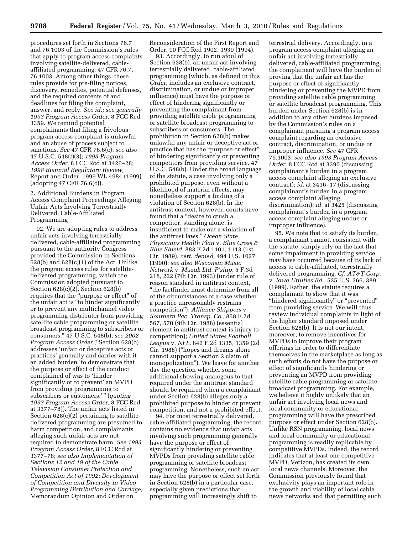procedures set forth in Sections 76.7 and 76.1003 of the Commission's rules that apply to program access complaints involving satellite-delivered, cableaffiliated programming. 47 CFR 76.7, 76.1003. Among other things, these rules provide for pre-filing notices, discovery, remedies, potential defenses, and the required contents of and deadlines for filing the complaint, answer, and reply. *See id.; see generally 1993 Program Access Order,* 8 FCC Rcd 3359. We remind potential complainants that filing a frivolous program access complaint is unlawful and an abuse of process subject to sanctions. *See* 47 CFR 76.6(c); *see also*  47 U.S.C. 548(f)(3); *1993 Program Access Order,* 8 FCC Rcd at 3426–28; *1998 Biennial Regulatory Review,*  Report and Order, 1999 WL 4984 (1999) (adopting 47 CFR 76.6(c)).

2. Additional Burdens in Program Access Complaint Proceedings Alleging Unfair Acts Involving Terrestrially Delivered, Cable-Affiliated Programming

92. We are adopting rules to address unfair acts involving terrestrially delivered, cable-affiliated programming pursuant to the authority Congress provided the Commission in Sections  $628(b)$  and  $628(c)(1)$  of the Act. Unlike the program access rules for satellitedelivered programming, which the Commission adopted pursuant to Section 628(c)(2), Section 628(b) requires that the "purpose or effect" of the unfair act is ''to hinder significantly or to prevent any multichannel video programming distributor from providing satellite cable programming or satellite broadcast programming to subscribers or consumers.'' 47 U.S.C. 548(b); *see 2002 Program Access Order* (''Section 628(b) addresses 'unfair or deceptive acts or practices' generally and carries with it an added burden 'to demonstrate that the purpose or effect of the conduct complained of was to 'hinder significantly or to prevent' an MVPD from providing programming to subscribers or customers.'" (*quoting 1993 Program Access Order,* 8 FCC Rcd at 3377–78)). The unfair acts listed in Section 628(c)(2) pertaining to satellitedelivered programming are presumed to harm competition, and complainants alleging such unfair acts are not required to demonstrate harm. *See 1993 Program Access Order,* 8 FCC Rcd at 3377–78; *see also Implementation of Sections 12 and 19 of the Cable Television Consumer Protection and Competition Act of 1992: Development of Competition and Diversity in Video Programming Distribution and Carriage,*  Memorandum Opinion and Order on

Reconsideration of the First Report and Order, 10 FCC Rcd 1902, 1930 (1994).

93. Accordingly, to run afoul of Section 628(b), an unfair act involving terrestrially delivered, cable-affiliated programming (which, as defined in this *Order,* includes an exclusive contract, discrimination, or undue or improper influence) must have the purpose or effect of hindering significantly or preventing the complainant from providing satellite cable programming or satellite broadcast programming to subscribers or consumers. The prohibition in Section 628(b) makes unlawful any unfair or deceptive act or practice that has the ''purpose or effect'' of hindering significantly or preventing competitors from providing service. 47 U.S.C. 548(b). Under the broad language of the statute, a case involving only a prohibited purpose, even without a likelihood of material effects, may nonetheless support a finding of a violation of Section 628(b). In the antitrust context, however, courts have found that a ''desire to crush a competitor, standing alone, is insufficient to make out a violation of the antitrust laws.'' *Ocean State Physicians Health Plan* v. *Blue Cross & Blue Shield,* 883 F.2d 1101, 1113 (1st Cir. 1989), *cert. denied,* 494 U.S. 1027 (1990); *see also Wisconsin Music Network* v. *Muzak Ltd. P'ship,* 5 F.3d 218, 222 (7th Cir. 1993) (under rule of reason standard in antitrust context, ''the factfinder must determine from all of the circumstances of a case whether a practice unreasonably restrains competition''); *Alliance Shippers* v. *Southern Pac. Transp. Co.,* 858 F.2d 567, 570 (9th Cir. 1988) (essential element in antitrust context is injury to competition); *United States Football League* v. *NFL,* 842 F.2d 1335, 1359 (2d Cir. 1988) (''hopes and dreams alone cannot support a Section 2 claim of monopolization''). We leave for another day the question whether some additional showing analogous to that required under the antitrust standard should be required when a complainant under Section 628(b) alleges only a prohibited purpose to hinder or prevent competition, and not a prohibited effect.

94. For most terrestrially delivered, cable-affiliated programming, the record contains no evidence that unfair acts involving such programming generally have the purpose or effect of significantly hindering or preventing MVPDs from providing satellite cable programming or satellite broadcast programming. Nonetheless, such an act may have the purpose or effect set forth in Section 628(b) in a particular case, especially given predictions that programming will increasingly shift to

terrestrial delivery. Accordingly, in a program access complaint alleging an unfair act involving terrestrially delivered, cable-affiliated programming, the complainant will have the burden of proving that the unfair act has the purpose or effect of significantly hindering or preventing the MVPD from providing satellite cable programming or satellite broadcast programming. This burden under Section 628(b) is in addition to any other burdens imposed by the Commission's rules on a complainant pursuing a program access complaint regarding an exclusive contract, discrimination, or undue or improper influence. *See* 47 CFR 76.1003; *see also 1993 Program Access Order,* 8 FCC Rcd at 3390 (discussing complainant's burden in a program access complaint alleging an exclusive contract); *id.* at 3416–17 (discussing complainant's burden in a program access complaint alleging discrimination); *id.* at 3425 (discussing complainant's burden in a program access complaint alleging undue or improper influence).

95. We note that to satisfy its burden, a complainant cannot, consistent with the statute, simply rely on the fact that some impairment to providing service may have occurred because of its lack of access to cable-affiliated, terrestrially delivered programming. *Cf. AT&T Corp.*  v. *Iowa Utilities Bd.,* 525 U.S. 366, 389 (1999). Rather, the statute requires a complainant to show that it was ''hindered significantly'' or ''prevented'' from providing service. We will thus review individual complaints in light of the higher standard imposed under Section 628(b). It is not our intent, moreover, to remove incentives for MVPDs to improve their program offerings in order to differentiate themselves in the marketplace as long as such efforts do not have the purpose or effect of significantly hindering or preventing an MVPD from providing satellite cable programming or satellite broadcast programming. For example, we believe it highly unlikely that an unfair act involving local news and local community or educational programming will have the prescribed purpose or effect under Section 628(b). Unlike RSN programming, local news and local community or educational programming is readily replicable by competitive MVPDs. Indeed, the record indicates that at least one competitive MVPD, Verizon, has created its own local news channels. Moreover, the Commission previously found that exclusivity plays an important role in the growth and viability of local cable news networks and that permitting such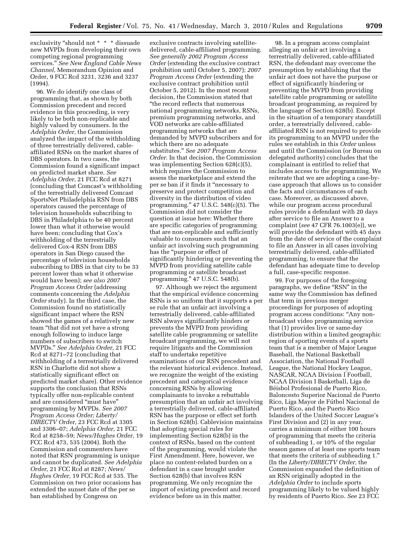exclusivity "should not \* \* \* dissuade new MVPDs from developing their own competing regional programming services.'' *See New England Cable News Channel,* Memorandum Opinion and Order, 9 FCC Rcd 3231, 3236 and 3237 (1994).

96. We do identify one class of programming that, as shown by both Commission precedent and record evidence in this proceeding, is very likely to be both non-replicable and highly valued by consumers. In the *Adelphia Order,* the Commission analyzed the impact of the withholding of three terrestrially delivered, cableaffiliated RSNs on the market shares of DBS operators. In two cases, the Commission found a significant impact on predicted market share. *See Adelphia Order,* 21 FCC Rcd at 8271 (concluding that Comcast's withholding of the terrestrially delivered Comcast SportsNet Philadelphia RSN from DBS operators caused the percentage of television households subscribing to DBS in Philadelphia to be 40 percent lower than what it otherwise would have been; concluding that Cox's withholding of the terrestrially delivered Cox-4 RSN from DBS operators in San Diego caused the percentage of television households subscribing to DBS in that city to be 33 percent lower than what it otherwise would have been); *see also 2007 Program Access Order* (addressing comments concerning the *Adelphia Order* study). In the third case, the Commission found no statistically significant impact where the RSN showed the games of a relatively new team ''that did not yet have a strong enough following to induce large numbers of subscribers to switch MVPDs.'' *See Adelphia Order,* 21 FCC Rcd at 8271–72 (concluding that withholding of a terrestrially delivered RSN in Charlotte did not show a statistically significant effect on predicted market share). Other evidence supports the conclusion that RSNs typically offer non-replicable content and are considered ''must have'' programming by MVPDs. *See 2007 Program Access Order; Liberty/ DIRECTV Order,* 23 FCC Rcd at 3305 and 3306–07; *Adelphia Order,* 21 FCC Rcd at 8258–59; *News/Hughes Order,* 19 FCC Rcd 473, 535 (2004). Both the Commission and commenters have noted that RSN programming is unique and cannot be duplicated. *See Adelphia Order,* 21 FCC Rcd at 8287; *News/ Hughes Order,* 19 FCC Rcd at 535. The Commission on two prior occasions has extended the sunset date of the per se ban established by Congress on

exclusive contracts involving satellitedelivered, cable-affiliated programming. *See generally 2002 Program Access Order* (extending the exclusive contract prohibition until October 5, 2007); *2007 Program Access Order* (extending the exclusive contract prohibition until October 5, 2012). In the most recent decision, the Commission stated that ''the record reflects that numerous national programming networks, RSNs, premium programming networks, and VOD networks are cable-affiliated programming networks that are demanded by MVPD subscribers and for which there are no adequate substitutes.'' *See 2007 Program Access Order.* In that decision, the Commission was implementing Section 628(c)(5), which requires the Commission to assess the marketplace and extend the per se ban if it finds it ''necessary to preserve and protect competition and diversity in the distribution of video programming.'' 47 U.S.C. 548(c)(5). The Commission did not consider the question at issue here: Whether there are specific categories of programming that are non-replicable and sufficiently valuable to consumers such that an unfair act involving such programming has the "purpose or effect of significantly hindering or preventing the MVPD from providing satellite cable programming or satellite broadcast programming.'' 47 U.S.C. 548(b).

97. Although we reject the argument that the empirical evidence concerning RSNs is so uniform that it supports a per se rule that an unfair act involving a terrestrially delivered, cable-affiliated RSN always significantly hinders or prevents the MVPD from providing satellite cable programming or satellite broadcast programming, we will not require litigants and the Commission staff to undertake repetitive examinations of our RSN precedent and the relevant historical evidence. Instead, we recognize the weight of the existing precedent and categorical evidence concerning RSNs by allowing complainants to invoke a rebuttable presumption that an unfair act involving a terrestrially delivered, cable-affiliated RSN has the purpose or effect set forth in Section 628(b). Cablevision maintains that adopting special rules for implementing Section 628(b) in the context of RSNs, based on the content of the programming, would violate the First Amendment. Here, however, we place no content-related burden on a defendant in a case brought under Section 628(b) that involves RSN programming. We only recognize the import of existing precedent and record evidence before us in this matter.

98. In a program access complaint alleging an unfair act involving a terrestrially delivered, cable-affiliated RSN, the defendant may overcome the presumption by establishing that the unfair act does not have the purpose or effect of significantly hindering or preventing the MVPD from providing satellite cable programming or satellite broadcast programming, as required by the language of Section 628(b). Except in the situation of a temporary standstill order, a terrestrially delivered, cableaffiliated RSN is not required to provide its programming to an MVPD under the rules we establish in this *Order* unless and until the Commission (or Bureau on delegated authority) concludes that the complainant is entitled to relief that includes access to the programming. We reiterate that we are adopting a case-bycase approach that allows us to consider the facts and circumstances of each case. Moreover, as discussed above, while our program access procedural rules provide a defendant with 20 days after service to file an Answer to a complaint (*see* 47 CFR 76.1003(e)), we will provide the defendant with 45 days from the date of service of the complaint to file an Answer in all cases involving terrestrially delivered, cable-affiliated programming, to ensure that the defendant has adequate time to develop a full, case-specific response.

99. For purposes of the foregoing paragraphs, we define "RSN" in the same way the Commission has defined that term in previous merger proceedings for purposes of adopting program access conditions: ''Any nonbroadcast video programming service that (1) provides live or same-day distribution within a limited geographic region of sporting events of a sports team that is a member of Major League Baseball, the National Basketball Association, the National Football League, the National Hockey League, NASCAR, NCAA Division I Football, NCAA Division I Basketball, Liga de Béisbol Profesional de Puerto Rico, Baloncesto Superior Nacional de Puerto Rico, Liga Mayor de Fútbol Nacional de Puerto Rico, and the Puerto Rico Islanders of the United Soccer League's First Division and (2) in any year, carries a minimum of either 100 hours of programming that meets the criteria of subheading 1, or 10% of the regular season games of at least one sports team that meets the criteria of subheading 1.'' (In the *Liberty/DIRECTV Order,* the Commission expanded the definition of an RSN originally adopted in the *Adelphia Order* to include sports programming likely to be valued highly by residents of Puerto Rico. *See* 23 FCC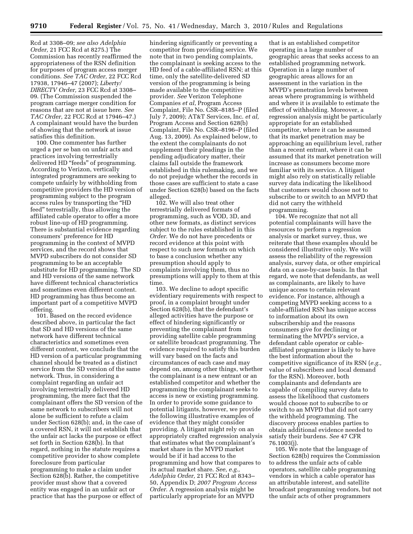Rcd at 3308–09; *see also Adelphia Order,* 21 FCC Rcd at 8275.) The Commission has recently reaffirmed the appropriateness of the RSN definition for purposes of program access merger conditions. *See TAC Order,* 22 FCC Rcd 17938, 17946–47 (2007); *Liberty/ DIRECTV Order,* 23 FCC Rcd at 3308– 09. (The Commission suspended the program carriage merger condition for reasons that are not at issue here. *See TAC Order,* 22 FCC Rcd at 17946–47.) A complainant would have the burden of showing that the network at issue satisfies this definition.

100. One commenter has further urged a per se ban on unfair acts and practices involving terrestrially delivered HD "feeds" of programming. According to Verizon, vertically integrated programmers are seeking to compete unfairly by withholding from competitive providers the HD version of programming subject to the program access rules by transporting the ''HD feed'' terrestrially, thus allowing the affiliated cable operator to offer a more robust line-up of HD programming. There is substantial evidence regarding consumers' preference for HD programming in the context of MVPD services, and the record shows that MVPD subscribers do not consider SD programming to be an acceptable substitute for HD programming. The SD and HD versions of the same network have different technical characteristics and sometimes even different content. HD programming has thus become an important part of a competitive MVPD offering.

101. Based on the record evidence described above, in particular the fact that SD and HD versions of the same network have different technical characteristics and sometimes even different content, we conclude that the HD version of a particular programming channel should be treated as a distinct service from the SD version of the same network. Thus, in considering a complaint regarding an unfair act involving terrestrially delivered HD programming, the mere fact that the complainant offers the SD version of the same network to subscribers will not alone be sufficient to refute a claim under Section 628(b); and, in the case of a covered RSN, it will not establish that the unfair act lacks the purpose or effect set forth in Section 628(b). In that regard, nothing in the statute requires a competitive provider to show complete foreclosure from particular programming to make a claim under Section 628(b). Rather, the competitive provider must show that a covered entity was engaged in an unfair act or practice that has the purpose or effect of

hindering significantly or preventing a competitor from providing service. We note that in two pending complaints, the complainant is seeking access to the HD feed of a cable-affiliated RSN; at this time, only the satellite-delivered SD version of the programming is being made available to the competitive provider. *See* Verizon Telephone Companies *et al*, Program Access Complaint, File No. CSR–8185–P (filed July 7, 2009); AT&T Services, Inc. *et al,*  Program Access and Section 628(b) Complaint, File No. CSR–8196–P (filed Aug. 13, 2009). As explained below, to the extent the complainants do not supplement their pleadings in the pending adjudicatory matter, their claims fall outside the framework established in this rulemaking, and we do not prejudge whether the records in those cases are sufficient to state a case under Section 628(b) based on the facts alleged.

102. We will also treat other terrestrially delivered formats of programming, such as VOD, 3D, and other new formats, as distinct services subject to the rules established in this *Order.* We do not have precedents or record evidence at this point with respect to such new formats on which to base a conclusion whether any presumption should apply to complaints involving them, thus no presumptions will apply to them at this time.

103. We decline to adopt specific evidentiary requirements with respect to proof, in a complaint brought under Section 628(b), that the defendant's alleged activities have the purpose or effect of hindering significantly or preventing the complainant from providing satellite cable programming or satellite broadcast programming. The evidence required to satisfy this burden will vary based on the facts and circumstances of each case and may depend on, among other things, whether the complainant is a new entrant or an established competitor and whether the programming the complainant seeks to access is new or existing programming. In order to provide some guidance to potential litigants, however, we provide the following illustrative examples of evidence that they might consider providing. A litigant might rely on an appropriately crafted regression analysis that estimates what the complainant's market share in the MVPD market would be if it had access to the programming and how that compares to its actual market share. *See, e.g., Adelphia Order,* 21 FCC Rcd at 8343– 50, Appendix D; *2007 Program Access Order.* A regression analysis might be particularly appropriate for an MVPD

that is an established competitor operating in a large number of geographic areas that seeks access to an established programming network. Operation in a large number of geographic areas allows for an assessment in the variation in the MVPD's penetration levels between areas where programming is withheld and where it is available to estimate the effect of withholding. Moreover, a regression analysis might be particularly appropriate for an established competitor, where it can be assumed that its market penetration may be approaching an equilibrium level, rather than a recent entrant, where it can be assumed that its market penetration will increase as consumers become more familiar with its service. A litigant might also rely on statistically reliable survey data indicating the likelihood that customers would choose not to subscribe to or switch to an MVPD that did not carry the withheld programming.

104. We recognize that not all potential complainants will have the resources to perform a regression analysis or market survey, thus, we reiterate that these examples should be considered illustrative only. We will assess the reliability of the regression analysis, survey data, or other empirical data on a case-by-case basis. In that regard, we note that defendants, as well as complainants, are likely to have unique access to certain relevant evidence. For instance, although a competing MVPD seeking access to a cable-affiliated RSN has unique access to information about its own subscribership and the reasons consumers give for declining or terminating the MVPD's service, a defendant cable operator or cableaffiliated programmer is likely to have the best information about the competitive significance of its RSN (*e.g.,*  value of subscribers and local demand for the RSN). Moreover, both complainants and defendants are capable of compiling survey data to assess the likelihood that customers would choose not to subscribe to or switch to an MVPD that did not carry the withheld programming. The discovery process enables parties to obtain additional evidence needed to satisfy their burdens. *See* 47 CFR 76.1003(j).

105. We note that the language of Section 628(b) requires the Commission to address the unfair acts of cable operators, satellite cable programming vendors in which a cable operator has an attributable interest, and satellite broadcast programming vendors, but not the unfair acts of other programmers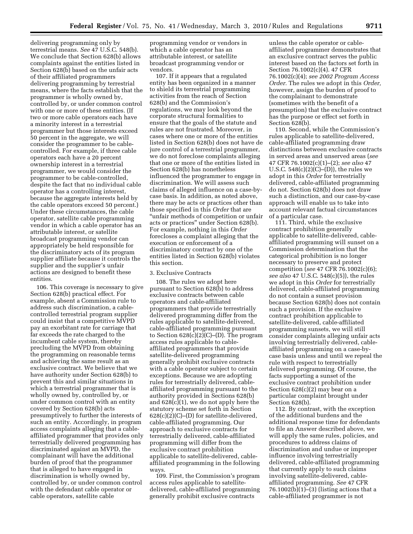delivering programming only by terrestrial means. *See* 47 U.S.C. 548(b). We conclude that Section 628(b) allows complaints against the entities listed in Section 628(b) based on the unfair acts of their affiliated programmers delivering programming by terrestrial means, where the facts establish that the programmer is wholly owned by, controlled by, or under common control with one or more of these entities. (If two or more cable operators each have a minority interest in a terrestrial programmer but those interests exceed 50 percent in the aggregate, we will consider the programmer to be cablecontrolled. For example, if three cable operators each have a 20 percent ownership interest in a terrestrial programmer, we would consider the programmer to be cable-controlled, despite the fact that no individual cable operator has a controlling interest, because the aggregate interests held by the cable operators exceed 50 percent.) Under these circumstances, the cable operator, satellite cable programming vendor in which a cable operator has an attributable interest, or satellite broadcast programming vendor can appropriately be held responsible for the discriminatory acts of its program supplier affiliate because it controls the supplier and the supplier's unfair actions are designed to benefit these entities.

106. This coverage is necessary to give Section 628(b) practical effect. For example, absent a Commission rule to address such discrimination, a cablecontrolled terrestrial program supplier could insist that a competitive MVPD pay an exorbitant rate for carriage that far exceeds the rate charged to the incumbent cable system, thereby precluding the MVPD from obtaining the programming on reasonable terms and achieving the same result as an exclusive contract. We believe that we have authority under Section 628(b) to prevent this and similar situations in which a terrestrial programmer that is wholly owned by, controlled by, or under common control with an entity covered by Section 628(b) acts presumptively to further the interests of such an entity. Accordingly, in program access complaints alleging that a cableaffiliated programmer that provides only terrestrially delivered programming has discriminated against an MVPD, the complainant will have the additional burden of proof that the programmer that is alleged to have engaged in discrimination is wholly owned by, controlled by, or under common control with the defendant cable operator or cable operators, satellite cable

programming vendor or vendors in which a cable operator has an attributable interest, or satellite broadcast programming vendor or vendors.

107. If it appears that a regulated entity has been organized in a manner to shield its terrestrial programming activities from the reach of Section 628(b) and the Commission's regulations, we may look beyond the corporate structural formalities to ensure that the goals of the statute and rules are not frustrated. Moreover, in cases where one or more of the entities listed in Section 628(b) does not have de jure control of a terrestrial programmer, we do not foreclose complaints alleging that one or more of the entities listed in Section 628(b) has nonetheless influenced the programmer to engage in discrimination. We will assess such claims of alleged influence on a case-bycase basis. In addition, as noted above, there may be acts or practices other than those specified in this *Order* that are ''unfair methods of competition or unfair acts or practices'' under Section 628(b). For example, nothing in this *Order*  forecloses a complaint alleging that the execution or enforcement of a discriminatory contract by one of the entities listed in Section 628(b) violates this section.

# 3. Exclusive Contracts

108. The rules we adopt here pursuant to Section 628(b) to address exclusive contracts between cable operators and cable-affiliated programmers that provide terrestrially delivered programming differ from the rules applicable to satellite-delivered, cable-affiliated programming pursuant to Section 628(c)(2)(C)–(D). The program access rules applicable to cableaffiliated programmers that provide satellite-delivered programming generally prohibit exclusive contracts with a cable operator subject to certain exceptions. Because we are adopting rules for terrestrially delivered, cableaffiliated programming pursuant to the authority provided in Sections 628(b) and 628(c)(1), we do not apply here the statutory scheme set forth in Section 628(c)(2)(C)–(D) for satellite-delivered, cable-affiliated programming. Our approach to exclusive contracts for terrestrially delivered, cable-affiliated programming will differ from the exclusive contract prohibition applicable to satellite-delivered, cableaffiliated programming in the following ways.

109. First, the Commission's program access rules applicable to satellitedelivered, cable-affiliated programming generally prohibit exclusive contracts

unless the cable operator or cableaffiliated programmer demonstrates that an exclusive contract serves the public interest based on the factors set forth in Section 76.1002(c)(4). 47 CFR 76.1002(c)(4); *see 2002 Program Access Order.* The rules we adopt in this *Order,*  however, assign the burden of proof to the complainant to demonstrate (sometimes with the benefit of a presumption) that the exclusive contract has the purpose or effect set forth in Section 628(b).

110. Second, while the Commission's rules applicable to satellite-delivered, cable-affiliated programming draw distinctions between exclusive contracts in served areas and unserved areas (*see*  47 CFR 76.1002(c)(1)–(2); *see also* 47 U.S.C.  $548(c)(2)(C)$ –(D)), the rules we adopt in this *Order* for terrestrially delivered, cable-affiliated programming do not. Section 628(b) does not draw such a distinction, and our case-by-case approach will enable us to take into account relevant factual circumstances of a particular case.

111. Third, while the exclusive contract prohibition generally applicable to satellite-delivered, cableaffiliated programming will sunset on a Commission determination that the categorical prohibition is no longer necessary to preserve and protect competition (*see* 47 CFR 76.1002(c)(6); *see also* 47 U.S.C. 548(c)(5)), the rules we adopt in this *Order* for terrestrially delivered, cable-affiliated programming do not contain a sunset provision because Section 628(b) does not contain such a provision. If the exclusive contract prohibition applicable to satellite-delivered, cable-affiliated programming sunsets, we will still consider complaints alleging unfair acts involving terrestrially delivered, cableaffiliated programming on a case-bycase basis unless and until we repeal the rule with respect to terrestrially delivered programming. Of course, the facts supporting a sunset of the exclusive contract prohibition under Section 628(c)(2) may bear on a particular complaint brought under Section 628(b).

112. By contrast, with the exception of the additional burdens and the additional response time for defendants to file an Answer described above, we will apply the same rules, policies, and procedures to address claims of discrimination and undue or improper influence involving terrestrially delivered, cable-affiliated programming that currently apply to such claims involving satellite-delivered, cableaffiliated programming. *See* 47 CFR  $76.1002(b)(1)–(3)$  (listing actions that a cable-affiliated programmer is not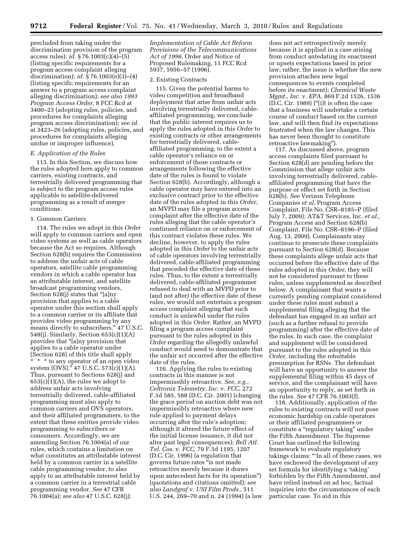precluded from taking under the discrimination provision of the program access rules); *id.* § 76.1003(c)(4)–(5) (listing specific requirements for a program access complaint alleging discrimination); *id.* § 76.1003(e)(3)–(4) (listing specific requirements for an answer to a program access complaint alleging discrimination); *see also 1993 Program Access Order,* 8 FCC Rcd at 3400–23 (adopting rules, policies, and procedures for complaints alleging program access discrimination); *see id.*  at 3423–26 (adopting rules, policies, and procedures for complaints alleging undue or improper influence).

#### *E. Application of the Rules*

113. In this Section, we discuss how the rules adopted here apply to common carriers, existing contracts, and terrestrially delivered programming that is subject to the program access rules applicable to satellite-delivered programming as a result of merger conditions.

#### 1. Common Carriers

114. The rules we adopt in this *Order*  will apply to common carriers and open video systems as well as cable operators because the Act so requires. Although Section 628(b) requires the Commission to address the unfair acts of cable operators, satellite cable programming vendors in which a cable operator has an attributable interest, and satellite broadcast programming vendors, Section 628(j) states that "[a]ny provision that applies to a cable operator under this section shall apply to a common carrier or its affiliate that provides video programming by any means directly to subscribers.'' 47 U.S.C. 548(j). Similarly, Section 653(c)(1)(A) provides that ''[a]ny provision that applies to a cable operator under [Section 628] of this title shall apply \* \* \* to any operator of an open video system [OVS].'' 47 U.S.C. 573(c)(1)(A). Thus, pursuant to Sections 628(j) and  $653(c)(1)(A)$ , the rules we adopt to address unfair acts involving terrestrially delivered, cable-affiliated programming must also apply to common carriers and OVS operators, and their affiliated programmers, to the extent that these entities provide video programming to subscribers or consumers. Accordingly, we are amending Section 76.1004(a) of our rules, which contains a limitation on what constitutes an attributable interest held by a common carrier in a satellite cable programming vendor, to also apply to an attributable interest held by a common carrier in a terrestrial cable programming vendor. *See* 47 CFR 76.1004(a); *see also* 47 U.S.C. 628(j);

*Implementation of Cable Act Reform Provisions of the Telecommunications Act of 1996,* Order and Notice of Proposed Rulemaking, 11 FCC Rcd 5937, 5956–57 (1996).

#### 2. Existing Contracts

115. Given the potential harms to video competition and broadband deployment that arise from unfair acts involving terrestrially delivered, cableaffiliated programming, we conclude that the public interest requires us to apply the rules adopted in this *Order* to existing contracts or other arrangements for terrestrially delivered, cableaffiliated programming, to the extent a cable operator's reliance on or enforcement of those contracts or arrangements following the effective date of the rules is found to violate Section 628(b). Accordingly, although a cable operator may have entered into an exclusive contract prior to the effective date of the rules adopted in this *Order,*  an MVPD may file a program access complaint after the effective date of the rules alleging that the cable operator's continued reliance on or enforcement of this contract violates these rules. We decline, however, to apply the rules adopted in this *Order* to the unfair acts of cable operators involving terrestrially delivered, cable-affiliated programming that preceded the effective date of these rules. Thus, to the extent a terrestrially delivered, cable-affiliated programmer refused to deal with an MVPD prior to (and not after) the effective date of these rules, we would not entertain a program access complaint alleging that such conduct is unlawful under the rules adopted in this *Order.* Rather, an MVPD filing a program access complaint pursuant to the rules adopted in this *Order* regarding the allegedly unlawful conduct would need to demonstrate that the unfair act occurred after the effective date of the rules.

116. Applying the rules to existing contracts in this manner is not impermissibly retroactive. *See, e.g., Celtronix Telemetry, Inc.* v. *FCC,* 272 F.3d 585, 588 (D.C. Cir. 2001) (changing the grace period on auction debt was not impermissibly retroactive where new rule applied to payment delays occurring after the rule's adoption; although it altered the future effect of the initial license issuance, it did not alter past legal consequences); *Bell Atl. Tel. Cos.* v. *FCC,* 79 F.3d 1195, 1207 (D.C. Cir. 1996) (a regulation that governs future rates "is not made retroactive merely because it draws upon antecedent facts for its operation'') (quotations and citations omitted); *see also Landgraf* v. *USI Film Prods.,* 511 U.S. 244, 269–70 and n. 24 (1994) (a law

does not act retrospectively merely because it is applied in a case arising from conduct antedating its enactment or upsets expectations based in prior law; rather, the issue is whether the new provision attaches new legal consequences to events completed before its enactment); *Chemical Waste Mgmt., Inc.* v. *EPA,* 869 F.2d 1526, 1536 (D.C. Cir. 1989) (''[i]t is often the case that a business will undertake a certain course of conduct based on the current law, and will then find its expectations frustrated when the law changes. This has never been thought to constitute retroactive lawmaking'').

117. As discussed above, program access complaints filed pursuant to Section 628(d) are pending before the Commission that allege unfair acts involving terrestrially delivered, cableaffiliated programming that have the purpose or effect set forth in Section 628(b). *See* Verizon Telephone Companies *et al,* Program Access Complaint, File No. CSR–8185–P (filed July 7, 2009); AT&T Services, Inc. *et al.,*  Program Access and Section 628(b) Complaint, File No. CSR–8196–P (filed Aug. 13, 2009). Complainants may continue to prosecute these complaints pursuant to Section 628(d). Because these complaints allege unfair acts that occurred before the effective date of the rules adopted in this *Order,* they will not be considered pursuant to these rules, unless supplemented as described below. A complainant that wants a currently pending complaint considered under these rules must submit a supplemental filing alleging that the defendant has engaged in an unfair act (such as a further refusal to provide programming) after the effective date of the rules. In such case, the complaint and supplement will be considered pursuant to the rules adopted in this *Order,* including the rebuttable presumption for RSNs. The defendant will have an opportunity to answer the supplemental filing within 45 days of service, and the complainant will have an opportunity to reply, as set forth in the rules. *See* 47 CFR 76.1003(f).

118. Additionally, application of the rules to existing contracts will not pose economic hardship on cable operators or their affiliated programmers or constitute a "regulatory taking" under the Fifth Amendment. The Supreme Court has outlined the following framework to evaluate regulatory takings claims: '''In all of these cases, we have eschewed the development of any set formula for identifying a 'taking' forbidden by the Fifth Amendment, and have relied instead on ad hoc, factual inquiries into the circumstances of each particular case. To aid in this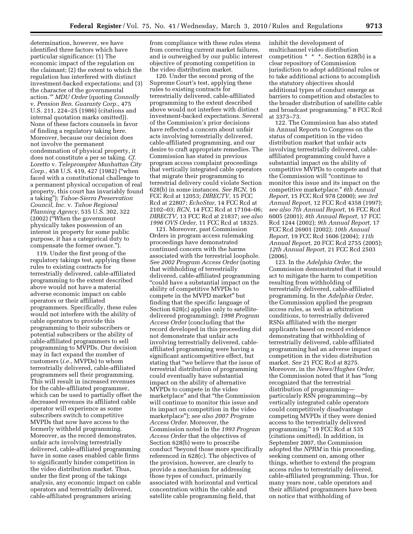determination, however, we have identified three factors which have particular significance: (1) The economic impact of the regulation on the claimant; (2) the extent to which the regulation has interfered with distinct investment-backed expectations; and (3) the character of the governmental action.''' *MDU Order* (quoting *Connolly*  v. *Pension Ben. Guaranty Corp.,* 475 U.S. 211, 224–25 (1986) (citations and internal quotation marks omitted)). None of these factors counsels in favor of finding a regulatory taking here. Moreover, because our decision does not involve the permanent condemnation of physical property, it does not constitute a per se taking. *Cf. Loretto* v. *Teleprompter Manhattan City Corp.,* 458 U.S. 419, 427 (1982) (''when faced with a constitutional challenge to a permanent physical occupation of real property, this court has invariably found a taking''); *Tahoe-Sierra Preservation Council, Inc.* v. *Tahoe Regional Planning Agency,* 535 U.S. 302, 322 (2002) (''When the government physically takes possession of an interest in property for some public purpose, it has a categorical duty to compensate the former owner.'').

119. Under the first prong of the regulatory takings test, applying these rules to existing contracts for terrestrially delivered, cable-affiliated programming to the extent described above would not have a material adverse economic impact on cable operators or their affiliated programmers. Specifically, these rules would not interfere with the ability of cable operators to provide this programming to their subscribers or potential subscribers or the ability of cable-affiliated programmers to sell programming to MVPDs. Our decision may in fact expand the number of customers (*i.e.,* MVPDs) to whom terrestrially delivered, cable-affiliated programmers sell their programming. This will result in increased revenues for the cable-affiliated programmer, which can be used to partially offset the decreased revenues its affiliated cable operator will experience as some subscribers switch to competitive MVPDs that now have access to the formerly withheld programming. Moreover, as the record demonstrates, unfair acts involving terrestrially delivered, cable-affiliated programming have in some cases enabled cable firms to significantly hinder competition in the video distribution market. Thus, under the first prong of the takings analysis, any economic impact on cable operators and terrestrially delivered, cable-affiliated programmers arising

from compliance with these rules stems from correcting current market failures, and is outweighed by our public interest objective of promoting competition in the video distribution market.

120. Under the second prong of the Supreme Court's test, applying these rules to existing contracts for terrestrially delivered, cable-affiliated programming to the extent described above would not interfere with distinct investment-backed expectations. Several of the Commission's prior decisions have reflected a concern about unfair acts involving terrestrially delivered, cable-affiliated programming, and our desire to craft appropriate remedies. The Commission has stated in previous program access complaint proceedings that vertically integrated cable operators that migrate their programming to terrestrial delivery could violate Section 628(b) in some instances. *See RCN,* 16 FCC Rcd at 12053; *DIRECTV,* 15 FCC Rcd at 22807; *EchoStar,* 14 FCC Rcd at 2102–03; *RCN,* 14 FCC Rcd at 17104–06; *DIRECTV,* 13 FCC Rcd at 21837; *see also 1996 OVS Order,* 11 FCC Rcd at 18325.

121. Moreover, past Commission Orders in program access rulemaking proceedings have demonstrated continued concern with the harms associated with the terrestrial loophole. *See 2002 Program Access Order* (noting that withholding of terrestrially delivered, cable-affiliated programming ''could have a substantial impact on the ability of competitive MVPDs to compete in the MVPD market'' but finding that the specific language of Section 628(c) applies only to satellitedelivered programming); *1998 Program Access Order* (concluding that the record developed in this proceeding did not demonstrate that unfair acts involving terrestrially delivered, cableaffiliated programming were having a significant anticompetitive effect, but stating that ''we believe that the issue of terrestrial distribution of programming could eventually have substantial impact on the ability of alternative MVPDs to compete in the video marketplace'' and that ''the Commission will continue to monitor this issue and its impact on competition in the video marketplace''); *see also 2007 Program Access Order.* Moreover, the Commission noted in the *1993 Program Access Order* that the objectives of Section 628(b) were to proscribe conduct ''beyond those more specifically referenced in 628(c). The objectives of the provision, however, are clearly to provide a mechanism for addressing those types of conduct, primarily associated with horizontal and vertical concentration within the cable and satellite cable programming field, that

inhibit the development of multichannel video distribution competition \* \* \*. Section 628(b) is a clear repository of Commission jurisdiction to adopt additional rules or to take additional actions to accomplish the statutory objectives should additional types of conduct emerge as barriers to competition and obstacles to the broader distribution of satellite cable and broadcast programming.'' 8 FCC Rcd at 3373–73.

122. The Commission has also stated in Annual Reports to Congress on the status of competition in the video distribution market that unfair acts involving terrestrially delivered, cableaffiliated programming could have a substantial impact on the ability of competitive MVPDs to compete and that the Commission will ''continue to monitor this issue and its impact on the competitive marketplace.'' *6th Annual Report,* 15 FCC Rcd 978 (2000); *see 3rd Annual Report,* 12 FCC Rcd 4358 (1997); *see also 7th Annual Report,* 16 FCC Rcd 6005 (2001); *8th Annual Report,* 17 FCC Rcd 1244 (2002); *9th Annual Report,* 17 FCC Rcd 26901 (2002); *10th Annual Report,* 19 FCC Rcd 1606 (2004); *11th Annual Report,* 20 FCC Rcd 2755 (2005); *12th Annual Report,* 21 FCC Rcd 2503 (2006).

123. In the *Adelphia Order,* the Commission demonstrated that it would act to mitigate the harm to competition resulting from withholding of terrestrially delivered, cable-affiliated programming. In the *Adelphia Order,*  the Commission applied the program access rules, as well as arbitration conditions, to terrestrially delivered RSNs affiliated with the merger applicants based on record evidence demonstrating that withholding of terrestrially delivered, cable-affiliated programming had an adverse impact on competition in the video distribution market. *See* 21 FCC Rcd at 8275. Moreover, in the *News/Hughes Order,*  the Commission noted that it has ''long recognized that the terrestrial distribution of programming particularly RSN programming—by vertically integrated cable operators could competitively disadvantage competing MVPDs if they were denied access to the terrestrially delivered programming.'' 19 FCC Rcd at 535 (citations omitted). In addition, in September 2007, the Commission adopted the *NPRM* in this proceeding, seeking comment on, among other things, whether to extend the program access rules to terrestrially delivered, cable-affiliated programming. Thus, for many years now, cable operators and their affiliated programmers have been on notice that withholding of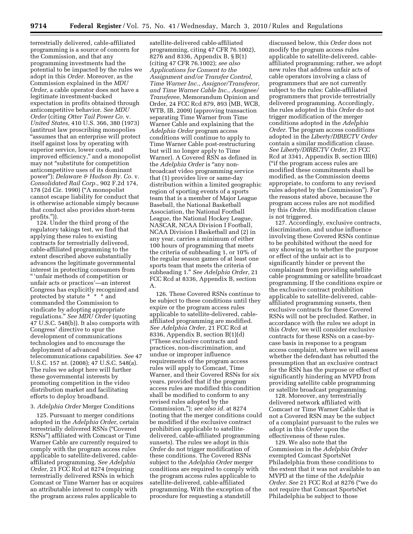terrestrially delivered, cable-affiliated programming is a source of concern for the Commission, and that any programming investments had the potential to be impacted by the rules we adopt in this *Order.* Moreover, as the Commission explained in the *MDU Order,* a cable operator does not have a legitimate investment-backed expectation in profits obtained through anticompetitive behavior. *See MDU Order* (citing *Otter Tail Power Co.* v. *United States,* 410 U.S. 366, 380 (1973) (antitrust law proscribing monopolies "assumes that an enterprise will protect itself against loss by operating with superior service, lower costs, and improved efficiency,'' and a monopolist may not ''substitute for competition anticompetitive uses of its dominant power''); *Delaware & Hudson Ry. Co.* v. *Consolidated Rail Corp.,* 902 F.2d 174, 178 (2d Cir. 1990) (''A monopolist cannot escape liability for conduct that is otherwise actionable simply because that conduct also provides short-term profits.'')).

124. Under the third prong of the regulatory takings test, we find that applying these rules to existing contracts for terrestrially delivered, cable-affiliated programming to the extent described above substantially advances the legitimate governmental interest in protecting consumers from '' 'unfair methods of competition or unfair acts or practices'—an interest Congress has explicitly recognized and protected by statute \* \* \* \* and commanded the Commission to vindicate by adopting appropriate regulations.'' *See MDU Order* (quoting 47 U.S.C. 548(b)). It also comports with Congress' directive to spur the development of communications technologies and to encourage the deployment of advanced telecommunications capabilities. *See* 47 U.S.C. 157 nt. (2008); 47 U.S.C. 548(a). The rules we adopt here will further these governmental interests by promoting competition in the video distribution market and facilitating efforts to deploy broadband.

#### 3. *Adelphia Order* Merger Conditions

125. Pursuant to merger conditions adopted in the *Adelphia Order,* certain terrestrially delivered RSNs (''Covered RSNs'') affiliated with Comcast or Time Warner Cable are currently required to comply with the program access rules applicable to satellite-delivered, cableaffiliated programming. *See Adelphia Order,* 21 FCC Rcd at 8274 (requiring terrestrially delivered RSNs in which Comcast or Time Warner has or acquires an attributable interest to comply with the program access rules applicable to

satellite-delivered cable-affiliated programming, citing 47 CFR 76.1002), 8276 and 8336, Appendix B, § B(1) (citing 47 CFR 76.1002); *see also Applications for Consent to the Assignment and/or Transfer Control, Time Warner Inc., Assignor/Transferor, and Time Warner Cable Inc., Assignee/ Transferee,* Memorandum Opinion and Order, 24 FCC Rcd 879, 893 (MB, WCB, WTB, IB, 2009) (approving transaction separating Time Warner from Time Warner Cable and explaining that the *Adelphia Order* program access conditions will continue to apply to Time Warner Cable post-restructuring but will no longer apply to Time Warner). A Covered RSN as defined in the *Adelphia Order* is ''any nonbroadcast video programming service that (1) provides live or same-day distribution within a limited geographic region of sporting events of a sports team that is a member of Major League Baseball, the National Basketball Association, the National Football League, the National Hockey League, NASCAR, NCAA Division I Football, NCAA Division I Basketball and (2) in any year, carries a minimum of either 100 hours of programming that meets the criteria of subheading 1, or 10% of the regular season games of at least one sports team that meets the criteria of subheading 1.'' *See Adelphia Order,* 21 FCC Rcd at 8336, Appendix B, section A.

126. These Covered RSNs continue to be subject to these conditions until they expire or the program access rules applicable to satellite-delivered, cableaffiliated programming are modified. *See Adelphia Order,* 21 FCC Rcd at 8336, Appendix B, section B(1)(d) (''These exclusive contracts and practices, non-discrimination, and undue or improper influence requirements of the program access rules will apply to Comcast, Time Warner, and their Covered RSNs for six years, provided that if the program access rules are modified this condition shall be modified to conform to any revised rules adopted by the Commission.''); *see also id.* at 8274 (noting that the merger conditions could be modified if the exclusive contract prohibition applicable to satellitedelivered, cable-affiliated programming sunsets). The rules we adopt in this *Order* do not trigger modification of these conditions. The Covered RSNs subject to the *Adelphia Order* merger conditions are required to comply with the program access rules applicable to satellite-delivered, cable-affiliated programming. With the exception of the procedure for requesting a standstill

discussed below, this *Order* does not modify the program access rules applicable to satellite-delivered, cableaffiliated programming; rather, we adopt new rules that address unfair acts of cable operators involving a class of programmers that are not currently subject to the rules: Cable-affiliated programmers that provide terrestrially delivered programming. Accordingly, the rules adopted in this *Order* do not trigger modification of the merger conditions adopted in the *Adelphia Order.* The program access conditions adopted in the *Liberty/DIRECTV Order*  contain a similar modification clause. *See Liberty/DIRECTV Order,* 23 FCC Rcd at 3341, Appendix B, section III(6) (''if the program access rules are modified these commitments shall be modified, as the Commission deems appropriate, to conform to any revised rules adopted by the Commission''). For the reasons stated above, because the program access rules are not modified by this *Order,* this modification clause is not triggered.

127. Accordingly, exclusive contracts, discrimination, and undue influence involving these Covered RSNs continue to be prohibited without the need for any showing as to whether the purpose or effect of the unfair act is to significantly hinder or prevent the complainant from providing satellite cable programming or satellite broadcast programming. If the conditions expire or the exclusive contract prohibition applicable to satellite-delivered, cableaffiliated programming sunsets, then exclusive contracts for these Covered RSNs will not be precluded. Rather, in accordance with the rules we adopt in this *Order,* we will consider exclusive contracts for these RSNs on a case-bycase basis in response to a program access complaint, where we will assess whether the defendant has rebutted the presumption that an exclusive contract for the RSN has the purpose or effect of significantly hindering an MVPD from providing satellite cable programming or satellite broadcast programming.

128. Moreover, any terrestrially delivered network affiliated with Comcast or Time Warner Cable that is not a Covered RSN may be the subject of a complaint pursuant to the rules we adopt in this *Order* upon the effectiveness of these rules.

129. We also note that the Commission in the *Adelphia Order*  exempted Comcast SportsNet Philadelphia from these conditions to the extent that it was not available to an MVPD at the time of the *Adelphia Order. See* 21 FCC Rcd at 8276 (''we do not require that Comcast SportsNet Philadelphia be subject to those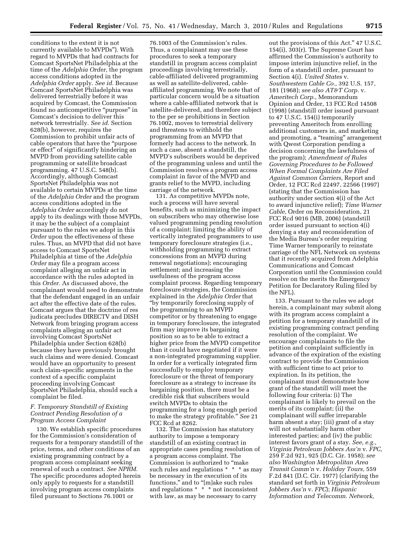conditions to the extent it is not currently available to MVPDs''). With regard to MVPDs that had contracts for Comcast SportsNet Philadelphia at the time of the *Adelphia Order,* the program access conditions adopted in the *Adelphia Order* apply. *See id.* Because Comcast SportsNet Philadelphia was delivered terrestrially before it was acquired by Comcast, the Commission found no anticompetitive "purpose" in Comcast's decision to deliver this network terrestrially. *See id.* Section 628(b), however, requires the Commission to prohibit unfair acts of cable operators that have the ''purpose or effect'' of significantly hindering an MVPD from providing satellite cable programming or satellite broadcast programming. 47 U.S.C. 548(b). Accordingly, although Comcast SportsNet Philadelphia was not available to certain MVPDs at the time of the *Adelphia Order* and the program access conditions adopted in the *Adelphia Order* accordingly do not apply to its dealings with those MVPDs, it may be the subject of a complaint pursuant to the rules we adopt in this *Order* upon the effectiveness of these rules. Thus, an MVPD that did not have access to Comcast SportsNet Philadelphia at time of the *Adelphia Order* may file a program access complaint alleging an unfair act in accordance with the rules adopted in this *Order.* As discussed above, the complainant would need to demonstrate that the defendant engaged in an unfair act after the effective date of the rules. Comcast argues that the doctrine of res judicata precludes DIRECTV and DISH Network from bringing program access complaints alleging an unfair act involving Comcast SportsNet Philadelphia under Section 628(b) because they have previously brought such claims and were denied. Comcast would have an opportunity to present such claim-specific arguments in the context of a specific complaint proceeding involving Comcast SportsNet Philadelphia, should such a complaint be filed.

# *F. Temporary Standstill of Existing Contract Pending Resolution of a Program Access Complaint*

130. We establish specific procedures for the Commission's consideration of requests for a temporary standstill of the price, terms, and other conditions of an existing programming contract by a program access complainant seeking renewal of such a contract. *See NPRM.*  The specific procedures adopted herein only apply to requests for a standstill involving program access complaints filed pursuant to Sections 76.1001 or

76.1003 of the Commission's rules. Thus, a complainant may use these procedures to seek a temporary standstill in program access complaint proceedings involving terrestrially, cable-affiliated delivered programming as well as satellite-delivered, cableaffiliated programming. We note that of particular concern would be a situation where a cable-affiliated network that is satellite-delivered, and therefore subject to the per se prohibitions in Section 76.1002, moves to terrestrial delivery and threatens to withhold the programming from an MVPD that formerly had access to the network. In such a case, absent a standstill, the MVPD's subscribers would be deprived of the programming unless and until the Commission resolves a program access complaint in favor of the MVPD and grants relief to the MVPD, including carriage of the network.

131. As competitive MVPDs note, such a process will have several benefits, such as minimizing the impact on subscribers who may otherwise lose valued programming pending resolution of a complaint; limiting the ability of vertically integrated programmers to use temporary foreclosure strategies (i.e., withholding programming to extract concessions from an MVPD during renewal negotiations); encouraging settlement; and increasing the usefulness of the program access complaint process. Regarding temporary foreclosure strategies, the Commission explained in the *Adelphia Order* that ''by temporarily foreclosing supply of the programming to an MVPD competitor or by threatening to engage in temporary foreclosure, the integrated firm may improve its bargaining position so as to be able to extract a higher price from the MVPD competitor than it could have negotiated if it were a non-integrated programming supplier. In order for a vertically integrated firm successfully to employ temporary foreclosure or the threat of temporary foreclosure as a strategy to increase its bargaining position, there must be a credible risk that subscribers would switch MVPDs to obtain the programming for a long enough period to make the strategy profitable.'' *See* 21 FCC Rcd at 8262.

132. The Commission has statutory authority to impose a temporary standstill of an existing contract in appropriate cases pending resolution of a program access complaint. The Commission is authorized to ''make such rules and regulations \* \* \* as may be necessary in the execution of its functions," and to "[m]ake such rules and regulations \* \* \* not inconsistent with law, as may be necessary to carry

out the provisions of this Act.'' 47 U.S.C. 154(i), 303(r). The Supreme Court has affirmed the Commission's authority to impose interim injunctive relief, in the form of a standstill order, pursuant to Section 4(i). *United States* v. *Southwestern Cable Co.,* 392 U.S. 157, 181 (1968); *see also AT&T Corp.* v. *Ameritech Corp.,* Memorandum Opinion and Order, 13 FCC Rcd 14508 (1998) (standstill order issued pursuant to 47 U.S.C. 154(i) temporarily preventing Ameritech from enrolling additional customers in, and marketing and promoting, a ''teaming'' arrangement with Qwest Corporation pending a decision concerning the lawfulness of the program); *Amendment of Rules Governing Procedures to be Followed When Formal Complaints Are Filed Against Common Carriers,* Report and Order, 12 FCC Rcd 22497, 22566 (1997) (stating that the Commission has authority under section 4(i) of the Act to award injunctive relief); *Time Warner Cable,* Order on Reconsideration, 21 FCC Rcd 9016 (MB, 2006) (standstill order issued pursuant to section 4(i) denying a stay and reconsideration of the Media Bureau's order requiring Time Warner temporarily to reinstate carriage of the NFL Network on systems that it recently acquired from Adelphia Communications and Comcast Corporation until the Commission could resolve on the merits the Emergency Petition for Declaratory Ruling filed by the NFL).

133. Pursuant to the rules we adopt herein, a complainant may submit along with its program access complaint a petition for a temporary standstill of its existing programming contract pending resolution of the complaint. We encourage complainants to file the petition and complaint sufficiently in advance of the expiration of the existing contract to provide the Commission with sufficient time to act prior to expiration. In its petition, the complainant must demonstrate how grant of the standstill will meet the following four criteria: (i) The complainant is likely to prevail on the merits of its complaint; (ii) the complainant will suffer irreparable harm absent a stay; (iii) grant of a stay will not substantially harm other interested parties; and (iv) the public interest favors grant of a stay. *See, e.g., Virginia Petroleum Jobbers Ass'n* v. *FPC,*  259 F.2d 921, 925 (D.C. Cir. 1958); *see also Washington Metropolitan Area Transit Comm'n* v. *Holiday Tours,* 559 F.2d 841 (D.C. Cir. 1977) (clarifying the standard set forth in *Virginia Petroleum Jobbers Ass'n* v. *FPC*); *Hispanic Information and Telecomm. Network,*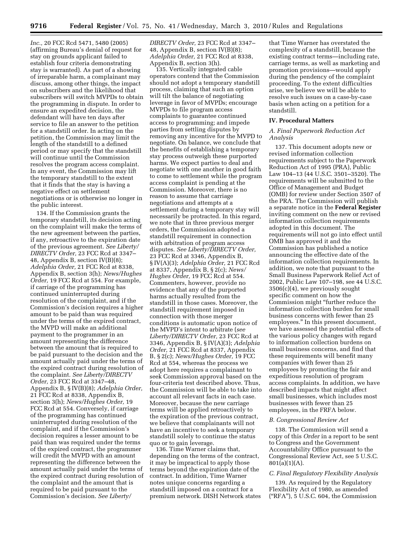*Inc.,* 20 FCC Rcd 5471, 5480 (2005) (affirming Bureau's denial of request for stay on grounds applicant failed to establish four criteria demonstrating stay is warranted). As part of a showing of irreparable harm, a complainant may discuss, among other things, the impact on subscribers and the likelihood that subscribers will switch MVPDs to obtain the programming in dispute. In order to ensure an expedited decision, the defendant will have ten days after service to file an answer to the petition for a standstill order. In acting on the petition, the Commission may limit the length of the standstill to a defined period or may specify that the standstill will continue until the Commission resolves the program access complaint. In any event, the Commission may lift the temporary standstill to the extent that it finds that the stay is having a negative effect on settlement negotiations or is otherwise no longer in the public interest.

134. If the Commission grants the temporary standstill, its decision acting on the complaint will make the terms of the new agreement between the parties, if any, retroactive to the expiration date of the previous agreement. *See Liberty/ DIRECTV Order,* 23 FCC Rcd at 3347– 48, Appendix B, section IV(B)(8); *Adelphia Order,* 21 FCC Rcd at 8338, Appendix B, section 3(h); *News/Hughes Order,* 19 FCC Rcd at 554. For example, if carriage of the programming has continued uninterrupted during resolution of the complaint, and if the Commission's decision requires a higher amount to be paid than was required under the terms of the expired contract, the MVPD will make an additional payment to the programmer in an amount representing the difference between the amount that is required to be paid pursuant to the decision and the amount actually paid under the terms of the expired contract during resolution of the complaint. *See Liberty/DIRECTV Order,* 23 FCC Rcd at 3347–48, Appendix B, § IV(B)(8); *Adelphia Order,*  21 FCC Rcd at 8338, Appendix B, section 3(h); *News/Hughes Order,* 19 FCC Rcd at 554. Conversely, if carriage of the programming has continued uninterrupted during resolution of the complaint, and if the Commission's decision requires a lesser amount to be paid than was required under the terms of the expired contract, the programmer will credit the MVPD with an amount representing the difference between the amount actually paid under the terms of the expired contract during resolution of the complaint and the amount that is required to be paid pursuant to the Commission's decision. *See Liberty/* 

*DIRECTV Order,* 23 FCC Rcd at 3347– 48, Appendix B, section IV(B)(8); *Adelphia Order,* 21 FCC Rcd at 8338, Appendix B, section 3(h).

135. Vertically integrated cable operators contend that the Commission should not adopt a temporary standstill process, claiming that such an option will tilt the balance of negotiating leverage in favor of MVPDs; encourage MVPDs to file program access complaints to guarantee continued access to programming; and impede parties from settling disputes by removing any incentive for the MVPD to negotiate. On balance, we conclude that the benefits of establishing a temporary stay process outweigh these purported harms. We expect parties to deal and negotiate with one another in good faith to come to settlement while the program access complaint is pending at the Commission. Moreover, there is no reason to assume that carriage negotiations and attempts at a settlement during a temporary stay will necessarily be protracted. In this regard, we note that in three previous merger orders, the Commission adopted a standstill requirement in connection with arbitration of program access disputes. *See Liberty/DIRECTV Order,*  23 FCC Rcd at 3346, Appendix B, § IV(A)(3); *Adelphia Order,* 21 FCC Rcd at 8337, Appendix B, § 2(c); *News/ Hughes Order,* 19 FCC Rcd at 554. Commenters, however, provide no evidence that any of the purported harms actually resulted from the standstill in those cases. Moreover, the standstill requirement imposed in connection with those merger conditions is automatic upon notice of the MVPD's intent to arbitrate (*see Liberty/DIRECTV Order,* 23 FCC Rcd at 3346, Appendix B, § IV(A)(3); *Adelphia Order,* 21 FCC Rcd at 8337, Appendix B, § 2(c); *News/Hughes Order,* 19 FCC Rcd at 554, whereas the process we adopt here requires a complainant to seek Commission approval based on the four-criteria test described above. Thus, the Commission will be able to take into account all relevant facts in each case. Moreover, because the new carriage terms will be applied retroactively to the expiration of the previous contract, we believe that complainants will not have an incentive to seek a temporary standstill solely to continue the status quo or to gain leverage.

136. Time Warner claims that, depending on the terms of the contract, it may be impractical to apply those terms beyond the expiration date of the contract. In addition, Time Warner notes unique concerns regarding a standstill imposed on a contract for a premium network. DISH Network states

that Time Warner has overstated the complexity of a standstill, because the existing contract terms—including rate, carriage terms, as well as marketing and promotion provisions—would apply during the pendency of the complaint proceeding. To the extent difficulties arise, we believe we will be able to resolve such issues on a case-by-case basis when acting on a petition for a standstill.

#### **IV. Procedural Matters**

#### *A. Final Paperwork Reduction Act Analysis*

137. This document adopts new or revised information collection requirements subject to the Paperwork Reduction Act of 1995 (PRA), Public Law 104–13 (44 U.S.C. 3501–3520). The requirements will be submitted to the Office of Management and Budget (OMB) for review under Section 3507 of the PRA. The Commission will publish a separate notice in the **Federal Register**  inviting comment on the new or revised information collection requirements adopted in this document. The requirements will not go into effect until OMB has approved it and the Commission has published a notice announcing the effective date of the information collection requirements. In addition, we note that pursuant to the Small Business Paperwork Relief Act of 2002, Public Law 107–198, see 44 U.S.C. 3506(c)(4), we previously sought specific comment on how the Commission might ''further reduce the information collection burden for small business concerns with fewer than 25 employees.'' In this present document, we have assessed the potential effects of the various policy changes with regard to information collection burdens on small business concerns, and find that these requirements will benefit many companies with fewer than 25 employees by promoting the fair and expeditious resolution of program access complaints. In addition, we have described impacts that might affect small businesses, which includes most businesses with fewer than 25 employees, in the FRFA below.

## *B. Congressional Review Act*

138. The Commission will send a copy of this *Order* in a report to be sent to Congress and the Government Accountability Office pursuant to the Congressional Review Act, see 5 U.S.C. 801(a)(1)(A).

#### *C. Final Regulatory Flexibility Analysis*

139. As required by the Regulatory Flexibility Act of 1980, as amended (''RFA''), 5 U.S.C. 604, the Commission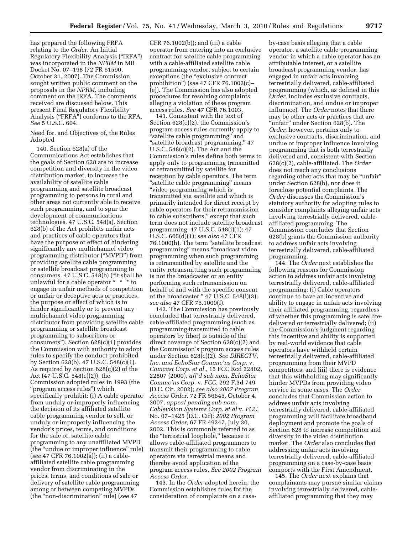has prepared the following FRFA relating to the *Order.* An Initial Regulatory Flexibility Analysis (''IRFA'') was incorporated in the *NPRM* in MB Docket No. 07–198 (72 FR 61590, October 31, 2007). The Commission sought written public comment on the proposals in the *NPRM,* including comment on the IRFA. The comments received are discussed below. This present Final Regulatory Flexibility Analysis (''FRFA'') conforms to the RFA. *See* 5 U.S.C. 604.

Need for, and Objectives of, the Rules Adopted

140. Section 628(a) of the Communications Act establishes that the goals of Section 628 are to increase competition and diversity in the video distribution market, to increase the availability of satellite cable programming and satellite broadcast programming to persons in rural and other areas not currently able to receive such programming, and to spur the development of communications technologies. 47 U.S.C. 548(a). Section 628(b) of the Act prohibits unfair acts and practices of cable operators that have the purpose or effect of hindering significantly any multichannel video programming distributor (''MVPD'') from providing satellite cable programming or satellite broadcast programming to consumers. 47 U.S.C. 548(b) (''it shall be unlawful for a cable operator \* \* \* to engage in unfair methods of competition or unfair or deceptive acts or practices, the purpose or effect of which is to hinder significantly or to prevent any multichannel video programming distributor from providing satellite cable programming or satellite broadcast programming to subscribers or consumers''). Section 628(c)(1) provides the Commission with authority to adopt rules to specify the conduct prohibited by Section 628(b). 47 U.S.C. 548(c)(1). As required by Section 628(c)(2) of the Act (47 U.S.C. 548(c)(2)), the Commission adopted rules in 1993 (the ''program access rules'') which specifically prohibit: (i) A cable operator from unduly or improperly influencing the decision of its affiliated satellite cable programming vendor to sell, or unduly or improperly influencing the vendor's prices, terms, and conditions for the sale of, satellite cable programming to any unaffiliated MVPD (the ''undue or improper influence'' rule) (*see* 47 CFR 76.1002(a)); (ii) a cableaffiliated satellite cable programming vendor from discriminating in the prices, terms, and conditions of sale or delivery of satellite cable programming among or between competing MVPDs (the ''non-discrimination'' rule) (*see* 47

CFR 76.1002(b)); and (iii) a cable operator from entering into an exclusive contract for satellite cable programming with a cable-affiliated satellite cable programming vendor, subject to certain exceptions (the "exclusive contract prohibition'') (*see* 47 CFR 76.1002(c)– (e)). The Commission has also adopted procedures for resolving complaints alleging a violation of these program access rules. *See* 47 CFR 76.1003.

141. Consistent with the text of Section 628(c)(2), the Commission's program access rules currently apply to ''satellite cable programming'' and ''satellite broadcast programming.'' 47 U.S.C. 548(c)(2). The Act and the Commission's rules define both terms to apply only to programming transmitted or retransmitted by satellite for reception by cable operators. The term ''satellite cable programming'' means ''video programming which is transmitted via satellite and which is primarily intended for direct receipt by cable operators for their retransmission to cable subscribers,'' except that such term does not include satellite broadcast programming. 47 U.S.C. 548(i)(1); 47 U.S.C. 605(d)(1); *see also* 47 CFR 76.1000(h). The term ''satellite broadcast programming'' means ''broadcast video programming when such programming is retransmitted by satellite and the entity retransmitting such programming is not the broadcaster or an entity performing such retransmission on behalf of and with the specific consent of the broadcaster.'' 47 U.S.C. 548(i)(3); *see also* 47 CFR 76.1000(f).

142. The Commission has previously concluded that terrestrially delivered, cable-affiliated programming (such as programming transmitted to cable operators by fiber) is outside of the direct coverage of Section 628(c)(2) and the Commission's program access rules under Section 628(c)(2). *See DIRECTV, Inc. and EchoStar Commc'ns Corp.* v. *Comcast Corp. et al.,* 15 FCC Rcd 22802, 22807 (2000), *aff'd sub nom. EchoStar Commc'ns Corp.* v. *FCC,* 292 F.3d 749 (D.C. Cir. 2002); *see also 2007 Program Access Order,* 72 FR 56645, October 4, 2007, *appeal pending sub nom. Cablevision Systems Corp. et al* v. *FCC,*  No. 07–1425 (D.C. Cir); *2002 Program Access Order,* 67 FR 49247, July 30, 2002. This is commonly referred to as the "terrestrial loophole," because it allows cable-affiliated programmers to transmit their programming to cable operators via terrestrial means and thereby avoid application of the program access rules. *See 2002 Program Access Order.* 

143. In the *Order* adopted herein, the Commission establishes rules for the consideration of complaints on a caseby-case basis alleging that a cable operator, a satellite cable programming vendor in which a cable operator has an attributable interest, or a satellite broadcast programming vendor, has engaged in unfair acts involving terrestrially delivered, cable-affiliated programming (which, as defined in this *Order,* includes exclusive contracts, discrimination, and undue or improper influence). The *Order* notes that there may be other acts or practices that are ''unfair'' under Section 628(b). The *Order,* however, pertains only to exclusive contracts, discrimination, and undue or improper influence involving programming that is both terrestrially delivered and, consistent with Section 628(c)(2), cable-affiliated. The *Order*  does not reach any conclusions regarding other acts that may be "unfair" under Section 628(b), nor does it foreclose potential complaints. The *Order* discusses the Commission's statutory authority for adopting rules to consider complaints alleging unfair acts involving terrestrially delivered, cableaffiliated programming. The Commission concludes that Section 628(b) grants the Commission authority to address unfair acts involving terrestrially delivered, cable-affiliated programming.

144. The *Order* next establishes the following reasons for Commission action to address unfair acts involving terrestrially delivered, cable-affiliated programming: (i) Cable operators continue to have an incentive and ability to engage in unfair acts involving their affiliated programming, regardless of whether this programming is satellitedelivered or terrestrially delivered; (ii) the Commission's judgment regarding this incentive and ability is supported by real-world evidence that cable operators have withheld certain terrestrially delivered, cable-affiliated programming from their MVPD competitors; and (iii) there is evidence that this withholding may significantly hinder MVPDs from providing video service in some cases. The *Order*  concludes that Commission action to address unfair acts involving terrestrially delivered, cable-affiliated programming will facilitate broadband deployment and promote the goals of Section 628 to increase competition and diversity in the video distribution market. The *Order* also concludes that addressing unfair acts involving terrestrially delivered, cable-affiliated programming on a case-by-case basis comports with the First Amendment.

145. The *Order* next explains that complainants may pursue similar claims involving terrestrially delivered, cableaffiliated programming that they may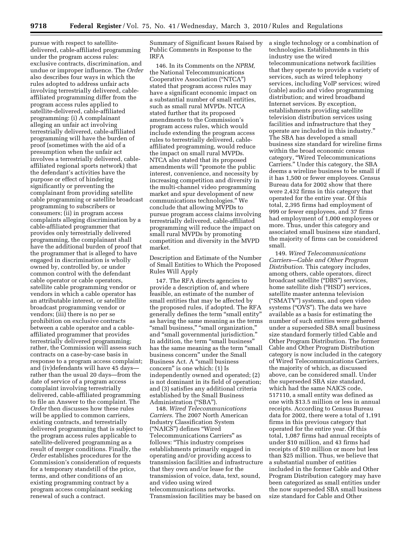pursue with respect to satellitedelivered, cable-affiliated programming under the program access rules: exclusive contracts, discrimination, and undue or improper influence. The *Order*  also describes four ways in which the rules adopted to address unfair acts involving terrestrially delivered, cableaffiliated programming differ from the program access rules applied to satellite-delivered, cable-affiliated programming: (i) A complainant alleging an unfair act involving terrestrially delivered, cable-affiliated programming will have the burden of proof (sometimes with the aid of a presumption when the unfair act involves a terrestrially delivered, cableaffiliated regional sports network) that the defendant's activities have the purpose or effect of hindering significantly or preventing the complainant from providing satellite cable programming or satellite broadcast programming to subscribers or consumers; (ii) in program access complaints alleging discrimination by a cable-affiliated programmer that provides only terrestrially delivered programming, the complainant shall have the additional burden of proof that the programmer that is alleged to have engaged in discrimination is wholly owned by, controlled by, or under common control with the defendant cable operator or cable operators, satellite cable programming vendor or vendors in which a cable operator has an attributable interest, or satellite broadcast programming vendor or vendors; (iii) there is no per se prohibition on exclusive contracts between a cable operator and a cableaffiliated programmer that provides terrestrially delivered programming; rather, the Commission will assess such contracts on a case-by-case basis in response to a program access complaint; and (iv)defendants will have 45 days rather than the usual 20 days—from the date of service of a program access complaint involving terrestrially delivered, cable-affiliated programming to file an Answer to the complaint. The *Order* then discusses how these rules will be applied to common carriers, existing contracts, and terrestrially delivered programming that is subject to the program access rules applicable to satellite-delivered programming as a result of merger conditions. Finally, the *Order* establishes procedures for the Commission's consideration of requests for a temporary standstill of the price, terms, and other conditions of an existing programming contract by a program access complainant seeking renewal of such a contract.

Summary of Significant Issues Raised by Public Comments in Response to the IRFA

146. In its Comments on the *NPRM,*  the National Telecommunications Cooperative Association (''NTCA'') stated that program access rules may have a significant economic impact on a substantial number of small entities, such as small rural MVPDs. NTCA stated further that its proposed amendments to the Commission's program access rules, which would include extending the program access rules to terrestrially delivered, cableaffiliated programming, would reduce the impact on small rural MVPDs. NTCA also stated that its proposed amendments will ''promote the public interest, convenience, and necessity by increasing competition and diversity in the multi-channel video programming market and spur development of new communications technologies.'' We conclude that allowing MVPDs to pursue program access claims involving terrestrially delivered, cable-affiliated programming will reduce the impact on small rural MVPDs by promoting competition and diversity in the MVPD market.

Description and Estimate of the Number of Small Entities to Which the Proposed Rules Will Apply

147. The RFA directs agencies to provide a description of, and where feasible, an estimate of the number of small entities that may be affected by the proposed rules, if adopted. The RFA generally defines the term ''small entity'' as having the same meaning as the terms "small business," "small organization," and ''small governmental jurisdiction.'' In addition, the term ''small business'' has the same meaning as the term "small business concern'' under the Small Business Act. A ''small business concern'' is one which: (1) Is independently owned and operated; (2) is not dominant in its field of operation; and (3) satisfies any additional criteria established by the Small Business Administration ("SBA").

148. *Wired Telecommunications Carriers.* The 2007 North American Industry Classification System (''NAICS'') defines ''Wired Telecommunications Carriers'' as follows: ''This industry comprises establishments primarily engaged in operating and/or providing access to transmission facilities and infrastructure that they own and/or lease for the transmission of voice, data, text, sound, and video using wired telecommunications networks. Transmission facilities may be based on

a single technology or a combination of technologies. Establishments in this industry use the wired telecommunications network facilities that they operate to provide a variety of services, such as wired telephony services, including VoIP services; wired (cable) audio and video programming distribution; and wired broadband Internet services. By exception, establishments providing satellite television distribution services using facilities and infrastructure that they operate are included in this industry.'' The SBA has developed a small business size standard for wireline firms within the broad economic census category, ''Wired Telecommunications Carriers.'' Under this category, the SBA deems a wireline business to be small if it has 1,500 or fewer employees. Census Bureau data for 2002 show that there were 2,432 firms in this category that operated for the entire year. Of this total, 2,395 firms had employment of 999 or fewer employees, and 37 firms had employment of 1,000 employees or more. Thus, under this category and associated small business size standard, the majority of firms can be considered small.

149. *Wired Telecommunications Carriers—Cable and Other Program Distribution.* This category includes, among others, cable operators, direct broadcast satellite (''DBS'') services, home satellite dish ("HSD") services, satellite master antenna television (''SMATV'') systems, and open video systems ("OVS"). The data we have available as a basis for estimating the number of such entities were gathered under a superseded SBA small business size standard formerly titled Cable and Other Program Distribution. The former Cable and Other Program Distribution category is now included in the category of Wired Telecommunications Carriers, the majority of which, as discussed above, can be considered small. Under the superseded SBA size standard, which had the same NAICS code, 517110, a small entity was defined as one with \$13.5 million or less in annual receipts. According to Census Bureau data for 2002, there were a total of 1,191 firms in this previous category that operated for the entire year. Of this total, 1,087 firms had annual receipts of under \$10 million, and 43 firms had receipts of \$10 million or more but less than \$25 million. Thus, we believe that a substantial number of entities included in the former Cable and Other Program Distribution category may have been categorized as small entities under the now superseded SBA small business size standard for Cable and Other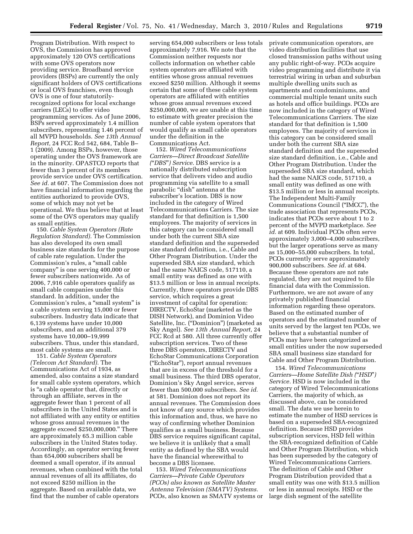Program Distribution. With respect to OVS, the Commission has approved approximately 120 OVS certifications with some OVS operators now providing service. Broadband service providers (BSPs) are currently the only significant holders of OVS certifications or local OVS franchises, even though OVS is one of four statutorilyrecognized options for local exchange carriers (LECs) to offer video programming services. As of June 2006, BSPs served approximately 1.4 million subscribers, representing 1.46 percent of all MVPD households. *See 13th Annual Report,* 24 FCC Rcd 542, 684, Table B– 1 (2009). Among BSPs, however, those operating under the OVS framework are in the minority. OPASTCO reports that fewer than 3 percent of its members provide service under OVS certification. *See id.* at 607. The Commission does not have financial information regarding the entities authorized to provide OVS, some of which may not yet be operational. We thus believe that at least some of the OVS operators may qualify as small entities.

150. *Cable System Operators (Rate Regulation Standard).* The Commission has also developed its own small business size standards for the purpose of cable rate regulation. Under the Commission's rules, a ''small cable company'' is one serving 400,000 or fewer subscribers nationwide. As of 2006, 7,916 cable operators qualify as small cable companies under this standard. In addition, under the Commission's rules, a "small system" is a cable system serving 15,000 or fewer subscribers. Industry data indicate that 6,139 systems have under 10,000 subscribers, and an additional 379 systems have 10,000–19,999 subscribers. Thus, under this standard, most cable systems are small.

151. *Cable System Operators (Telecom Act Standard).* The Communications Act of 1934, as amended, also contains a size standard for small cable system operators, which is ''a cable operator that, directly or through an affiliate, serves in the aggregate fewer than 1 percent of all subscribers in the United States and is not affiliated with any entity or entities whose gross annual revenues in the aggregate exceed \$250,000,000.'' There are approximately 65.3 million cable subscribers in the United States today. Accordingly, an operator serving fewer than 654,000 subscribers shall be deemed a small operator, if its annual revenues, when combined with the total annual revenues of all its affiliates, do not exceed \$250 million in the aggregate. Based on available data, we find that the number of cable operators

serving 654,000 subscribers or less totals approximately 7,916. We note that the Commission neither requests nor collects information on whether cable system operators are affiliated with entities whose gross annual revenues exceed \$250 million. Although it seems certain that some of these cable system operators are affiliated with entities whose gross annual revenues exceed \$250,000,000, we are unable at this time to estimate with greater precision the number of cable system operators that would qualify as small cable operators under the definition in the Communications Act.

152. *Wired Telecommunications Carriers—Direct Broadcast Satellite (*''*DBS*''*) Service.* DBS service is a nationally distributed subscription service that delivers video and audio programming via satellite to a small parabolic ''dish'' antenna at the subscriber's location. DBS is now included in the category of Wired Telecommunications Carriers. The size standard for that definition is 1,500 employees. The majority of services in this category can be considered small under both the current SBA size standard definition and the superseded size standard definition, i.e., Cable and Other Program Distribution. Under the superseded SBA size standard, which had the same NAICS code, 517110, a small entity was defined as one with \$13.5 million or less in annual receipts. Currently, three operators provide DBS service, which requires a great investment of capital for operation: DIRECTV, EchoStar (marketed as the DISH Network), and Dominion Video Satellite, Inc. (''Dominion'') (marketed as Sky Angel). *See 13th Annual Report,* 24 FCC Rcd at 580. All three currently offer subscription services. Two of these three DBS operators, DIRECTV and EchoStar Communications Corporation (''EchoStar''), report annual revenues that are in excess of the threshold for a small business. The third DBS operator, Dominion's Sky Angel service, serves fewer than 500,000 subscribers. *See id.*  at 581. Dominion does not report its annual revenues. The Commission does not know of any source which provides this information and, thus, we have no way of confirming whether Dominion qualifies as a small business. Because DBS service requires significant capital, we believe it is unlikely that a small entity as defined by the SBA would have the financial wherewithal to become a DBS licensee.

153. *Wired Telecommunications Carriers—Private Cable Operators (PCOs) also known as Satellite Master Antenna Television (SMATV) Systems.*  PCOs, also known as SMATV systems or private communication operators, are video distribution facilities that use closed transmission paths without using any public right-of-way. PCOs acquire video programming and distribute it via terrestrial wiring in urban and suburban multiple dwelling units such as apartments and condominiums, and commercial multiple tenant units such as hotels and office buildings. PCOs are now included in the category of Wired Telecommunications Carriers. The size standard for that definition is 1,500 employees. The majority of services in this category can be considered small under both the current SBA size standard definition and the superseded size standard definition, i.e., Cable and Other Program Distribution. Under the superseded SBA size standard, which had the same NAICS code, 517110, a small entity was defined as one with \$13.5 million or less in annual receipts. The Independent Multi-Family Communications Council (''IMCC''), the trade association that represents PCOs, indicates that PCOs serve about 1 to 2 percent of the MVPD marketplace. *See id.* at 609. Individual PCOs often serve approximately 3,000–4,000 subscribers, but the larger operations serve as many as 15,000–55,000 subscribers. In total, PCOs currently serve approximately 900,000 subscribers. *See id.* at 684. Because these operators are not rate regulated, they are not required to file financial data with the Commission. Furthermore, we are not aware of any privately published financial information regarding these operators. Based on the estimated number of operators and the estimated number of units served by the largest ten PCOs, we believe that a substantial number of PCOs may have been categorized as small entities under the now superseded SBA small business size standard for Cable and Other Program Distribution.

154. *Wired Telecommunications Carriers—Home Satellite Dish (*''*HSD*''*) Service.* HSD is now included in the category of Wired Telecommunications Carriers, the majority of which, as discussed above, can be considered small. The data we use herein to estimate the number of HSD services is based on a superseded SBA-recognized definition. Because HSD provides subscription services, HSD fell within the SBA-recognized definition of Cable and Other Program Distribution, which has been superseded by the category of Wired Telecommunications Carriers. The definition of Cable and Other Program Distribution provided that a small entity was one with \$13.5 million or less in annual receipts. HSD or the large dish segment of the satellite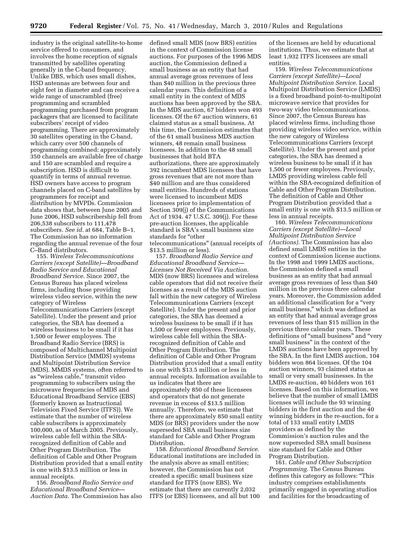industry is the original satellite-to-home service offered to consumers, and involves the home reception of signals transmitted by satellites operating generally in the C-band frequency. Unlike DBS, which uses small dishes, HSD antennas are between four and eight feet in diameter and can receive a wide range of unscrambled (free) programming and scrambled programming purchased from program packagers that are licensed to facilitate subscribers' receipt of video programming. There are approximately 30 satellites operating in the C-band, which carry over 500 channels of programming combined; approximately 350 channels are available free of charge and 150 are scrambled and require a subscription. HSD is difficult to quantify in terms of annual revenue. HSD owners have access to program channels placed on C-band satellites by programmers for receipt and distribution by MVPDs. Commission data shows that, between June 2005 and June 2006, HSD subscribership fell from 206,538 subscribers to 111,478 subscribers. *See id.* at 684, Table B–1. The Commission has no information regarding the annual revenue of the four C–Band distributors.

155. *Wireless Telecommunications Carriers (except Satellite)—Broadband Radio Service and Educational Broadband Service.* Since 2007, the Census Bureau has placed wireless firms, including those providing wireless video service, within the new category of Wireless Telecommunications Carriers (except Satellite). Under the present and prior categories, the SBA has deemed a wireless business to be small if it has 1,500 or fewer employees. The Broadband Radio Service (BRS) is composed of Multichannel Multipoint Distribution Service (MMDS) systems and Multipoint Distribution Service (MDS). MMDS systems, often referred to as ''wireless cable,'' transmit video programming to subscribers using the microwave frequencies of MDS and Educational Broadband Service (EBS) (formerly known as Instructional Television Fixed Service (ITFS)). We estimate that the number of wireless cable subscribers is approximately 100,000, as of March 2005. Previously, wireless cable fell within the SBArecognized definition of Cable and Other Program Distribution. The definition of Cable and Other Program Distribution provided that a small entity is one with \$13.5 million or less in annual receipts.

156. *Broadband Radio Service and Educational Broadband Service— Auction Data.* The Commission has also defined small MDS (now BRS) entities in the context of Commission license auctions. For purposes of the 1996 MDS auction, the Commission defined a small business as an entity that had annual average gross revenues of less than \$40 million in the previous three calendar years. This definition of a small entity in the context of MDS auctions has been approved by the SBA. In the MDS auction, 67 bidders won 493 licenses. Of the 67 auction winners, 61 claimed status as a small business. At this time, the Commission estimates that of the 61 small business MDS auction winners, 48 remain small business licensees. In addition to the 48 small businesses that hold BTA authorizations, there are approximately 392 incumbent MDS licensees that have gross revenues that are not more than \$40 million and are thus considered small entities. Hundreds of stations were licensed to incumbent MDS licensees prior to implementation of Section 309(j) of the Communications Act of 1934. 47 U.S.C. 309(j). For these pre-auction licenses, the applicable standard is SBA's small business size standards for ''other telecommunications'' (annual receipts of \$13.5 million or less).

157. *Broadband Radio Service and Educational Broadband Service— Licenses Not Received Via Auction.*  MDS (now BRS) licensees and wireless cable operators that did not receive their licenses as a result of the MDS auction fall within the new category of Wireless Telecommunications Carriers (except Satellite). Under the present and prior categories, the SBA has deemed a wireless business to be small if it has 1,500 or fewer employees. Previously, wireless cable fell within the SBArecognized definition of Cable and Other Program Distribution. The definition of Cable and Other Program Distribution provided that a small entity is one with \$13.5 million or less in annual receipts. Information available to us indicates that there are approximately 850 of these licensees and operators that do not generate revenue in excess of \$13.5 million annually. Therefore, we estimate that there are approximately 850 small entity MDS (or BRS) providers under the now superseded SBA small business size standard for Cable and Other Program Distribution.

158. *Educational Broadband Service.*  Educational institutions are included in the analysis above as small entities; however, the Commission has not created a specific small business size standard for ITFS (now EBS). We estimate that there are currently 2,032 ITFS (or EBS) licensees, and all but 100

of the licenses are held by educational institutions. Thus, we estimate that at least 1,932 ITFS licensees are small entities.

159. *Wireless Telecommunications Carriers (except Satellite)—Local Multipoint Distribution Service.* Local Multipoint Distribution Service (LMDS) is a fixed broadband point-to-multipoint microwave service that provides for two-way video telecommunications. Since 2007, the Census Bureau has placed wireless firms, including those providing wireless video service, within the new category of Wireless Telecommunications Carriers (except Satellite). Under the present and prior categories, the SBA has deemed a wireless business to be small if it has 1,500 or fewer employees. Previously, LMDS providing wireless cable fell within the SBA-recognized definition of Cable and Other Program Distribution. The definition of Cable and Other Program Distribution provided that a small entity is one with \$13.5 million or less in annual receipts.

160. *Wireless Telecommunications Carriers (except Satellite)—Local Multipoint Distribution Service (Auctions).* The Commission has also defined small LMDS entities in the context of Commission license auctions. In the 1998 and 1999 LMDS auctions, the Commission defined a small business as an entity that had annual average gross revenues of less than \$40 million in the previous three calendar years. Moreover, the Commission added an additional classification for a "very small business," which was defined as an entity that had annual average gross revenues of less than \$15 million in the previous three calendar years. These definitions of "small business" and "very small business'' in the context of the LMDS auctions have been approved by the SBA. In the first LMDS auction, 104 bidders won 864 licenses. Of the 104 auction winners, 93 claimed status as small or very small businesses. In the LMDS re-auction, 40 bidders won 161 licenses. Based on this information, we believe that the number of small LMDS licenses will include the 93 winning bidders in the first auction and the 40 winning bidders in the re-auction, for a total of 133 small entity LMDS providers as defined by the Commission's auction rules and the now superseded SBA small business size standard for Cable and Other Program Distribution.

161. *Cable and Other Subscription Programming.* The Census Bureau defines this category as follows: ''This industry comprises establishments primarily engaged in operating studios and facilities for the broadcasting of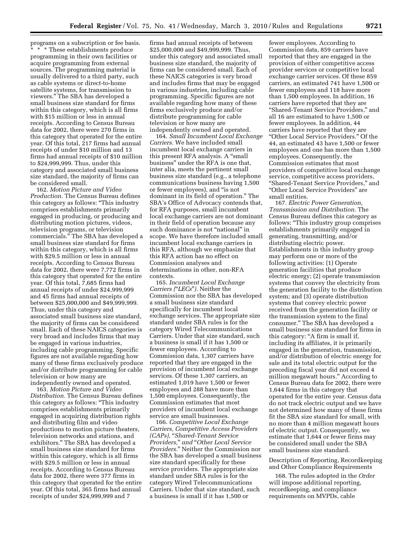programs on a subscription or fee basis. \* \* \* These establishments produce programming in their own facilities or acquire programming from external sources. The programming material is usually delivered to a third party, such as cable systems or direct-to-home satellite systems, for transmission to viewers.'' The SBA has developed a small business size standard for firms within this category, which is all firms with \$15 million or less in annual receipts. According to Census Bureau data for 2002, there were 270 firms in this category that operated for the entire year. Of this total, 217 firms had annual receipts of under \$10 million and 13 firms had annual receipts of \$10 million to \$24,999,999. Thus, under this category and associated small business size standard, the majority of firms can be considered small.

162. *Motion Picture and Video Production.* The Census Bureau defines this category as follows: ''This industry comprises establishments primarily engaged in producing, or producing and distributing motion pictures, videos, television programs, or television commercials.'' The SBA has developed a small business size standard for firms within this category, which is all firms with \$29.5 million or less in annual receipts. According to Census Bureau data for 2002, there were 7,772 firms in this category that operated for the entire year. Of this total, 7,685 firms had annual receipts of under \$24,999,999 and 45 firms had annual receipts of between \$25,000,000 and \$49,999,999. Thus, under this category and associated small business size standard, the majority of firms can be considered small. Each of these NAICS categories is very broad and includes firms that may be engaged in various industries, including cable programming. Specific figures are not available regarding how many of these firms exclusively produce and/or distribute programming for cable television or how many are independently owned and operated.

163. *Motion Picture and Video Distribution.* The Census Bureau defines this category as follows: ''This industry comprises establishments primarily engaged in acquiring distribution rights and distributing film and video productions to motion picture theaters, television networks and stations, and exhibitors.'' The SBA has developed a small business size standard for firms within this category, which is all firms with \$29.5 million or less in annual receipts. According to Census Bureau data for 2002, there were 377 firms in this category that operated for the entire year. Of this total, 365 firms had annual receipts of under \$24,999,999 and 7

firms had annual receipts of between \$25,000,000 and \$49,999,999. Thus, under this category and associated small business size standard, the majority of firms can be considered small. Each of these NAICS categories is very broad and includes firms that may be engaged in various industries, including cable programming. Specific figures are not available regarding how many of these firms exclusively produce and/or distribute programming for cable television or how many are independently owned and operated.

164. *Small Incumbent Local Exchange Carriers.* We have included small incumbent local exchange carriers in this present RFA analysis. A "small business'' under the RFA is one that, inter alia, meets the pertinent small business size standard (e.g., a telephone communications business having 1,500 or fewer employees), and ''is not dominant in its field of operation.'' The SBA's Office of Advocacy contends that, for RFA purposes, small incumbent local exchange carriers are not dominant in their field of operation because any such dominance is not "national" in scope. We have therefore included small incumbent local exchange carriers in this RFA, although we emphasize that this RFA action has no effect on Commission analyses and determinations in other, non-RFA contexts.

165. *Incumbent Local Exchange Carriers (*''*LECs*''*).* Neither the Commission nor the SBA has developed a small business size standard specifically for incumbent local exchange services. The appropriate size standard under SBA rules is for the category Wired Telecommunications Carriers. Under that size standard, such a business is small if it has 1,500 or fewer employees. According to Commission data, 1,307 carriers have reported that they are engaged in the provision of incumbent local exchange services. Of these 1,307 carriers, an estimated 1,019 have 1,500 or fewer employees and 288 have more than 1,500 employees. Consequently, the Commission estimates that most providers of incumbent local exchange service are small businesses.

166. *Competitive Local Exchange Carriers, Competitive Access Providers (CAPs),* ''*Shared-Tenant Service Providers,*'' *and* ''*Other Local Service Providers.*'' Neither the Commission nor the SBA has developed a small business size standard specifically for these service providers. The appropriate size standard under SBA rules is for the category Wired Telecommunications Carriers. Under that size standard, such a business is small if it has 1,500 or

fewer employees. According to Commission data, 859 carriers have reported that they are engaged in the provision of either competitive access provider services or competitive local exchange carrier services. Of these 859 carriers, an estimated 741 have 1,500 or fewer employees and 118 have more than 1,500 employees. In addition, 16 carriers have reported that they are ''Shared-Tenant Service Providers,'' and all 16 are estimated to have 1,500 or fewer employees. In addition, 44 carriers have reported that they are ''Other Local Service Providers.'' Of the 44, an estimated 43 have 1,500 or fewer employees and one has more than 1,500 employees. Consequently, the Commission estimates that most providers of competitive local exchange service, competitive access providers, ''Shared-Tenant Service Providers,'' and ''Other Local Service Providers'' are small entities.

167. *Electric Power Generation, Transmission and Distribution.* The Census Bureau defines this category as follows: ''This industry group comprises establishments primarily engaged in generating, transmitting, and/or distributing electric power. Establishments in this industry group may perform one or more of the following activities: (1) Operate generation facilities that produce electric energy; (2) operate transmission systems that convey the electricity from the generation facility to the distribution system; and (3) operate distribution systems that convey electric power received from the generation facility or the transmission system to the final consumer." The SBA has developed a small business size standard for firms in this category: ''A firm is small if, including its affiliates, it is primarily engaged in the generation, transmission, and/or distribution of electric energy for sale and its total electric output for the preceding fiscal year did not exceed 4 million megawatt hours.'' According to Census Bureau data for 2002, there were 1,644 firms in this category that operated for the entire year. Census data do not track electric output and we have not determined how many of these firms fit the SBA size standard for small, with no more than 4 million megawatt hours of electric output. Consequently, we estimate that 1,644 or fewer firms may be considered small under the SBA small business size standard.

Description of Reporting, Recordkeeping and Other Compliance Requirements

168. The rules adopted in the *Order*  will impose additional reporting, recordkeeping, and compliance requirements on MVPDs, cable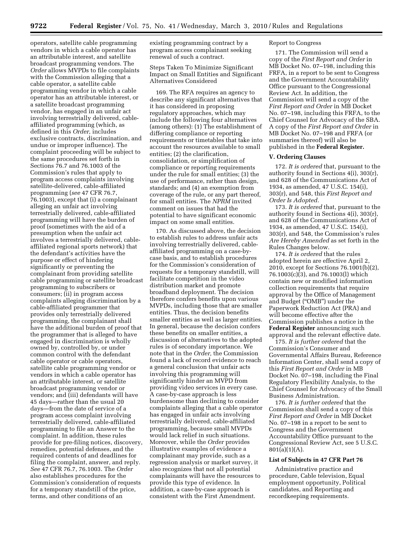operators, satellite cable programming vendors in which a cable operator has an attributable interest, and satellite broadcast programming vendors. The *Order* allows MVPDs to file complaints with the Commission alleging that a cable operator, a satellite cable programming vendor in which a cable operator has an attributable interest, or a satellite broadcast programming vendor, has engaged in an unfair act involving terrestrially delivered, cableaffiliated programming (which, as defined in this *Order,* includes exclusive contracts, discrimination, and undue or improper influence). The complaint proceeding will be subject to the same procedures set forth in Sections 76.7 and 76.1003 of the Commission's rules that apply to program access complaints involving satellite-delivered, cable-affiliated programming (*see* 47 CFR 76.7, 76.1003), except that (i) a complainant alleging an unfair act involving terrestrially delivered, cable-affiliated programming will have the burden of proof (sometimes with the aid of a presumption when the unfair act involves a terrestrially delivered, cableaffiliated regional sports network) that the defendant's activities have the purpose or effect of hindering significantly or preventing the complainant from providing satellite cable programming or satellite broadcast programming to subscribers or consumers; (ii) in program access complaints alleging discrimination by a cable-affiliated programmer that provides only terrestrially delivered programming, the complainant shall have the additional burden of proof that the programmer that is alleged to have engaged in discrimination is wholly owned by, controlled by, or under common control with the defendant cable operator or cable operators, satellite cable programming vendor or vendors in which a cable operator has an attributable interest, or satellite broadcast programming vendor or vendors; and (iii) defendants will have 45 days—rather than the usual 20 days—from the date of service of a program access complaint involving terrestrially delivered, cable-affiliated programming to file an Answer to the complaint. In addition, these rules provide for pre-filing notices, discovery, remedies, potential defenses, and the required contents of and deadlines for filing the complaint, answer, and reply. *See* 47 CFR 76.7, 76.1003. The *Order*  also establishes procedures for the Commission's consideration of requests for a temporary standstill of the price, terms, and other conditions of an

existing programming contract by a program access complainant seeking renewal of such a contract.

Steps Taken To Minimize Significant Impact on Small Entities and Significant Alternatives Considered

169. The RFA requires an agency to describe any significant alternatives that it has considered in proposing regulatory approaches, which may include the following four alternatives (among others): (1) The establishment of differing compliance or reporting requirements or timetables that take into account the resources available to small entities; (2) the clarification, consolidation, or simplification of compliance or reporting requirements under the rule for small entities; (3) the use of performance, rather than design, standards; and (4) an exemption from coverage of the rule, or any part thereof, for small entities. The *NPRM* invited comment on issues that had the potential to have significant economic impact on some small entities.

170. As discussed above, the decision to establish rules to address unfair acts involving terrestrially delivered, cableaffiliated programming on a case-bycase basis, and to establish procedures for the Commission's consideration of requests for a temporary standstill, will facilitate competition in the video distribution market and promote broadband deployment. The decision therefore confers benefits upon various MVPDs, including those that are smaller entities. Thus, the decision benefits smaller entities as well as larger entities. In general, because the decision confers these benefits on smaller entities, a discussion of alternatives to the adopted rules is of secondary importance. We note that in the *Order,* the Commission found a lack of record evidence to reach a general conclusion that unfair acts involving this programming will significantly hinder an MVPD from providing video services in every case. A case-by-case approach is less burdensome than declining to consider complaints alleging that a cable operator has engaged in unfair acts involving terrestrially delivered, cable-affiliated programming, because small MVPDs would lack relief in such situations. Moreover, while the *Order* provides illustrative examples of evidence a complainant may provide, such as a regression analysis or market survey, it also recognizes that not all potential complainants will have the resources to provide this type of evidence. In addition, a case-by-case approach is consistent with the First Amendment.

#### Report to Congress

171. The Commission will send a copy of the *First Report and Order* in MB Docket No. 07–198, including this FRFA, in a report to be sent to Congress and the Government Accountability Office pursuant to the Congressional Review Act. In addition, the Commission will send a copy of the *First Report and Order* in MB Docket No. 07–198, including this FRFA, to the Chief Counsel for Advocacy of the SBA. A copy of the *First Report and Order* in MB Docket No. 07–198 and FRFA (or summaries thereof) will also be published in the **Federal Register.** 

#### **V. Ordering Clauses**

172. *It is ordered* that, pursuant to the authority found in Sections 4(i), 303(r), and 628 of the Communications Act of 1934, as amended, 47 U.S.C. 154(i), 303(r), and 548, this *First Report and Order Is Adopted.* 

173. *It is ordered* that, pursuant to the authority found in Sections 4(i), 303(r), and 628 of the Communications Act of 1934, as amended, 47 U.S.C. 154(i), 303(r), and 548, the Commission's rules *Are Hereby Amended* as set forth in the Rules Changes below.

174. *It is ordered* that the rules adopted herein are effective April 2, 2010, except for Sections 76.1001(b)(2), 76.1003(c)(3), and 76.1003(l) which contain new or modified information collection requirements that require approval by the Office of Management and Budget (''OMB'') under the Paperwork Reduction Act (PRA) and will become effective after the Commission publishes a notice in the **Federal Register** announcing such approval and the relevant effective date.

175. *It is further ordered* that the Commission's Consumer and Governmental Affairs Bureau, Reference Information Center, shall send a copy of this *First Report and Order* in MB Docket No. 07–198, including the Final Regulatory Flexibility Analysis, to the Chief Counsel for Advocacy of the Small Business Administration.

176. *It is further ordered* that the Commission shall send a copy of this *First Report and Order* in MB Docket No. 07–198 in a report to be sent to Congress and the Government Accountability Office pursuant to the Congressional Review Act, see 5 U.S.C.  $801(a)(1)(A)$ .

#### **List of Subjects in 47 CFR Part 76**

Administrative practice and procedure, Cable television, Equal employment opportunity, Political candidates, and Reporting and recordkeeping requirements.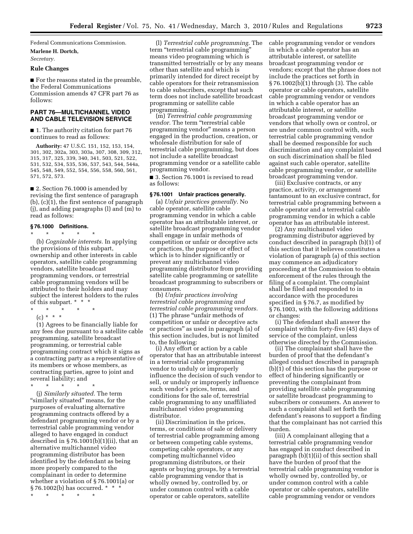Federal Communications Commission.

**Marlene H. Dortch,** 

*Secretary.* 

#### **Rule Changes**

■ For the reasons stated in the preamble, the Federal Communications Commission amends 47 CFR part 76 as follows:

# **PART 76—MULTICHANNEL VIDEO AND CABLE TELEVISION SERVICE**

■ 1. The authority citation for part 76 continues to read as follows:

**Authority:** 47 U.S.C. 151, 152, 153, 154, 301, 302, 302a, 303, 303a, 307, 308, 309, 312, 315, 317, 325, 339, 340, 341, 503, 521, 522, 531, 532, 534, 535, 536, 537, 543, 544, 544a, 545, 548, 549, 552, 554, 556, 558, 560, 561, 571, 572, 573.

■ 2. Section 76.1000 is amended by revising the first sentence of paragraph (b), (c)(1), the first sentence of paragraph (j), and adding paragraphs (l) and (m) to read as follows:

# **§ 76.1000 Definitions.**

\* \* \* \* \* (b) *Cognizable interests.* In applying the provisions of this subpart, ownership and other interests in cable operators, satellite cable programming vendors, satellite broadcast programming vendors, or terrestrial cable programming vendors will be attributed to their holders and may subject the interest holders to the rules of this subpart. \* \* \*

- $\star$   $\star$ 
	- $(c) * * * *$

(1) Agrees to be financially liable for any fees due pursuant to a satellite cable programming, satellite broadcast programming, or terrestrial cable programming contract which it signs as a contracting party as a representative of its members or whose members, as contracting parties, agree to joint and several liability; and

\* \* \* \* \*

(j) *Similarly situated.* The term "similarly situated" means, for the purposes of evaluating alternative programming contracts offered by a defendant programming vendor or by a terrestrial cable programming vendor alleged to have engaged in conduct described in  $\S 76.1001(b)(1)(ii)$ , that an alternative multichannel video programming distributor has been identified by the defendant as being more properly compared to the complainant in order to determine whether a violation of § 76.1001(a) or § 76.1002(b) has occurred. \* \* \*

\* \* \* \* \*

(l) *Terrestrial cable programming.* The term ''terrestrial cable programming'' means video programming which is transmitted terrestrially or by any means other than satellite and which is primarily intended for direct receipt by cable operators for their retransmission to cable subscribers, except that such term does not include satellite broadcast programming or satellite cable programming.

(m) *Terrestrial cable programming vendor.* The term ''terrestrial cable programming vendor'' means a person engaged in the production, creation, or wholesale distribution for sale of terrestrial cable programming, but does not include a satellite broadcast programming vendor or a satellite cable programming vendor.

■ 3. Section 76.1001 is revised to read as follows:

#### **§ 76.1001 Unfair practices generally.**

(a) *Unfair practices generally.* No cable operator, satellite cable programming vendor in which a cable operator has an attributable interest, or satellite broadcast programming vendor shall engage in unfair methods of competition or unfair or deceptive acts or practices, the purpose or effect of which is to hinder significantly or prevent any multichannel video programming distributor from providing satellite cable programming or satellite broadcast programming to subscribers or consumers.

(b) *Unfair practices involving terrestrial cable programming and terrestrial cable programming vendors.*  (1) The phrase ''unfair methods of competition or unfair or deceptive acts or practices'' as used in paragraph (a) of this section includes, but is not limited to, the following:

(i) Any effort or action by a cable operator that has an attributable interest in a terrestrial cable programming vendor to unduly or improperly influence the decision of such vendor to sell, or unduly or improperly influence such vendor's prices, terms, and conditions for the sale of, terrestrial cable programming to any unaffiliated multichannel video programming distributor.

(ii) Discrimination in the prices, terms, or conditions of sale or delivery of terrestrial cable programming among or between competing cable systems, competing cable operators, or any competing multichannel video programming distributors, or their agents or buying groups, by a terrestrial cable programming vendor that is wholly owned by, controlled by, or under common control with a cable operator or cable operators, satellite

cable programming vendor or vendors in which a cable operator has an attributable interest, or satellite broadcast programming vendor or vendors; except that the phrase does not include the practices set forth in § 76.1002(b)(1) through (3). The cable operator or cable operators, satellite cable programming vendor or vendors in which a cable operator has an attributable interest, or satellite broadcast programming vendor or vendors that wholly own or control, or are under common control with, such terrestrial cable programming vendor shall be deemed responsible for such discrimination and any complaint based on such discrimination shall be filed against such cable operator, satellite cable programming vendor, or satellite broadcast programming vendor.

(iii) Exclusive contracts, or any practice, activity, or arrangement tantamount to an exclusive contract, for terrestrial cable programming between a cable operator and a terrestrial cable programming vendor in which a cable operator has an attributable interest.

(2) Any multichannel video programming distributor aggrieved by conduct described in paragraph (b)(1) of this section that it believes constitutes a violation of paragraph (a) of this section may commence an adjudicatory proceeding at the Commission to obtain enforcement of the rules through the filing of a complaint. The complaint shall be filed and responded to in accordance with the procedures specified in § 76.7, as modified by § 76.1003, with the following additions or changes:

(i) The defendant shall answer the complaint within forty-five (45) days of service of the complaint, unless otherwise directed by the Commission.

(ii) The complainant shall have the burden of proof that the defendant's alleged conduct described in paragraph (b)(1) of this section has the purpose or effect of hindering significantly or preventing the complainant from providing satellite cable programming or satellite broadcast programming to subscribers or consumers. An answer to such a complaint shall set forth the defendant's reasons to support a finding that the complainant has not carried this burden.

(iii) A complainant alleging that a terrestrial cable programming vendor has engaged in conduct described in paragraph (b)(1)(ii) of this section shall have the burden of proof that the terrestrial cable programming vendor is wholly owned by, controlled by, or under common control with a cable operator or cable operators, satellite cable programming vendor or vendors